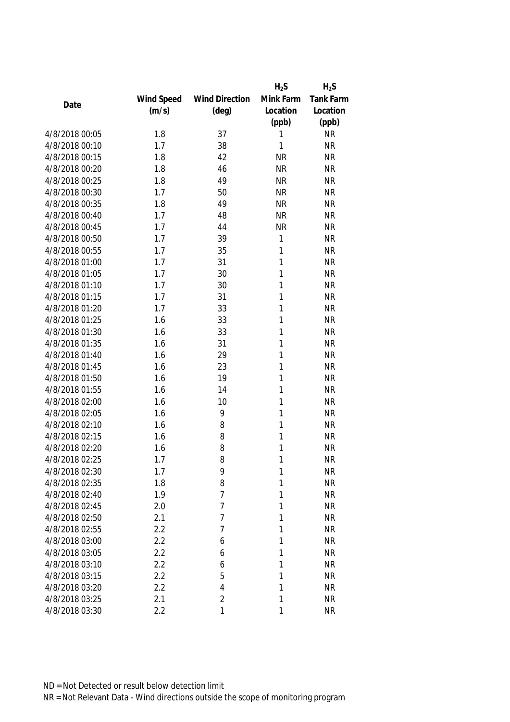|                |            |                       | $H_2S$       | $H_2S$    |
|----------------|------------|-----------------------|--------------|-----------|
|                | Wind Speed | <b>Wind Direction</b> | Mink Farm    | Tank Farm |
| Date           | (m/s)      | $(\text{deg})$        | Location     | Location  |
|                |            |                       | (ppb)        | (ppb)     |
| 4/8/2018 00:05 | 1.8        | 37                    | 1            | <b>NR</b> |
| 4/8/2018 00:10 | 1.7        | 38                    | 1            | <b>NR</b> |
| 4/8/2018 00:15 | 1.8        | 42                    | <b>NR</b>    | <b>NR</b> |
| 4/8/2018 00:20 | 1.8        | 46                    | <b>NR</b>    | <b>NR</b> |
| 4/8/2018 00:25 | 1.8        | 49                    | <b>NR</b>    | <b>NR</b> |
| 4/8/2018 00:30 | 1.7        | 50                    | <b>NR</b>    | <b>NR</b> |
| 4/8/2018 00:35 | 1.8        | 49                    | <b>NR</b>    | <b>NR</b> |
| 4/8/2018 00:40 | 1.7        | 48                    | <b>NR</b>    | <b>NR</b> |
| 4/8/2018 00:45 | 1.7        | 44                    | <b>NR</b>    | <b>NR</b> |
| 4/8/2018 00:50 | 1.7        | 39                    | $\mathbf{1}$ | <b>NR</b> |
| 4/8/2018 00:55 | 1.7        | 35                    | $\mathbf{1}$ | <b>NR</b> |
| 4/8/2018 01:00 | 1.7        | 31                    | 1            | <b>NR</b> |
| 4/8/2018 01:05 | 1.7        | 30                    | 1            | <b>NR</b> |
| 4/8/2018 01:10 | 1.7        | 30                    | 1            | <b>NR</b> |
| 4/8/2018 01:15 | 1.7        | 31                    | 1            | <b>NR</b> |
| 4/8/2018 01:20 | 1.7        | 33                    | 1            | <b>NR</b> |
| 4/8/2018 01:25 | 1.6        | 33                    | 1            | <b>NR</b> |
| 4/8/2018 01:30 | 1.6        | 33                    | 1            | <b>NR</b> |
| 4/8/2018 01:35 | 1.6        | 31                    | 1            | <b>NR</b> |
| 4/8/2018 01:40 | 1.6        | 29                    | 1            | <b>NR</b> |
| 4/8/2018 01:45 | 1.6        | 23                    | 1            | <b>NR</b> |
| 4/8/2018 01:50 | 1.6        | 19                    | 1            | <b>NR</b> |
| 4/8/2018 01:55 | 1.6        | 14                    | 1            | <b>NR</b> |
| 4/8/2018 02:00 | 1.6        | 10                    | 1            | <b>NR</b> |
| 4/8/2018 02:05 | 1.6        | 9                     | 1            | <b>NR</b> |
| 4/8/2018 02:10 | 1.6        | 8                     | 1            | <b>NR</b> |
| 4/8/2018 02:15 | 1.6        | 8                     | 1            | <b>NR</b> |
| 4/8/2018 02:20 | 1.6        | 8                     | 1            | <b>NR</b> |
| 4/8/2018 02:25 | 1.7        | 8                     | 1            | <b>NR</b> |
| 4/8/2018 02:30 | 1.7        | 9                     | 1            | <b>NR</b> |
| 4/8/2018 02:35 | 1.8        | 8                     | 1            | <b>NR</b> |
| 4/8/2018 02:40 | 1.9        | $\overline{7}$        | 1            | <b>NR</b> |
| 4/8/2018 02:45 | 2.0        | 7                     | 1            | <b>NR</b> |
| 4/8/2018 02:50 | 2.1        | 7                     | 1            | <b>NR</b> |
| 4/8/2018 02:55 | 2.2        | 7                     | 1            | <b>NR</b> |
| 4/8/2018 03:00 | 2.2        | 6                     | 1            | <b>NR</b> |
| 4/8/2018 03:05 | 2.2        | 6                     | 1            | <b>NR</b> |
| 4/8/2018 03:10 | 2.2        | 6                     | 1            | <b>NR</b> |
| 4/8/2018 03:15 | 2.2        | 5                     | 1            | <b>NR</b> |
| 4/8/2018 03:20 | 2.2        | 4                     | 1            | <b>NR</b> |
| 4/8/2018 03:25 | 2.1        | 2                     | 1            | <b>NR</b> |
| 4/8/2018 03:30 | 2.2        | 1                     | 1            | <b>NR</b> |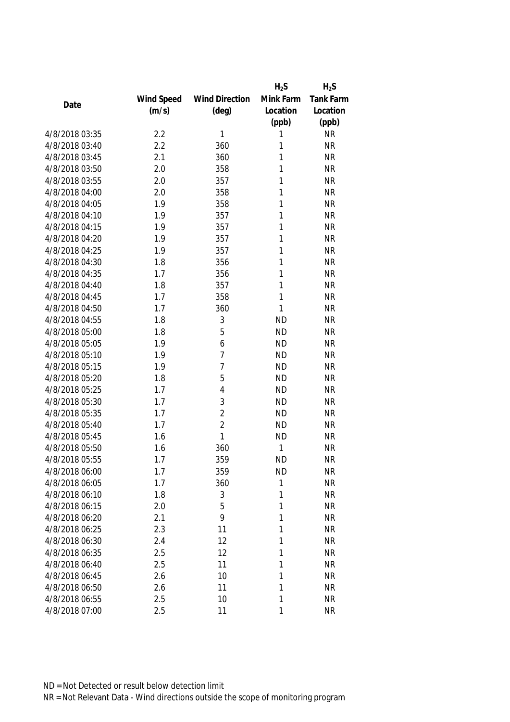|                |            |                       | $H_2S$    | $H_2S$    |
|----------------|------------|-----------------------|-----------|-----------|
|                | Wind Speed | <b>Wind Direction</b> | Mink Farm | Tank Farm |
| Date           | (m/s)      | $(\text{deg})$        | Location  | Location  |
|                |            |                       | (ppb)     | (ppb)     |
| 4/8/2018 03:35 | 2.2        | 1                     | 1         | <b>NR</b> |
| 4/8/2018 03:40 | 2.2        | 360                   | 1         | <b>NR</b> |
| 4/8/2018 03:45 | 2.1        | 360                   | 1         | <b>NR</b> |
| 4/8/2018 03:50 | 2.0        | 358                   | 1         | <b>NR</b> |
| 4/8/2018 03:55 | 2.0        | 357                   | 1         | <b>NR</b> |
| 4/8/2018 04:00 | 2.0        | 358                   | 1         | <b>NR</b> |
| 4/8/2018 04:05 | 1.9        | 358                   | 1         | <b>NR</b> |
| 4/8/2018 04:10 | 1.9        | 357                   | 1         | <b>NR</b> |
| 4/8/2018 04:15 | 1.9        | 357                   | 1         | <b>NR</b> |
| 4/8/2018 04:20 | 1.9        | 357                   | 1         | <b>NR</b> |
| 4/8/2018 04:25 | 1.9        | 357                   | 1         | <b>NR</b> |
| 4/8/2018 04:30 | 1.8        | 356                   | 1         | <b>NR</b> |
| 4/8/2018 04:35 | 1.7        | 356                   | 1         | <b>NR</b> |
| 4/8/2018 04:40 | 1.8        | 357                   | 1         | <b>NR</b> |
| 4/8/2018 04:45 | 1.7        | 358                   | 1         | <b>NR</b> |
| 4/8/2018 04:50 | 1.7        | 360                   | 1         | <b>NR</b> |
| 4/8/2018 04:55 | 1.8        | 3                     | <b>ND</b> | <b>NR</b> |
| 4/8/2018 05:00 | 1.8        | 5                     | <b>ND</b> | <b>NR</b> |
| 4/8/2018 05:05 | 1.9        | 6                     | <b>ND</b> | <b>NR</b> |
| 4/8/2018 05:10 | 1.9        | 7                     | <b>ND</b> | <b>NR</b> |
| 4/8/2018 05:15 | 1.9        | 7                     | <b>ND</b> | <b>NR</b> |
| 4/8/2018 05:20 | 1.8        | 5                     | <b>ND</b> | <b>NR</b> |
| 4/8/2018 05:25 | 1.7        | 4                     | <b>ND</b> | <b>NR</b> |
| 4/8/2018 05:30 | 1.7        | 3                     | <b>ND</b> | <b>NR</b> |
| 4/8/2018 05:35 | 1.7        | $\overline{2}$        | <b>ND</b> | <b>NR</b> |
| 4/8/2018 05:40 | 1.7        | $\overline{2}$        | <b>ND</b> | <b>NR</b> |
| 4/8/2018 05:45 | 1.6        | 1                     | <b>ND</b> | <b>NR</b> |
| 4/8/2018 05:50 | 1.6        | 360                   | 1         | <b>NR</b> |
| 4/8/2018 05:55 | 1.7        | 359                   | <b>ND</b> | <b>NR</b> |
| 4/8/2018 06:00 | 1.7        | 359                   | <b>ND</b> | <b>NR</b> |
| 4/8/2018 06:05 | 1.7        | 360                   | 1         | <b>NR</b> |
| 4/8/2018 06:10 | 1.8        | 3                     | 1         | <b>NR</b> |
| 4/8/2018 06:15 | 2.0        | 5                     | 1         | <b>NR</b> |
| 4/8/2018 06:20 | 2.1        | 9                     | 1         | <b>NR</b> |
| 4/8/2018 06:25 | 2.3        | 11                    | 1         | <b>NR</b> |
| 4/8/2018 06:30 | 2.4        | 12                    | 1         | <b>NR</b> |
| 4/8/2018 06:35 | 2.5        | 12                    | 1         | <b>NR</b> |
| 4/8/2018 06:40 | 2.5        | 11                    | 1         | <b>NR</b> |
| 4/8/2018 06:45 | 2.6        | 10                    | 1         | <b>NR</b> |
| 4/8/2018 06:50 | 2.6        | 11                    | 1         | <b>NR</b> |
| 4/8/2018 06:55 | 2.5        | 10                    | 1         | <b>NR</b> |
| 4/8/2018 07:00 | 2.5        | 11                    | 1         | <b>NR</b> |
|                |            |                       |           |           |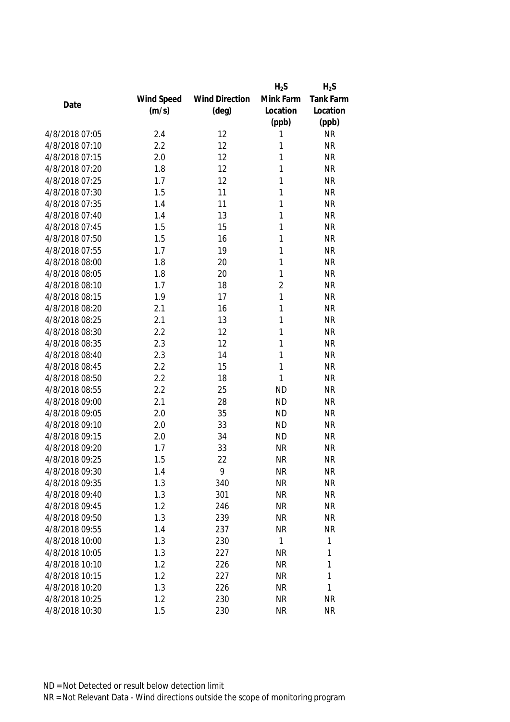|                |            |                       | $H_2S$         | $H_2S$    |
|----------------|------------|-----------------------|----------------|-----------|
|                | Wind Speed | <b>Wind Direction</b> | Mink Farm      | Tank Farm |
| Date           | (m/s)      | $(\text{deg})$        | Location       | Location  |
|                |            |                       | (ppb)          | (ppb)     |
| 4/8/2018 07:05 | 2.4        | 12                    | 1              | <b>NR</b> |
| 4/8/2018 07:10 | 2.2        | 12                    | 1              | <b>NR</b> |
| 4/8/2018 07:15 | 2.0        | 12                    | 1              | <b>NR</b> |
| 4/8/2018 07:20 | 1.8        | 12                    | 1              | <b>NR</b> |
| 4/8/2018 07:25 | 1.7        | 12                    | 1              | <b>NR</b> |
| 4/8/2018 07:30 | 1.5        | 11                    | 1              | <b>NR</b> |
| 4/8/2018 07:35 | 1.4        | 11                    | 1              | <b>NR</b> |
| 4/8/2018 07:40 | 1.4        | 13                    | 1              | <b>NR</b> |
| 4/8/2018 07:45 | 1.5        | 15                    | 1              | <b>NR</b> |
| 4/8/2018 07:50 | 1.5        | 16                    | 1              | <b>NR</b> |
| 4/8/2018 07:55 | 1.7        | 19                    | 1              | <b>NR</b> |
| 4/8/2018 08:00 | 1.8        | 20                    | 1              | <b>NR</b> |
| 4/8/2018 08:05 | 1.8        | 20                    | 1              | <b>NR</b> |
| 4/8/2018 08:10 | 1.7        | 18                    | $\overline{2}$ | <b>NR</b> |
| 4/8/2018 08:15 | 1.9        | 17                    | 1              | <b>NR</b> |
| 4/8/2018 08:20 | 2.1        | 16                    | 1              | <b>NR</b> |
| 4/8/2018 08:25 | 2.1        | 13                    | 1              | <b>NR</b> |
| 4/8/2018 08:30 | 2.2        | 12                    | 1              | <b>NR</b> |
| 4/8/2018 08:35 | 2.3        | 12                    | 1              | <b>NR</b> |
| 4/8/2018 08:40 | 2.3        | 14                    | 1              | <b>NR</b> |
| 4/8/2018 08:45 | 2.2        | 15                    | 1              | <b>NR</b> |
| 4/8/2018 08:50 | 2.2        | 18                    | $\mathbf{1}$   | <b>NR</b> |
| 4/8/2018 08:55 | 2.2        | 25                    | <b>ND</b>      | <b>NR</b> |
| 4/8/2018 09:00 | 2.1        | 28                    | <b>ND</b>      | <b>NR</b> |
| 4/8/2018 09:05 | 2.0        | 35                    | <b>ND</b>      | <b>NR</b> |
| 4/8/2018 09:10 | 2.0        | 33                    | <b>ND</b>      | <b>NR</b> |
| 4/8/2018 09:15 | 2.0        | 34                    | <b>ND</b>      | <b>NR</b> |
| 4/8/2018 09:20 | 1.7        | 33                    | <b>NR</b>      | <b>NR</b> |
| 4/8/2018 09:25 | 1.5        | 22                    | <b>NR</b>      | <b>NR</b> |
| 4/8/2018 09:30 | 1.4        | 9                     | <b>NR</b>      | <b>NR</b> |
| 4/8/2018 09:35 | 1.3        | 340                   | <b>NR</b>      | <b>NR</b> |
| 4/8/2018 09:40 | 1.3        | 301                   | <b>NR</b>      | <b>NR</b> |
| 4/8/2018 09:45 | 1.2        | 246                   | <b>NR</b>      | <b>NR</b> |
| 4/8/2018 09:50 | 1.3        | 239                   | <b>NR</b>      | <b>NR</b> |
| 4/8/2018 09:55 | 1.4        | 237                   | <b>NR</b>      | <b>NR</b> |
| 4/8/2018 10:00 | 1.3        | 230                   | 1              | 1         |
| 4/8/2018 10:05 | 1.3        | 227                   | <b>NR</b>      | 1         |
| 4/8/2018 10:10 | 1.2        | 226                   | <b>NR</b>      | 1         |
| 4/8/2018 10:15 | 1.2        | 227                   | <b>NR</b>      | 1         |
| 4/8/2018 10:20 | 1.3        | 226                   | <b>NR</b>      | 1         |
| 4/8/2018 10:25 | 1.2        | 230                   | <b>NR</b>      | NR        |
| 4/8/2018 10:30 | 1.5        | 230                   | <b>NR</b>      | <b>NR</b> |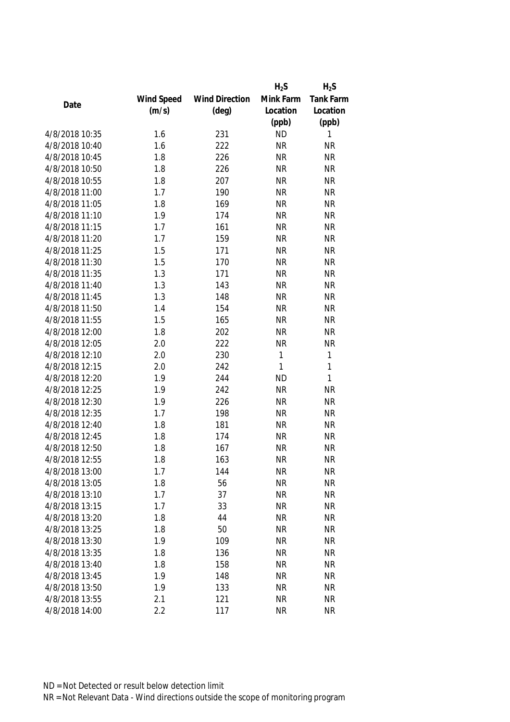|                |            |                       | $H_2S$       | $H_2S$    |
|----------------|------------|-----------------------|--------------|-----------|
|                | Wind Speed | <b>Wind Direction</b> | Mink Farm    | Tank Farm |
| Date           | (m/s)      | $(\text{deg})$        | Location     | Location  |
|                |            |                       | (ppb)        | (ppb)     |
| 4/8/2018 10:35 | 1.6        | 231                   | <b>ND</b>    | 1         |
| 4/8/2018 10:40 | 1.6        | 222                   | <b>NR</b>    | <b>NR</b> |
| 4/8/2018 10:45 | 1.8        | 226                   | <b>NR</b>    | <b>NR</b> |
| 4/8/2018 10:50 | 1.8        | 226                   | <b>NR</b>    | <b>NR</b> |
| 4/8/2018 10:55 | 1.8        | 207                   | <b>NR</b>    | <b>NR</b> |
| 4/8/2018 11:00 | 1.7        | 190                   | <b>NR</b>    | <b>NR</b> |
| 4/8/2018 11:05 | 1.8        | 169                   | <b>NR</b>    | <b>NR</b> |
| 4/8/2018 11:10 | 1.9        | 174                   | <b>NR</b>    | <b>NR</b> |
| 4/8/2018 11:15 | 1.7        | 161                   | <b>NR</b>    | <b>NR</b> |
| 4/8/2018 11:20 | 1.7        | 159                   | <b>NR</b>    | <b>NR</b> |
| 4/8/2018 11:25 | 1.5        | 171                   | <b>NR</b>    | <b>NR</b> |
| 4/8/2018 11:30 | 1.5        | 170                   | <b>NR</b>    | <b>NR</b> |
| 4/8/2018 11:35 | 1.3        | 171                   | <b>NR</b>    | <b>NR</b> |
| 4/8/2018 11:40 | 1.3        | 143                   | <b>NR</b>    | <b>NR</b> |
| 4/8/2018 11:45 | 1.3        | 148                   | <b>NR</b>    | <b>NR</b> |
| 4/8/2018 11:50 | 1.4        | 154                   | <b>NR</b>    | <b>NR</b> |
| 4/8/2018 11:55 | 1.5        | 165                   | <b>NR</b>    | <b>NR</b> |
| 4/8/2018 12:00 | 1.8        | 202                   | <b>NR</b>    | <b>NR</b> |
| 4/8/2018 12:05 | 2.0        | 222                   | <b>NR</b>    | <b>NR</b> |
| 4/8/2018 12:10 | 2.0        | 230                   | $\mathbf{1}$ | 1         |
| 4/8/2018 12:15 | 2.0        | 242                   | 1            | 1         |
| 4/8/2018 12:20 | 1.9        | 244                   | <b>ND</b>    | 1         |
| 4/8/2018 12:25 | 1.9        | 242                   | <b>NR</b>    | <b>NR</b> |
| 4/8/2018 12:30 | 1.9        | 226                   | <b>NR</b>    | <b>NR</b> |
| 4/8/2018 12:35 | 1.7        | 198                   | <b>NR</b>    | <b>NR</b> |
| 4/8/2018 12:40 | 1.8        | 181                   | <b>NR</b>    | <b>NR</b> |
| 4/8/2018 12:45 | 1.8        | 174                   | <b>NR</b>    | <b>NR</b> |
| 4/8/2018 12:50 | 1.8        | 167                   | <b>NR</b>    | <b>NR</b> |
| 4/8/2018 12:55 | 1.8        | 163                   | <b>NR</b>    | <b>NR</b> |
| 4/8/2018 13:00 | 1.7        | 144                   | <b>NR</b>    | <b>NR</b> |
| 4/8/2018 13:05 | 1.8        | 56                    | <b>NR</b>    | <b>NR</b> |
| 4/8/2018 13:10 | 1.7        | 37                    | <b>NR</b>    | <b>NR</b> |
| 4/8/2018 13:15 | 1.7        | 33                    | <b>NR</b>    | <b>NR</b> |
| 4/8/2018 13:20 | 1.8        | 44                    | <b>NR</b>    | <b>NR</b> |
| 4/8/2018 13:25 | 1.8        | 50                    | <b>NR</b>    | <b>NR</b> |
| 4/8/2018 13:30 | 1.9        | 109                   | <b>NR</b>    | <b>NR</b> |
| 4/8/2018 13:35 | 1.8        | 136                   | <b>NR</b>    | <b>NR</b> |
| 4/8/2018 13:40 | 1.8        | 158                   | <b>NR</b>    | <b>NR</b> |
| 4/8/2018 13:45 | 1.9        | 148                   | <b>NR</b>    | <b>NR</b> |
| 4/8/2018 13:50 | 1.9        | 133                   | <b>NR</b>    | <b>NR</b> |
| 4/8/2018 13:55 | 2.1        | 121                   | <b>NR</b>    | <b>NR</b> |
| 4/8/2018 14:00 | 2.2        | 117                   | <b>NR</b>    | <b>NR</b> |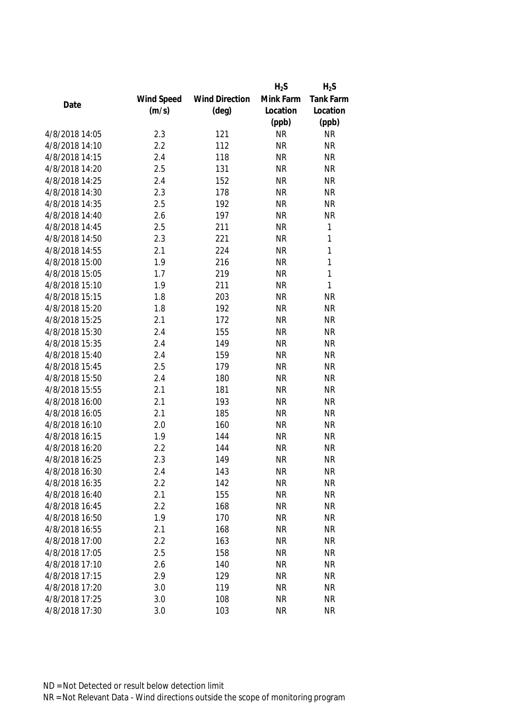|                |            |                       | $H_2S$    | $H_2S$           |
|----------------|------------|-----------------------|-----------|------------------|
|                | Wind Speed | <b>Wind Direction</b> | Mink Farm | <b>Tank Farm</b> |
| Date           | (m/s)      | $(\text{deg})$        | Location  | Location         |
|                |            |                       | (ppb)     | (ppb)            |
| 4/8/2018 14:05 | 2.3        | 121                   | <b>NR</b> | <b>NR</b>        |
| 4/8/2018 14:10 | 2.2        | 112                   | <b>NR</b> | <b>NR</b>        |
| 4/8/2018 14:15 | 2.4        | 118                   | <b>NR</b> | <b>NR</b>        |
| 4/8/2018 14:20 | 2.5        | 131                   | <b>NR</b> | <b>NR</b>        |
| 4/8/2018 14:25 | 2.4        | 152                   | <b>NR</b> | <b>NR</b>        |
| 4/8/2018 14:30 | 2.3        | 178                   | <b>NR</b> | <b>NR</b>        |
| 4/8/2018 14:35 | 2.5        | 192                   | <b>NR</b> | <b>NR</b>        |
| 4/8/2018 14:40 | 2.6        | 197                   | <b>NR</b> | <b>NR</b>        |
| 4/8/2018 14:45 | 2.5        | 211                   | <b>NR</b> | 1                |
| 4/8/2018 14:50 | 2.3        | 221                   | <b>NR</b> | 1                |
| 4/8/2018 14:55 | 2.1        | 224                   | <b>NR</b> | 1                |
| 4/8/2018 15:00 | 1.9        | 216                   | <b>NR</b> | 1                |
| 4/8/2018 15:05 | 1.7        | 219                   | <b>NR</b> | 1                |
| 4/8/2018 15:10 | 1.9        | 211                   | <b>NR</b> | 1                |
| 4/8/2018 15:15 | 1.8        | 203                   | <b>NR</b> | <b>NR</b>        |
| 4/8/2018 15:20 | 1.8        | 192                   | <b>NR</b> | <b>NR</b>        |
| 4/8/2018 15:25 | 2.1        | 172                   | <b>NR</b> | <b>NR</b>        |
| 4/8/2018 15:30 | 2.4        | 155                   | <b>NR</b> | <b>NR</b>        |
| 4/8/2018 15:35 | 2.4        | 149                   | <b>NR</b> | <b>NR</b>        |
| 4/8/2018 15:40 | 2.4        | 159                   | <b>NR</b> | <b>NR</b>        |
| 4/8/2018 15:45 | 2.5        | 179                   | <b>NR</b> | <b>NR</b>        |
| 4/8/2018 15:50 | 2.4        | 180                   | <b>NR</b> | <b>NR</b>        |
| 4/8/2018 15:55 | 2.1        | 181                   | <b>NR</b> | <b>NR</b>        |
| 4/8/2018 16:00 | 2.1        | 193                   | <b>NR</b> | <b>NR</b>        |
| 4/8/2018 16:05 | 2.1        | 185                   | <b>NR</b> | <b>NR</b>        |
| 4/8/2018 16:10 | 2.0        | 160                   | <b>NR</b> | <b>NR</b>        |
| 4/8/2018 16:15 | 1.9        | 144                   | <b>NR</b> | <b>NR</b>        |
| 4/8/2018 16:20 | 2.2        | 144                   | <b>NR</b> | <b>NR</b>        |
| 4/8/2018 16:25 | 2.3        | 149                   | <b>NR</b> | <b>NR</b>        |
| 4/8/2018 16:30 | 2.4        | 143                   | <b>NR</b> | <b>NR</b>        |
| 4/8/2018 16:35 | 2.2        | 142                   | <b>NR</b> | <b>NR</b>        |
| 4/8/2018 16:40 | 2.1        | 155                   | <b>NR</b> | <b>NR</b>        |
| 4/8/2018 16:45 | 2.2        | 168                   | <b>NR</b> | <b>NR</b>        |
| 4/8/2018 16:50 | 1.9        | 170                   | <b>NR</b> | <b>NR</b>        |
| 4/8/2018 16:55 | 2.1        | 168                   | <b>NR</b> | <b>NR</b>        |
| 4/8/2018 17:00 | 2.2        | 163                   | <b>NR</b> | <b>NR</b>        |
| 4/8/2018 17:05 | 2.5        | 158                   | <b>NR</b> | <b>NR</b>        |
| 4/8/2018 17:10 | 2.6        | 140                   | <b>NR</b> | <b>NR</b>        |
| 4/8/2018 17:15 | 2.9        | 129                   | <b>NR</b> | <b>NR</b>        |
| 4/8/2018 17:20 | 3.0        | 119                   | <b>NR</b> | <b>NR</b>        |
| 4/8/2018 17:25 | 3.0        | 108                   | <b>NR</b> | <b>NR</b>        |
| 4/8/2018 17:30 | 3.0        | 103                   | <b>NR</b> | <b>NR</b>        |
|                |            |                       |           |                  |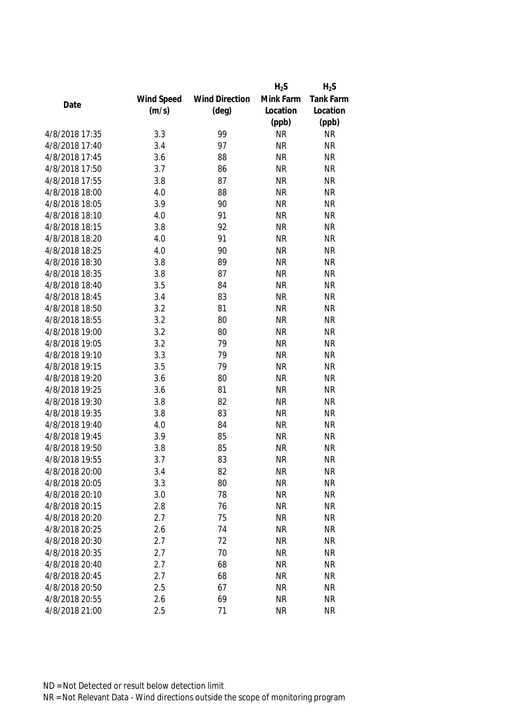|                |            |                       | $H_2S$    | $H_2S$    |
|----------------|------------|-----------------------|-----------|-----------|
|                | Wind Speed | <b>Wind Direction</b> | Mink Farm | Tank Farm |
| Date           | (m/s)      | $(\text{deg})$        | Location  | Location  |
|                |            |                       | (ppb)     | (ppb)     |
| 4/8/2018 17:35 | 3.3        | 99                    | <b>NR</b> | <b>NR</b> |
| 4/8/2018 17:40 | 3.4        | 97                    | <b>NR</b> | <b>NR</b> |
| 4/8/2018 17:45 | 3.6        | 88                    | <b>NR</b> | <b>NR</b> |
| 4/8/2018 17:50 | 3.7        | 86                    | <b>NR</b> | <b>NR</b> |
| 4/8/2018 17:55 | 3.8        | 87                    | <b>NR</b> | <b>NR</b> |
| 4/8/2018 18:00 | 4.0        | 88                    | <b>NR</b> | <b>NR</b> |
| 4/8/2018 18:05 | 3.9        | 90                    | <b>NR</b> | <b>NR</b> |
| 4/8/2018 18:10 | 4.0        | 91                    | <b>NR</b> | <b>NR</b> |
| 4/8/2018 18:15 | 3.8        | 92                    | <b>NR</b> | <b>NR</b> |
| 4/8/2018 18:20 | 4.0        | 91                    | <b>NR</b> | <b>NR</b> |
| 4/8/2018 18:25 | 4.0        | 90                    | <b>NR</b> | <b>NR</b> |
| 4/8/2018 18:30 | 3.8        | 89                    | <b>NR</b> | <b>NR</b> |
| 4/8/2018 18:35 | 3.8        | 87                    | <b>NR</b> | <b>NR</b> |
| 4/8/2018 18:40 | 3.5        | 84                    | <b>NR</b> | <b>NR</b> |
| 4/8/2018 18:45 | 3.4        | 83                    | <b>NR</b> | <b>NR</b> |
| 4/8/2018 18:50 | 3.2        | 81                    | <b>NR</b> | <b>NR</b> |
| 4/8/2018 18:55 | 3.2        | 80                    | <b>NR</b> | <b>NR</b> |
| 4/8/2018 19:00 | 3.2        | 80                    | <b>NR</b> | <b>NR</b> |
| 4/8/2018 19:05 | 3.2        | 79                    | <b>NR</b> | <b>NR</b> |
| 4/8/2018 19:10 | 3.3        | 79                    | <b>NR</b> | <b>NR</b> |
| 4/8/2018 19:15 | 3.5        | 79                    | <b>NR</b> | <b>NR</b> |
| 4/8/2018 19:20 | 3.6        | 80                    | <b>NR</b> | <b>NR</b> |
| 4/8/2018 19:25 | 3.6        | 81                    | <b>NR</b> | <b>NR</b> |
| 4/8/2018 19:30 | 3.8        | 82                    | <b>NR</b> | <b>NR</b> |
| 4/8/2018 19:35 | 3.8        | 83                    | <b>NR</b> | <b>NR</b> |
| 4/8/2018 19:40 | 4.0        | 84                    | <b>NR</b> | <b>NR</b> |
| 4/8/2018 19:45 | 3.9        | 85                    | <b>NR</b> | <b>NR</b> |
| 4/8/2018 19:50 | 3.8        | 85                    | <b>NR</b> | <b>NR</b> |
| 4/8/2018 19:55 | 3.7        | 83                    | <b>NR</b> | <b>NR</b> |
| 4/8/2018 20:00 | 3.4        | 82                    | <b>NR</b> | <b>NR</b> |
| 4/8/2018 20:05 | 3.3        | 80                    | <b>NR</b> | <b>NR</b> |
| 4/8/2018 20:10 | 3.0        | 78                    | <b>NR</b> | <b>NR</b> |
| 4/8/2018 20:15 | 2.8        | 76                    | <b>NR</b> | <b>NR</b> |
| 4/8/2018 20:20 | 2.7        | 75                    | <b>NR</b> | <b>NR</b> |
| 4/8/2018 20:25 | 2.6        | 74                    | <b>NR</b> | <b>NR</b> |
| 4/8/2018 20:30 | 2.7        | 72                    | <b>NR</b> | <b>NR</b> |
| 4/8/2018 20:35 | 2.7        | 70                    | <b>NR</b> | <b>NR</b> |
| 4/8/2018 20:40 | 2.7        | 68                    | <b>NR</b> | <b>NR</b> |
| 4/8/2018 20:45 | 2.7        | 68                    | <b>NR</b> | <b>NR</b> |
| 4/8/2018 20:50 | 2.5        | 67                    | <b>NR</b> | <b>NR</b> |
| 4/8/2018 20:55 | 2.6        | 69                    | <b>NR</b> | <b>NR</b> |
| 4/8/2018 21:00 | 2.5        | 71                    | <b>NR</b> | <b>NR</b> |
|                |            |                       |           |           |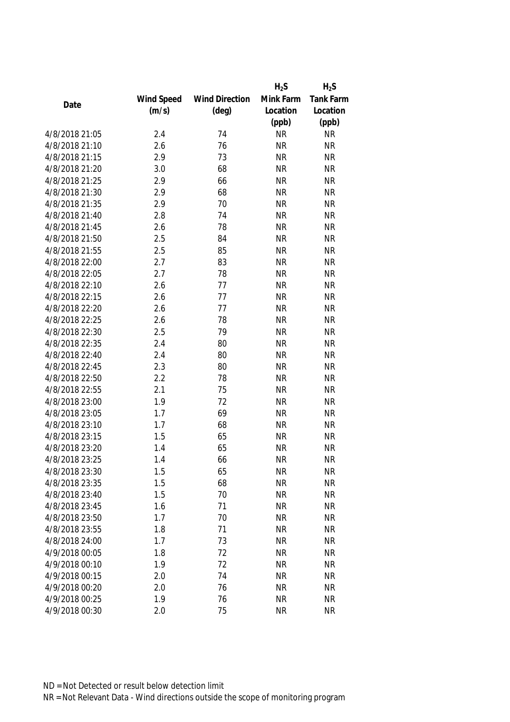|                |            |                       | $H_2S$    | $H_2S$    |
|----------------|------------|-----------------------|-----------|-----------|
|                | Wind Speed | <b>Wind Direction</b> | Mink Farm | Tank Farm |
| Date           | (m/s)      | $(\text{deg})$        | Location  | Location  |
|                |            |                       | (ppb)     | (ppb)     |
| 4/8/2018 21:05 | 2.4        | 74                    | <b>NR</b> | <b>NR</b> |
| 4/8/2018 21:10 | 2.6        | 76                    | <b>NR</b> | <b>NR</b> |
| 4/8/2018 21:15 | 2.9        | 73                    | <b>NR</b> | <b>NR</b> |
| 4/8/2018 21:20 | 3.0        | 68                    | <b>NR</b> | <b>NR</b> |
| 4/8/2018 21:25 | 2.9        | 66                    | <b>NR</b> | <b>NR</b> |
| 4/8/2018 21:30 | 2.9        | 68                    | <b>NR</b> | <b>NR</b> |
| 4/8/2018 21:35 | 2.9        | 70                    | <b>NR</b> | <b>NR</b> |
| 4/8/2018 21:40 | 2.8        | 74                    | <b>NR</b> | <b>NR</b> |
| 4/8/2018 21:45 | 2.6        | 78                    | <b>NR</b> | <b>NR</b> |
| 4/8/2018 21:50 | 2.5        | 84                    | <b>NR</b> | <b>NR</b> |
| 4/8/2018 21:55 | 2.5        | 85                    | <b>NR</b> | <b>NR</b> |
| 4/8/2018 22:00 | 2.7        | 83                    | <b>NR</b> | <b>NR</b> |
| 4/8/2018 22:05 | 2.7        | 78                    | <b>NR</b> | <b>NR</b> |
| 4/8/2018 22:10 | 2.6        | 77                    | <b>NR</b> | <b>NR</b> |
| 4/8/2018 22:15 | 2.6        | 77                    | <b>NR</b> | <b>NR</b> |
| 4/8/2018 22:20 | 2.6        | 77                    | <b>NR</b> | <b>NR</b> |
| 4/8/2018 22:25 | 2.6        | 78                    | <b>NR</b> | <b>NR</b> |
| 4/8/2018 22:30 | 2.5        | 79                    | <b>NR</b> | <b>NR</b> |
| 4/8/2018 22:35 | 2.4        | 80                    | <b>NR</b> | <b>NR</b> |
| 4/8/2018 22:40 | 2.4        | 80                    | <b>NR</b> | <b>NR</b> |
| 4/8/2018 22:45 | 2.3        | 80                    | <b>NR</b> | <b>NR</b> |
| 4/8/2018 22:50 | 2.2        | 78                    | <b>NR</b> | <b>NR</b> |
| 4/8/2018 22:55 | 2.1        | 75                    | <b>NR</b> | <b>NR</b> |
| 4/8/2018 23:00 | 1.9        | 72                    | <b>NR</b> | <b>NR</b> |
| 4/8/2018 23:05 | 1.7        | 69                    | <b>NR</b> | <b>NR</b> |
| 4/8/2018 23:10 | 1.7        | 68                    | <b>NR</b> | <b>NR</b> |
| 4/8/2018 23:15 | 1.5        | 65                    | <b>NR</b> | <b>NR</b> |
| 4/8/2018 23:20 | 1.4        | 65                    | <b>NR</b> | <b>NR</b> |
| 4/8/2018 23:25 | 1.4        | 66                    | <b>NR</b> | <b>NR</b> |
| 4/8/2018 23:30 | 1.5        | 65                    | <b>NR</b> | <b>NR</b> |
| 4/8/2018 23:35 | 1.5        | 68                    | <b>NR</b> | <b>NR</b> |
| 4/8/2018 23:40 | 1.5        | 70                    | <b>NR</b> | <b>NR</b> |
| 4/8/2018 23:45 | 1.6        | 71                    | <b>NR</b> | <b>NR</b> |
| 4/8/2018 23:50 | 1.7        | 70                    | <b>NR</b> | <b>NR</b> |
| 4/8/2018 23:55 | 1.8        | 71                    | <b>NR</b> | <b>NR</b> |
| 4/8/2018 24:00 | 1.7        | 73                    | <b>NR</b> | <b>NR</b> |
| 4/9/2018 00:05 | 1.8        | 72                    | <b>NR</b> | <b>NR</b> |
| 4/9/2018 00:10 | 1.9        | 72                    | <b>NR</b> | <b>NR</b> |
| 4/9/2018 00:15 | 2.0        | 74                    | <b>NR</b> | <b>NR</b> |
| 4/9/2018 00:20 | 2.0        | 76                    | <b>NR</b> | <b>NR</b> |
| 4/9/2018 00:25 | 1.9        | 76                    | <b>NR</b> | <b>NR</b> |
| 4/9/2018 00:30 | 2.0        | 75                    | <b>NR</b> | <b>NR</b> |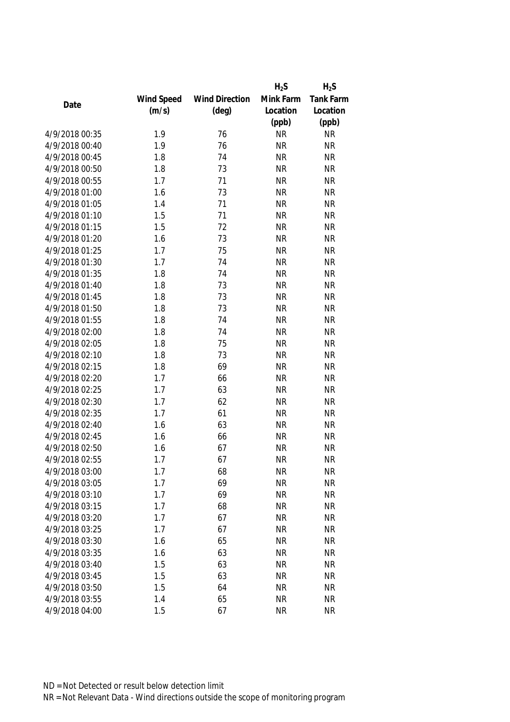|                |            |                       | $H_2S$    | $H_2S$    |
|----------------|------------|-----------------------|-----------|-----------|
|                | Wind Speed | <b>Wind Direction</b> | Mink Farm | Tank Farm |
| Date           | (m/s)      | $(\text{deg})$        | Location  | Location  |
|                |            |                       | (ppb)     | (ppb)     |
| 4/9/2018 00:35 | 1.9        | 76                    | <b>NR</b> | <b>NR</b> |
| 4/9/2018 00:40 | 1.9        | 76                    | <b>NR</b> | <b>NR</b> |
| 4/9/2018 00:45 | 1.8        | 74                    | <b>NR</b> | <b>NR</b> |
| 4/9/2018 00:50 | 1.8        | 73                    | <b>NR</b> | <b>NR</b> |
| 4/9/2018 00:55 | 1.7        | 71                    | <b>NR</b> | <b>NR</b> |
| 4/9/2018 01:00 | 1.6        | 73                    | <b>NR</b> | <b>NR</b> |
| 4/9/2018 01:05 | 1.4        | 71                    | <b>NR</b> | <b>NR</b> |
| 4/9/2018 01:10 | 1.5        | 71                    | <b>NR</b> | <b>NR</b> |
| 4/9/2018 01:15 | 1.5        | 72                    | <b>NR</b> | <b>NR</b> |
| 4/9/2018 01:20 | 1.6        | 73                    | <b>NR</b> | <b>NR</b> |
| 4/9/2018 01:25 | 1.7        | 75                    | <b>NR</b> | <b>NR</b> |
| 4/9/2018 01:30 | 1.7        | 74                    | <b>NR</b> | <b>NR</b> |
| 4/9/2018 01:35 | 1.8        | 74                    | <b>NR</b> | <b>NR</b> |
| 4/9/2018 01:40 | 1.8        | 73                    | <b>NR</b> | <b>NR</b> |
| 4/9/2018 01:45 | 1.8        | 73                    | <b>NR</b> | <b>NR</b> |
| 4/9/2018 01:50 | 1.8        | 73                    | <b>NR</b> | <b>NR</b> |
| 4/9/2018 01:55 | 1.8        | 74                    | <b>NR</b> | <b>NR</b> |
| 4/9/2018 02:00 | 1.8        | 74                    | <b>NR</b> | <b>NR</b> |
| 4/9/2018 02:05 | 1.8        | 75                    | <b>NR</b> | <b>NR</b> |
| 4/9/2018 02:10 | 1.8        | 73                    | <b>NR</b> | <b>NR</b> |
| 4/9/2018 02:15 | 1.8        | 69                    | <b>NR</b> | <b>NR</b> |
| 4/9/2018 02:20 | 1.7        | 66                    | <b>NR</b> | <b>NR</b> |
| 4/9/2018 02:25 | 1.7        | 63                    | <b>NR</b> | <b>NR</b> |
| 4/9/2018 02:30 | 1.7        | 62                    | <b>NR</b> | <b>NR</b> |
| 4/9/2018 02:35 | 1.7        | 61                    | <b>NR</b> | <b>NR</b> |
| 4/9/2018 02:40 | 1.6        | 63                    | <b>NR</b> | <b>NR</b> |
| 4/9/2018 02:45 | 1.6        | 66                    | <b>NR</b> | <b>NR</b> |
| 4/9/2018 02:50 | 1.6        | 67                    | <b>NR</b> | <b>NR</b> |
| 4/9/2018 02:55 | 1.7        | 67                    | <b>NR</b> | <b>NR</b> |
| 4/9/2018 03:00 | 1.7        | 68                    | <b>NR</b> | <b>NR</b> |
| 4/9/2018 03:05 | 1.7        | 69                    | <b>NR</b> | <b>NR</b> |
| 4/9/2018 03:10 | 1.7        | 69                    | <b>NR</b> | <b>NR</b> |
| 4/9/2018 03:15 | 1.7        | 68                    | <b>NR</b> | <b>NR</b> |
| 4/9/2018 03:20 | 1.7        | 67                    | <b>NR</b> | <b>NR</b> |
| 4/9/2018 03:25 | 1.7        | 67                    | <b>NR</b> | <b>NR</b> |
| 4/9/2018 03:30 | 1.6        | 65                    | <b>NR</b> | <b>NR</b> |
| 4/9/2018 03:35 | 1.6        | 63                    | <b>NR</b> | <b>NR</b> |
| 4/9/2018 03:40 | 1.5        | 63                    | <b>NR</b> | <b>NR</b> |
| 4/9/2018 03:45 | 1.5        | 63                    | <b>NR</b> | <b>NR</b> |
| 4/9/2018 03:50 | 1.5        | 64                    | <b>NR</b> | <b>NR</b> |
| 4/9/2018 03:55 | 1.4        | 65                    | <b>NR</b> | <b>NR</b> |
| 4/9/2018 04:00 | 1.5        | 67                    | <b>NR</b> | <b>NR</b> |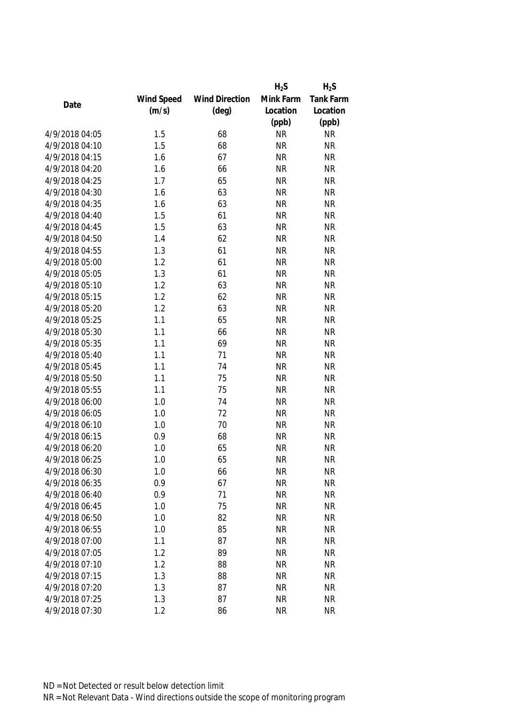|                |            |                       | $H_2S$    | $H_2S$    |
|----------------|------------|-----------------------|-----------|-----------|
|                | Wind Speed | <b>Wind Direction</b> | Mink Farm | Tank Farm |
| Date           | (m/s)      | $(\text{deg})$        | Location  | Location  |
|                |            |                       | (ppb)     | (ppb)     |
| 4/9/2018 04:05 | 1.5        | 68                    | <b>NR</b> | <b>NR</b> |
| 4/9/2018 04:10 | 1.5        | 68                    | <b>NR</b> | <b>NR</b> |
| 4/9/2018 04:15 | 1.6        | 67                    | <b>NR</b> | <b>NR</b> |
| 4/9/2018 04:20 | 1.6        | 66                    | <b>NR</b> | <b>NR</b> |
| 4/9/2018 04:25 | 1.7        | 65                    | <b>NR</b> | <b>NR</b> |
| 4/9/2018 04:30 | 1.6        | 63                    | <b>NR</b> | <b>NR</b> |
| 4/9/2018 04:35 | 1.6        | 63                    | <b>NR</b> | <b>NR</b> |
| 4/9/2018 04:40 | 1.5        | 61                    | <b>NR</b> | <b>NR</b> |
| 4/9/2018 04:45 | 1.5        | 63                    | <b>NR</b> | <b>NR</b> |
| 4/9/2018 04:50 | 1.4        | 62                    | <b>NR</b> | <b>NR</b> |
| 4/9/2018 04:55 | 1.3        | 61                    | <b>NR</b> | <b>NR</b> |
| 4/9/2018 05:00 | 1.2        | 61                    | <b>NR</b> | <b>NR</b> |
| 4/9/2018 05:05 | 1.3        | 61                    | <b>NR</b> | <b>NR</b> |
| 4/9/2018 05:10 | 1.2        | 63                    | <b>NR</b> | <b>NR</b> |
| 4/9/2018 05:15 | 1.2        | 62                    | <b>NR</b> | <b>NR</b> |
| 4/9/2018 05:20 | 1.2        | 63                    | <b>NR</b> | <b>NR</b> |
| 4/9/2018 05:25 | 1.1        | 65                    | <b>NR</b> | <b>NR</b> |
| 4/9/2018 05:30 | 1.1        | 66                    | <b>NR</b> | <b>NR</b> |
| 4/9/2018 05:35 | 1.1        | 69                    | <b>NR</b> | <b>NR</b> |
| 4/9/2018 05:40 | 1.1        | 71                    | <b>NR</b> | <b>NR</b> |
| 4/9/2018 05:45 | 1.1        | 74                    | <b>NR</b> | <b>NR</b> |
| 4/9/2018 05:50 | 1.1        | 75                    | <b>NR</b> | <b>NR</b> |
| 4/9/2018 05:55 | 1.1        | 75                    | <b>NR</b> | <b>NR</b> |
| 4/9/2018 06:00 | 1.0        | 74                    | <b>NR</b> | <b>NR</b> |
| 4/9/2018 06:05 | 1.0        | 72                    | <b>NR</b> | <b>NR</b> |
| 4/9/2018 06:10 | 1.0        | 70                    | <b>NR</b> | <b>NR</b> |
| 4/9/2018 06:15 | 0.9        | 68                    | <b>NR</b> | <b>NR</b> |
| 4/9/2018 06:20 | 1.0        | 65                    | <b>NR</b> | <b>NR</b> |
| 4/9/2018 06:25 | 1.0        | 65                    | <b>NR</b> | <b>NR</b> |
| 4/9/2018 06:30 | 1.0        | 66                    | <b>NR</b> | <b>NR</b> |
| 4/9/2018 06:35 | 0.9        | 67                    | <b>NR</b> | <b>NR</b> |
| 4/9/2018 06:40 | 0.9        | 71                    | <b>NR</b> | <b>NR</b> |
| 4/9/2018 06:45 | 1.0        | 75                    | <b>NR</b> | <b>NR</b> |
| 4/9/2018 06:50 | 1.0        | 82                    | <b>NR</b> | <b>NR</b> |
| 4/9/2018 06:55 | 1.0        | 85                    | <b>NR</b> | <b>NR</b> |
| 4/9/2018 07:00 | 1.1        | 87                    | <b>NR</b> | <b>NR</b> |
| 4/9/2018 07:05 | 1.2        | 89                    | <b>NR</b> | <b>NR</b> |
| 4/9/2018 07:10 | 1.2        | 88                    | <b>NR</b> | <b>NR</b> |
| 4/9/2018 07:15 | 1.3        | 88                    | <b>NR</b> | <b>NR</b> |
| 4/9/2018 07:20 | 1.3        | 87                    | <b>NR</b> | <b>NR</b> |
| 4/9/2018 07:25 | 1.3        | 87                    | <b>NR</b> | <b>NR</b> |
| 4/9/2018 07:30 | 1.2        | 86                    | <b>NR</b> | <b>NR</b> |
|                |            |                       |           |           |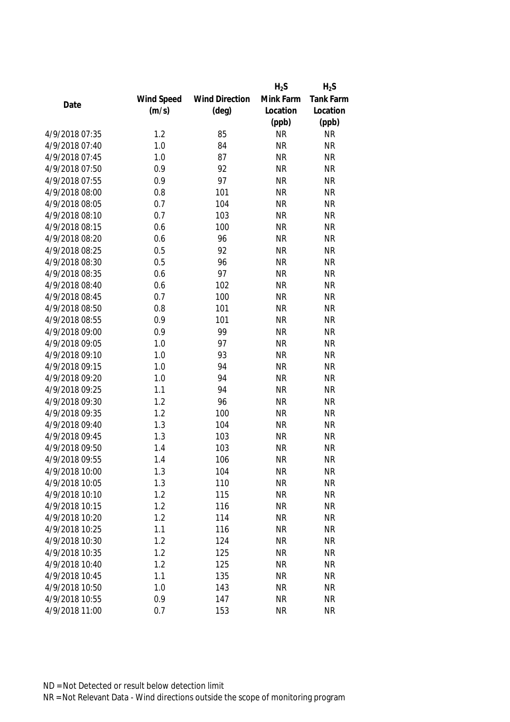|                |            |                       | $H_2S$    | $H_2S$    |
|----------------|------------|-----------------------|-----------|-----------|
|                | Wind Speed | <b>Wind Direction</b> | Mink Farm | Tank Farm |
| Date           | (m/s)      | $(\text{deg})$        | Location  | Location  |
|                |            |                       | (ppb)     | (ppb)     |
| 4/9/2018 07:35 | 1.2        | 85                    | <b>NR</b> | <b>NR</b> |
| 4/9/2018 07:40 | 1.0        | 84                    | <b>NR</b> | <b>NR</b> |
| 4/9/2018 07:45 | 1.0        | 87                    | <b>NR</b> | <b>NR</b> |
| 4/9/2018 07:50 | 0.9        | 92                    | <b>NR</b> | <b>NR</b> |
| 4/9/2018 07:55 | 0.9        | 97                    | <b>NR</b> | <b>NR</b> |
| 4/9/2018 08:00 | 0.8        | 101                   | <b>NR</b> | <b>NR</b> |
| 4/9/2018 08:05 | 0.7        | 104                   | <b>NR</b> | <b>NR</b> |
| 4/9/2018 08:10 | 0.7        | 103                   | <b>NR</b> | <b>NR</b> |
| 4/9/2018 08:15 | 0.6        | 100                   | <b>NR</b> | <b>NR</b> |
| 4/9/2018 08:20 | 0.6        | 96                    | <b>NR</b> | <b>NR</b> |
| 4/9/2018 08:25 | 0.5        | 92                    | <b>NR</b> | <b>NR</b> |
| 4/9/2018 08:30 | 0.5        | 96                    | <b>NR</b> | <b>NR</b> |
| 4/9/2018 08:35 | 0.6        | 97                    | <b>NR</b> | <b>NR</b> |
| 4/9/2018 08:40 | 0.6        | 102                   | <b>NR</b> | <b>NR</b> |
| 4/9/2018 08:45 | 0.7        | 100                   | <b>NR</b> | <b>NR</b> |
| 4/9/2018 08:50 | 0.8        | 101                   | <b>NR</b> | <b>NR</b> |
| 4/9/2018 08:55 | 0.9        | 101                   | <b>NR</b> | <b>NR</b> |
| 4/9/2018 09:00 | 0.9        | 99                    | <b>NR</b> | <b>NR</b> |
| 4/9/2018 09:05 | 1.0        | 97                    | <b>NR</b> | <b>NR</b> |
| 4/9/2018 09:10 | 1.0        | 93                    | <b>NR</b> | <b>NR</b> |
| 4/9/2018 09:15 | 1.0        | 94                    | <b>NR</b> | <b>NR</b> |
| 4/9/2018 09:20 | 1.0        | 94                    | <b>NR</b> | <b>NR</b> |
| 4/9/2018 09:25 | 1.1        | 94                    | <b>NR</b> | <b>NR</b> |
| 4/9/2018 09:30 | 1.2        | 96                    | <b>NR</b> | <b>NR</b> |
| 4/9/2018 09:35 | 1.2        | 100                   | <b>NR</b> | <b>NR</b> |
| 4/9/2018 09:40 | 1.3        | 104                   | <b>NR</b> | <b>NR</b> |
| 4/9/2018 09:45 | 1.3        | 103                   | <b>NR</b> | <b>NR</b> |
| 4/9/2018 09:50 | 1.4        | 103                   | <b>NR</b> | <b>NR</b> |
| 4/9/2018 09:55 | 1.4        | 106                   | <b>NR</b> | <b>NR</b> |
| 4/9/2018 10:00 | 1.3        | 104                   | <b>NR</b> | <b>NR</b> |
| 4/9/2018 10:05 | 1.3        | 110                   | <b>NR</b> | <b>NR</b> |
| 4/9/2018 10:10 | 1.2        | 115                   | <b>NR</b> | <b>NR</b> |
| 4/9/2018 10:15 | 1.2        | 116                   | <b>NR</b> | <b>NR</b> |
| 4/9/2018 10:20 | 1.2        | 114                   | <b>NR</b> | <b>NR</b> |
| 4/9/2018 10:25 | 1.1        | 116                   | <b>NR</b> | <b>NR</b> |
| 4/9/2018 10:30 | 1.2        | 124                   | <b>NR</b> | <b>NR</b> |
| 4/9/2018 10:35 | 1.2        | 125                   | <b>NR</b> | <b>NR</b> |
| 4/9/2018 10:40 | 1.2        | 125                   | <b>NR</b> | <b>NR</b> |
| 4/9/2018 10:45 | 1.1        | 135                   | <b>NR</b> | <b>NR</b> |
| 4/9/2018 10:50 | 1.0        | 143                   | <b>NR</b> | <b>NR</b> |
| 4/9/2018 10:55 | 0.9        | 147                   | <b>NR</b> | <b>NR</b> |
| 4/9/2018 11:00 | 0.7        | 153                   | <b>NR</b> | <b>NR</b> |
|                |            |                       |           |           |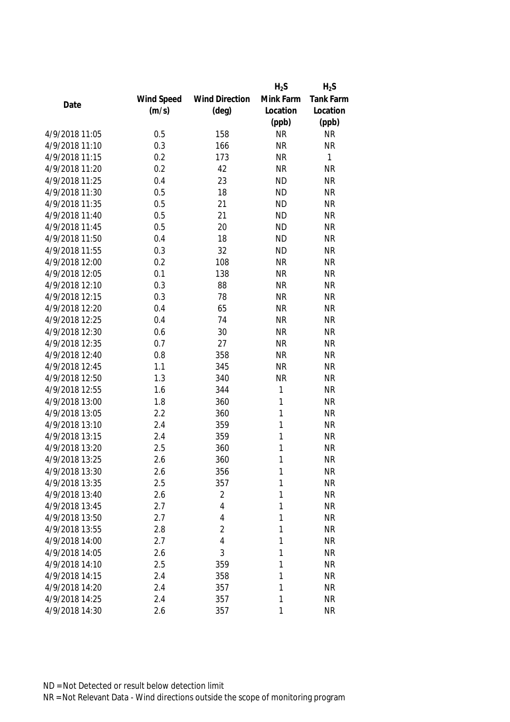|                |            |                       | $H_2S$    | $H_2S$                 |
|----------------|------------|-----------------------|-----------|------------------------|
|                | Wind Speed | <b>Wind Direction</b> | Mink Farm | Tank Farm              |
| Date           | (m/s)      | $(\text{deg})$        | Location  | Location               |
|                |            |                       | (ppb)     | (ppb)                  |
| 4/9/2018 11:05 | 0.5        | 158                   | <b>NR</b> | <b>NR</b>              |
| 4/9/2018 11:10 | 0.3        | 166                   | <b>NR</b> | <b>NR</b>              |
| 4/9/2018 11:15 | 0.2        | 173                   | <b>NR</b> | 1                      |
| 4/9/2018 11:20 | 0.2        | 42                    | <b>NR</b> | <b>NR</b>              |
| 4/9/2018 11:25 | 0.4        | 23                    | <b>ND</b> | <b>NR</b>              |
| 4/9/2018 11:30 | 0.5        | 18                    | <b>ND</b> | <b>NR</b>              |
| 4/9/2018 11:35 | 0.5        | 21                    | <b>ND</b> | <b>NR</b>              |
| 4/9/2018 11:40 | 0.5        | 21                    | <b>ND</b> | <b>NR</b>              |
| 4/9/2018 11:45 | 0.5        | 20                    | <b>ND</b> | <b>NR</b>              |
| 4/9/2018 11:50 | 0.4        | 18                    | <b>ND</b> | <b>NR</b>              |
| 4/9/2018 11:55 | 0.3        | 32                    | <b>ND</b> | <b>NR</b>              |
| 4/9/2018 12:00 | 0.2        | 108                   | <b>NR</b> | <b>NR</b>              |
| 4/9/2018 12:05 | 0.1        | 138                   | <b>NR</b> | <b>NR</b>              |
| 4/9/2018 12:10 | 0.3        | 88                    | <b>NR</b> | <b>NR</b>              |
| 4/9/2018 12:15 | 0.3        | 78                    | <b>NR</b> | <b>NR</b>              |
| 4/9/2018 12:20 | 0.4        | 65                    | <b>NR</b> | <b>NR</b>              |
| 4/9/2018 12:25 | 0.4        | 74                    | <b>NR</b> | <b>NR</b>              |
| 4/9/2018 12:30 | 0.6        | 30                    | <b>NR</b> | <b>NR</b>              |
| 4/9/2018 12:35 | 0.7        | 27                    | <b>NR</b> | <b>NR</b>              |
| 4/9/2018 12:40 | 0.8        | 358                   | <b>NR</b> | <b>NR</b>              |
| 4/9/2018 12:45 | 1.1        | 345                   | <b>NR</b> | <b>NR</b>              |
| 4/9/2018 12:50 | 1.3        | 340                   | <b>NR</b> | <b>NR</b>              |
| 4/9/2018 12:55 | 1.6        | 344                   | 1         | <b>NR</b>              |
| 4/9/2018 13:00 | 1.8        | 360                   | 1         | <b>NR</b>              |
| 4/9/2018 13:05 | 2.2        | 360                   | 1         | <b>NR</b>              |
| 4/9/2018 13:10 | 2.4        | 359                   | 1         | <b>NR</b>              |
| 4/9/2018 13:15 | 2.4        | 359                   | 1         | <b>NR</b>              |
| 4/9/2018 13:20 | 2.5        | 360                   | 1         | <b>NR</b>              |
| 4/9/2018 13:25 | 2.6        | 360                   | 1         | <b>NR</b>              |
| 4/9/2018 13:30 | 2.6        | 356                   | 1         | <b>NR</b>              |
| 4/9/2018 13:35 | 2.5        | 357                   | 1         | <b>NR</b>              |
| 4/9/2018 13:40 | 2.6        | $\overline{2}$        | 1         | <b>NR</b>              |
| 4/9/2018 13:45 | 2.7        | 4                     | 1         | <b>NR</b>              |
| 4/9/2018 13:50 | 2.7        | $\overline{4}$        | 1         | <b>NR</b>              |
| 4/9/2018 13:55 | 2.8        | $\overline{2}$        | 1         | <b>NR</b>              |
| 4/9/2018 14:00 | 2.7        | 4                     | 1         | <b>NR</b>              |
| 4/9/2018 14:05 |            | 3                     | 1         | <b>NR</b>              |
| 4/9/2018 14:10 | 2.6        |                       |           |                        |
| 4/9/2018 14:15 | 2.5        | 359                   | 1<br>1    | <b>NR</b><br><b>NR</b> |
|                | 2.4        | 358                   |           |                        |
| 4/9/2018 14:20 | 2.4        | 357                   | 1         | <b>NR</b>              |
| 4/9/2018 14:25 | 2.4        | 357                   | 1         | <b>NR</b>              |
| 4/9/2018 14:30 | 2.6        | 357                   | 1         | <b>NR</b>              |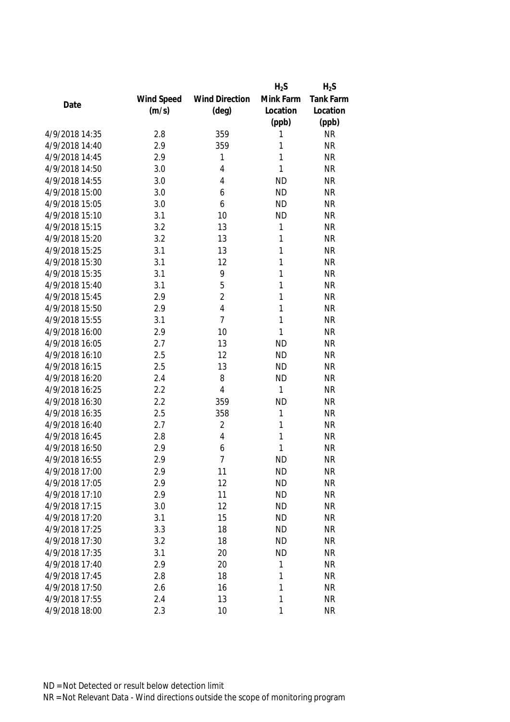|                |            |                       | $H_2S$       | $H_2S$    |
|----------------|------------|-----------------------|--------------|-----------|
|                | Wind Speed | <b>Wind Direction</b> | Mink Farm    | Tank Farm |
| Date           | (m/s)      | $(\text{deg})$        | Location     | Location  |
|                |            |                       | (ppb)        | (ppb)     |
| 4/9/2018 14:35 | 2.8        | 359                   | 1            | <b>NR</b> |
| 4/9/2018 14:40 | 2.9        | 359                   | 1            | <b>NR</b> |
| 4/9/2018 14:45 | 2.9        | 1                     | 1            | <b>NR</b> |
| 4/9/2018 14:50 | 3.0        | $\overline{4}$        | 1            | <b>NR</b> |
| 4/9/2018 14:55 | 3.0        | $\overline{4}$        | <b>ND</b>    | <b>NR</b> |
| 4/9/2018 15:00 | 3.0        | 6                     | <b>ND</b>    | <b>NR</b> |
| 4/9/2018 15:05 | 3.0        | 6                     | <b>ND</b>    | <b>NR</b> |
| 4/9/2018 15:10 | 3.1        | 10                    | <b>ND</b>    | <b>NR</b> |
| 4/9/2018 15:15 | 3.2        | 13                    | $\mathbf{1}$ | <b>NR</b> |
| 4/9/2018 15:20 | 3.2        | 13                    | 1            | <b>NR</b> |
| 4/9/2018 15:25 | 3.1        | 13                    | 1            | <b>NR</b> |
| 4/9/2018 15:30 | 3.1        | 12                    | 1            | <b>NR</b> |
| 4/9/2018 15:35 | 3.1        | 9                     | 1            | <b>NR</b> |
| 4/9/2018 15:40 | 3.1        | 5                     | 1            | <b>NR</b> |
| 4/9/2018 15:45 | 2.9        | $\overline{2}$        | 1            | <b>NR</b> |
| 4/9/2018 15:50 | 2.9        | $\overline{4}$        | 1            | <b>NR</b> |
| 4/9/2018 15:55 | 3.1        | $\overline{7}$        | 1            | <b>NR</b> |
| 4/9/2018 16:00 | 2.9        | 10                    | 1            | <b>NR</b> |
| 4/9/2018 16:05 | 2.7        | 13                    | <b>ND</b>    | <b>NR</b> |
| 4/9/2018 16:10 | 2.5        | 12                    | <b>ND</b>    | <b>NR</b> |
| 4/9/2018 16:15 | 2.5        | 13                    | <b>ND</b>    | <b>NR</b> |
| 4/9/2018 16:20 | 2.4        | 8                     | <b>ND</b>    | <b>NR</b> |
| 4/9/2018 16:25 | 2.2        | $\overline{4}$        | 1            | <b>NR</b> |
| 4/9/2018 16:30 | 2.2        | 359                   | <b>ND</b>    | <b>NR</b> |
| 4/9/2018 16:35 | 2.5        | 358                   | $\mathbf{1}$ | <b>NR</b> |
| 4/9/2018 16:40 | 2.7        | $\sqrt{2}$            | 1            | <b>NR</b> |
| 4/9/2018 16:45 | 2.8        | $\overline{4}$        | 1            | <b>NR</b> |
| 4/9/2018 16:50 | 2.9        | 6                     | 1            | <b>NR</b> |
| 4/9/2018 16:55 | 2.9        | $\overline{7}$        | <b>ND</b>    | <b>NR</b> |
| 4/9/2018 17:00 | 2.9        | 11                    | <b>ND</b>    | <b>NR</b> |
| 4/9/2018 17:05 | 2.9        | 12                    | <b>ND</b>    | <b>NR</b> |
| 4/9/2018 17:10 | 2.9        | 11                    | <b>ND</b>    | <b>NR</b> |
| 4/9/2018 17:15 | 3.0        | 12                    | <b>ND</b>    | <b>NR</b> |
| 4/9/2018 17:20 | 3.1        | 15                    | <b>ND</b>    | <b>NR</b> |
| 4/9/2018 17:25 | 3.3        | 18                    | <b>ND</b>    | <b>NR</b> |
| 4/9/2018 17:30 | 3.2        | 18                    | <b>ND</b>    | <b>NR</b> |
| 4/9/2018 17:35 | 3.1        | 20                    | <b>ND</b>    | <b>NR</b> |
| 4/9/2018 17:40 | 2.9        | 20                    | 1            | <b>NR</b> |
| 4/9/2018 17:45 | 2.8        | 18                    | 1            | <b>NR</b> |
| 4/9/2018 17:50 | 2.6        | 16                    | 1            | <b>NR</b> |
| 4/9/2018 17:55 | 2.4        | 13                    | 1            | <b>NR</b> |
| 4/9/2018 18:00 | 2.3        | 10                    | $\mathbf{1}$ | <b>NR</b> |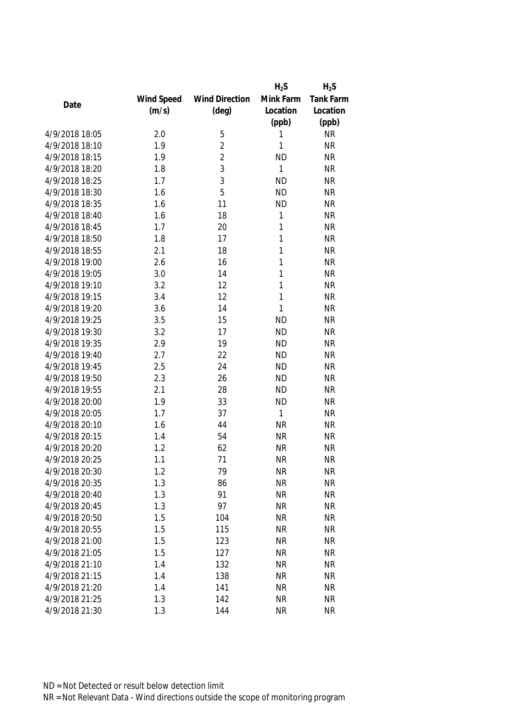|                |            |                       | $H_2S$    | $H_2S$    |
|----------------|------------|-----------------------|-----------|-----------|
|                | Wind Speed | <b>Wind Direction</b> | Mink Farm | Tank Farm |
| Date           | (m/s)      | $(\text{deg})$        | Location  | Location  |
|                |            |                       | (ppb)     | (ppb)     |
| 4/9/2018 18:05 | 2.0        | 5                     | 1         | <b>NR</b> |
| 4/9/2018 18:10 | 1.9        | $\overline{c}$        | 1         | <b>NR</b> |
| 4/9/2018 18:15 | 1.9        | $\overline{c}$        | <b>ND</b> | <b>NR</b> |
| 4/9/2018 18:20 | 1.8        | 3                     | 1         | <b>NR</b> |
| 4/9/2018 18:25 | 1.7        | 3                     | <b>ND</b> | <b>NR</b> |
| 4/9/2018 18:30 | 1.6        | 5                     | <b>ND</b> | <b>NR</b> |
| 4/9/2018 18:35 | 1.6        | 11                    | <b>ND</b> | <b>NR</b> |
| 4/9/2018 18:40 | 1.6        | 18                    | 1         | <b>NR</b> |
| 4/9/2018 18:45 | 1.7        | 20                    | 1         | <b>NR</b> |
| 4/9/2018 18:50 | 1.8        | 17                    | 1         | <b>NR</b> |
| 4/9/2018 18:55 | 2.1        | 18                    | 1         | <b>NR</b> |
| 4/9/2018 19:00 | 2.6        | 16                    | 1         | <b>NR</b> |
| 4/9/2018 19:05 | 3.0        | 14                    | 1         | <b>NR</b> |
| 4/9/2018 19:10 | 3.2        | 12                    | 1         | <b>NR</b> |
| 4/9/2018 19:15 | 3.4        | 12                    | 1         | <b>NR</b> |
| 4/9/2018 19:20 | 3.6        | 14                    | 1         | <b>NR</b> |
| 4/9/2018 19:25 | 3.5        | 15                    | <b>ND</b> | <b>NR</b> |
| 4/9/2018 19:30 | 3.2        | 17                    | <b>ND</b> | <b>NR</b> |
| 4/9/2018 19:35 | 2.9        | 19                    | <b>ND</b> | <b>NR</b> |
| 4/9/2018 19:40 | 2.7        | 22                    | <b>ND</b> | <b>NR</b> |
| 4/9/2018 19:45 | 2.5        | 24                    | <b>ND</b> | <b>NR</b> |
| 4/9/2018 19:50 | 2.3        | 26                    | <b>ND</b> | <b>NR</b> |
| 4/9/2018 19:55 | 2.1        | 28                    | <b>ND</b> | <b>NR</b> |
| 4/9/2018 20:00 | 1.9        | 33                    | <b>ND</b> | <b>NR</b> |
| 4/9/2018 20:05 | 1.7        | 37                    | 1         | <b>NR</b> |
| 4/9/2018 20:10 | 1.6        | 44                    | <b>NR</b> | <b>NR</b> |
| 4/9/2018 20:15 | 1.4        | 54                    | <b>NR</b> | <b>NR</b> |
| 4/9/2018 20:20 | 1.2        | 62                    | <b>NR</b> | <b>NR</b> |
| 4/9/2018 20:25 | 1.1        | 71                    | <b>NR</b> | <b>NR</b> |
| 4/9/2018 20:30 | 1.2        | 79                    | <b>NR</b> | <b>NR</b> |
| 4/9/2018 20:35 | 1.3        | 86                    | <b>NR</b> | <b>NR</b> |
| 4/9/2018 20:40 | 1.3        | 91                    | <b>NR</b> | <b>NR</b> |
| 4/9/2018 20:45 | 1.3        | 97                    | <b>NR</b> | <b>NR</b> |
| 4/9/2018 20:50 | 1.5        | 104                   | <b>NR</b> | <b>NR</b> |
| 4/9/2018 20:55 | 1.5        | 115                   | <b>NR</b> | <b>NR</b> |
| 4/9/2018 21:00 | 1.5        | 123                   | <b>NR</b> | <b>NR</b> |
| 4/9/2018 21:05 | 1.5        | 127                   | <b>NR</b> | <b>NR</b> |
| 4/9/2018 21:10 | 1.4        | 132                   | <b>NR</b> | <b>NR</b> |
| 4/9/2018 21:15 | 1.4        | 138                   | <b>NR</b> | <b>NR</b> |
| 4/9/2018 21:20 | 1.4        | 141                   | <b>NR</b> | <b>NR</b> |
| 4/9/2018 21:25 | 1.3        | 142                   | <b>NR</b> | <b>NR</b> |
| 4/9/2018 21:30 | 1.3        | 144                   | <b>NR</b> | <b>NR</b> |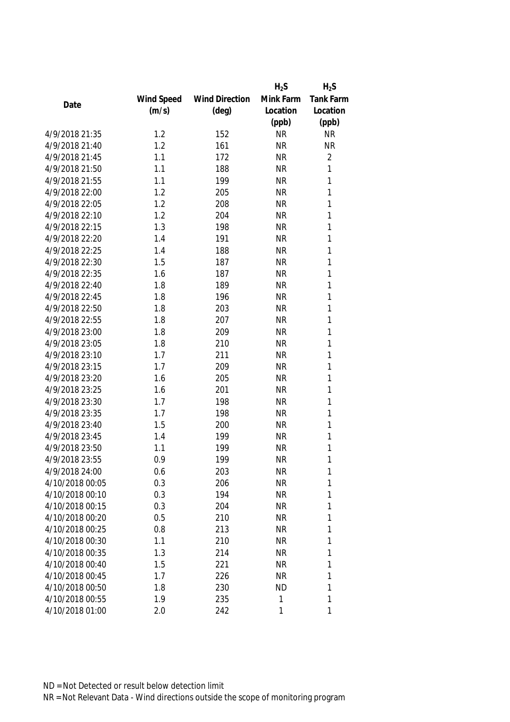|                 |            |                       | $H_2S$    | $H_2S$           |
|-----------------|------------|-----------------------|-----------|------------------|
|                 | Wind Speed | <b>Wind Direction</b> | Mink Farm | <b>Tank Farm</b> |
| Date            | (m/s)      | $(\text{deg})$        | Location  | Location         |
|                 |            |                       | (ppb)     | (ppb)            |
| 4/9/2018 21:35  | 1.2        | 152                   | <b>NR</b> | <b>NR</b>        |
| 4/9/2018 21:40  | 1.2        | 161                   | <b>NR</b> | <b>NR</b>        |
| 4/9/2018 21:45  | 1.1        | 172                   | <b>NR</b> | $\overline{2}$   |
| 4/9/2018 21:50  | 1.1        | 188                   | <b>NR</b> | 1                |
| 4/9/2018 21:55  | 1.1        | 199                   | <b>NR</b> | 1                |
| 4/9/2018 22:00  | 1.2        | 205                   | <b>NR</b> | 1                |
| 4/9/2018 22:05  | 1.2        | 208                   | <b>NR</b> | 1                |
| 4/9/2018 22:10  | 1.2        | 204                   | <b>NR</b> | 1                |
| 4/9/2018 22:15  | 1.3        | 198                   | <b>NR</b> | 1                |
| 4/9/2018 22:20  | 1.4        | 191                   | <b>NR</b> | 1                |
| 4/9/2018 22:25  | 1.4        | 188                   | <b>NR</b> | 1                |
| 4/9/2018 22:30  | 1.5        | 187                   | <b>NR</b> | 1                |
| 4/9/2018 22:35  | 1.6        | 187                   | <b>NR</b> | 1                |
| 4/9/2018 22:40  | 1.8        | 189                   | <b>NR</b> | 1                |
| 4/9/2018 22:45  | 1.8        | 196                   | <b>NR</b> | 1                |
| 4/9/2018 22:50  | 1.8        | 203                   | <b>NR</b> | 1                |
| 4/9/2018 22:55  | 1.8        | 207                   | <b>NR</b> | 1                |
| 4/9/2018 23:00  | 1.8        | 209                   | <b>NR</b> | 1                |
| 4/9/2018 23:05  | 1.8        | 210                   | <b>NR</b> | 1                |
| 4/9/2018 23:10  | 1.7        | 211                   | <b>NR</b> | 1                |
| 4/9/2018 23:15  | 1.7        | 209                   | <b>NR</b> | 1                |
| 4/9/2018 23:20  | 1.6        | 205                   | <b>NR</b> | 1                |
| 4/9/2018 23:25  | 1.6        | 201                   | <b>NR</b> | 1                |
| 4/9/2018 23:30  | 1.7        | 198                   | <b>NR</b> | 1                |
| 4/9/2018 23:35  | 1.7        | 198                   | <b>NR</b> | 1                |
| 4/9/2018 23:40  | 1.5        | 200                   | <b>NR</b> | 1                |
| 4/9/2018 23:45  | 1.4        | 199                   | <b>NR</b> | 1                |
| 4/9/2018 23:50  | 1.1        | 199                   | <b>NR</b> | 1                |
| 4/9/2018 23:55  | 0.9        | 199                   | <b>NR</b> | 1                |
| 4/9/2018 24:00  | 0.6        | 203                   | <b>NR</b> | 1                |
| 4/10/2018 00:05 | 0.3        | 206                   | <b>NR</b> | 1                |
| 4/10/2018 00:10 | 0.3        | 194                   | <b>NR</b> | 1                |
| 4/10/2018 00:15 | 0.3        | 204                   | <b>NR</b> | 1                |
| 4/10/2018 00:20 | 0.5        | 210                   | <b>NR</b> | 1                |
| 4/10/2018 00:25 | 0.8        | 213                   | <b>NR</b> | 1                |
| 4/10/2018 00:30 | 1.1        | 210                   | <b>NR</b> | 1                |
| 4/10/2018 00:35 | 1.3        | 214                   | <b>NR</b> | 1                |
| 4/10/2018 00:40 | 1.5        | 221                   | <b>NR</b> | 1                |
| 4/10/2018 00:45 | 1.7        | 226                   | <b>NR</b> | 1                |
| 4/10/2018 00:50 | 1.8        | 230                   | <b>ND</b> | 1                |
| 4/10/2018 00:55 | 1.9        | 235                   | 1         | 1                |
| 4/10/2018 01:00 | 2.0        | 242                   | 1         | 1                |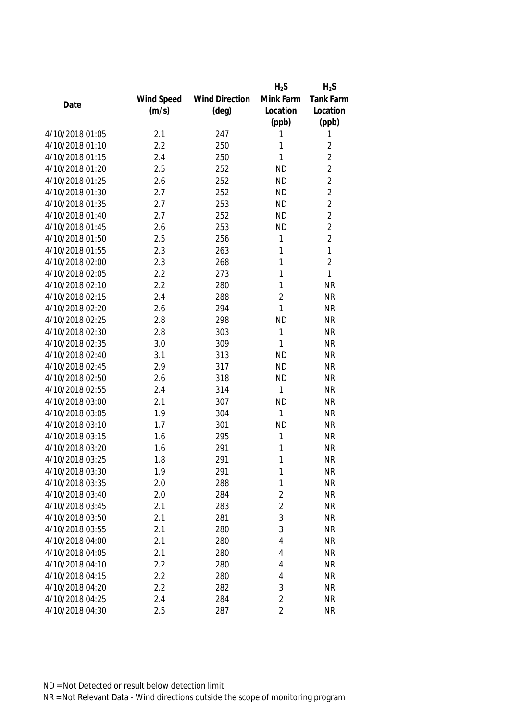|                 |            |                       | $H_2S$         | $H_2S$           |
|-----------------|------------|-----------------------|----------------|------------------|
|                 | Wind Speed | <b>Wind Direction</b> | Mink Farm      | <b>Tank Farm</b> |
| Date            | (m/s)      | $(\text{deg})$        | Location       | Location         |
|                 |            |                       | (ppb)          | (ppb)            |
| 4/10/2018 01:05 | 2.1        | 247                   | 1              | 1                |
| 4/10/2018 01:10 | 2.2        | 250                   | 1              | $\overline{2}$   |
| 4/10/2018 01:15 | 2.4        | 250                   | 1              | $\overline{2}$   |
| 4/10/2018 01:20 | 2.5        | 252                   | <b>ND</b>      | $\overline{2}$   |
| 4/10/2018 01:25 | 2.6        | 252                   | <b>ND</b>      | $\overline{2}$   |
| 4/10/2018 01:30 | 2.7        | 252                   | <b>ND</b>      | $\overline{2}$   |
| 4/10/2018 01:35 | 2.7        | 253                   | <b>ND</b>      | $\overline{2}$   |
| 4/10/2018 01:40 | 2.7        | 252                   | <b>ND</b>      | $\overline{2}$   |
| 4/10/2018 01:45 | 2.6        | 253                   | <b>ND</b>      | $\overline{2}$   |
| 4/10/2018 01:50 | 2.5        | 256                   | 1              | $\overline{2}$   |
| 4/10/2018 01:55 | 2.3        | 263                   | 1              | $\mathbf{1}$     |
| 4/10/2018 02:00 | 2.3        | 268                   | 1              | $\overline{2}$   |
| 4/10/2018 02:05 | 2.2        | 273                   | 1              | 1                |
| 4/10/2018 02:10 | 2.2        | 280                   | 1              | <b>NR</b>        |
| 4/10/2018 02:15 | 2.4        | 288                   | $\overline{2}$ | <b>NR</b>        |
| 4/10/2018 02:20 | 2.6        | 294                   | 1              | <b>NR</b>        |
| 4/10/2018 02:25 | 2.8        | 298                   | <b>ND</b>      | <b>NR</b>        |
| 4/10/2018 02:30 | 2.8        | 303                   | 1              | <b>NR</b>        |
| 4/10/2018 02:35 | 3.0        | 309                   | 1              | <b>NR</b>        |
| 4/10/2018 02:40 | 3.1        | 313                   | <b>ND</b>      | <b>NR</b>        |
| 4/10/2018 02:45 | 2.9        | 317                   | <b>ND</b>      | <b>NR</b>        |
| 4/10/2018 02:50 | 2.6        | 318                   | <b>ND</b>      | <b>NR</b>        |
| 4/10/2018 02:55 | 2.4        | 314                   | 1              | <b>NR</b>        |
| 4/10/2018 03:00 | 2.1        | 307                   | <b>ND</b>      | <b>NR</b>        |
| 4/10/2018 03:05 | 1.9        | 304                   | 1              | <b>NR</b>        |
| 4/10/2018 03:10 | 1.7        | 301                   | <b>ND</b>      | <b>NR</b>        |
| 4/10/2018 03:15 | 1.6        | 295                   | 1              | <b>NR</b>        |
| 4/10/2018 03:20 | 1.6        | 291                   | 1              | <b>NR</b>        |
| 4/10/2018 03:25 | 1.8        | 291                   | 1              | <b>NR</b>        |
| 4/10/2018 03:30 | 1.9        | 291                   | 1              | <b>NR</b>        |
| 4/10/2018 03:35 | 2.0        | 288                   | 1              | <b>NR</b>        |
| 4/10/2018 03:40 | 2.0        | 284                   | $\overline{2}$ | <b>NR</b>        |
| 4/10/2018 03:45 | 2.1        | 283                   | $\overline{2}$ | <b>NR</b>        |
| 4/10/2018 03:50 | 2.1        | 281                   | 3              | <b>NR</b>        |
| 4/10/2018 03:55 | 2.1        | 280                   | 3              | <b>NR</b>        |
| 4/10/2018 04:00 | 2.1        | 280                   | 4              | <b>NR</b>        |
| 4/10/2018 04:05 | 2.1        | 280                   | 4              | <b>NR</b>        |
| 4/10/2018 04:10 | 2.2        | 280                   | 4              | <b>NR</b>        |
| 4/10/2018 04:15 | 2.2        | 280                   | 4              | <b>NR</b>        |
| 4/10/2018 04:20 | 2.2        | 282                   | 3              | <b>NR</b>        |
| 4/10/2018 04:25 | 2.4        | 284                   | $\overline{2}$ | <b>NR</b>        |
| 4/10/2018 04:30 | 2.5        | 287                   | $\overline{2}$ | <b>NR</b>        |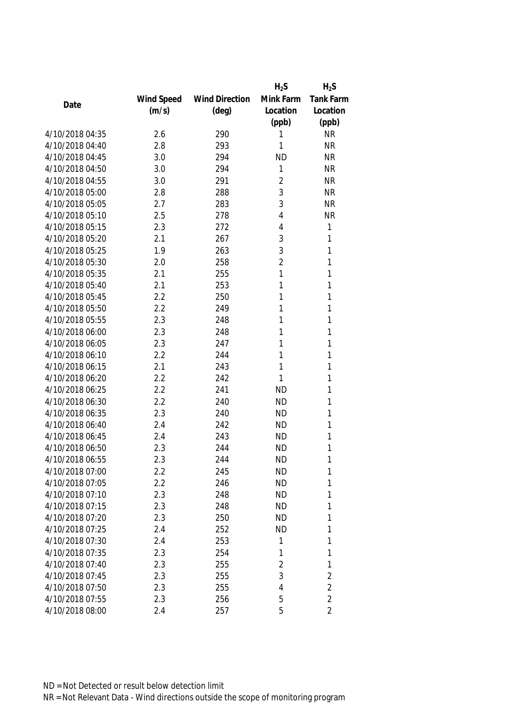|                 |            |                       | $H_2S$         | $H_2S$           |
|-----------------|------------|-----------------------|----------------|------------------|
|                 | Wind Speed | <b>Wind Direction</b> | Mink Farm      | <b>Tank Farm</b> |
| Date            | (m/s)      | $(\text{deg})$        | Location       | Location         |
|                 |            |                       | (ppb)          | (ppb)            |
| 4/10/2018 04:35 | 2.6        | 290                   | 1              | <b>NR</b>        |
| 4/10/2018 04:40 | 2.8        | 293                   | 1              | <b>NR</b>        |
| 4/10/2018 04:45 | 3.0        | 294                   | <b>ND</b>      | <b>NR</b>        |
| 4/10/2018 04:50 | 3.0        | 294                   | 1              | <b>NR</b>        |
| 4/10/2018 04:55 | 3.0        | 291                   | $\overline{2}$ | <b>NR</b>        |
| 4/10/2018 05:00 | 2.8        | 288                   | 3              | <b>NR</b>        |
| 4/10/2018 05:05 | 2.7        | 283                   | 3              | <b>NR</b>        |
| 4/10/2018 05:10 | 2.5        | 278                   | 4              | <b>NR</b>        |
| 4/10/2018 05:15 | 2.3        | 272                   | 4              | $\mathbf{1}$     |
| 4/10/2018 05:20 | 2.1        | 267                   | 3              | 1                |
| 4/10/2018 05:25 | 1.9        | 263                   | 3              | 1                |
| 4/10/2018 05:30 | 2.0        | 258                   | $\overline{2}$ | 1                |
| 4/10/2018 05:35 | 2.1        | 255                   | 1              | 1                |
| 4/10/2018 05:40 | 2.1        | 253                   | 1              | 1                |
| 4/10/2018 05:45 | 2.2        | 250                   | 1              | 1                |
| 4/10/2018 05:50 | 2.2        | 249                   | 1              | 1                |
| 4/10/2018 05:55 | 2.3        | 248                   | 1              | 1                |
| 4/10/2018 06:00 | 2.3        | 248                   | 1              | 1                |
| 4/10/2018 06:05 | 2.3        | 247                   | 1              | 1                |
| 4/10/2018 06:10 | 2.2        | 244                   | 1              | 1                |
| 4/10/2018 06:15 | 2.1        | 243                   | 1              | 1                |
| 4/10/2018 06:20 | 2.2        | 242                   | 1              | 1                |
| 4/10/2018 06:25 | 2.2        | 241                   | <b>ND</b>      | 1                |
| 4/10/2018 06:30 | 2.2        | 240                   | <b>ND</b>      | 1                |
| 4/10/2018 06:35 | 2.3        | 240                   | <b>ND</b>      | 1                |
| 4/10/2018 06:40 | 2.4        | 242                   | <b>ND</b>      | 1                |
| 4/10/2018 06:45 | 2.4        | 243                   | <b>ND</b>      | 1                |
| 4/10/2018 06:50 | 2.3        | 244                   | <b>ND</b>      | 1                |
| 4/10/2018 06:55 | 2.3        | 244                   | <b>ND</b>      | 1                |
| 4/10/2018 07:00 | 2.2        | 245                   | <b>ND</b>      | 1                |
| 4/10/2018 07:05 | 2.2        | 246                   | <b>ND</b>      | 1                |
| 4/10/2018 07:10 | 2.3        | 248                   | <b>ND</b>      | 1                |
| 4/10/2018 07:15 | 2.3        | 248                   | <b>ND</b>      | 1                |
| 4/10/2018 07:20 | 2.3        | 250                   | <b>ND</b>      | 1                |
| 4/10/2018 07:25 | 2.4        | 252                   | <b>ND</b>      | 1                |
| 4/10/2018 07:30 | 2.4        | 253                   | 1              | 1                |
| 4/10/2018 07:35 | 2.3        | 254                   | 1              | 1                |
| 4/10/2018 07:40 | 2.3        | 255                   | $\overline{2}$ | 1                |
| 4/10/2018 07:45 | 2.3        | 255                   | 3              | $\overline{2}$   |
| 4/10/2018 07:50 | 2.3        | 255                   | 4              | $\overline{2}$   |
| 4/10/2018 07:55 | 2.3        | 256                   | 5              | $\overline{2}$   |
| 4/10/2018 08:00 | 2.4        | 257                   | 5              | $\overline{2}$   |
|                 |            |                       |                |                  |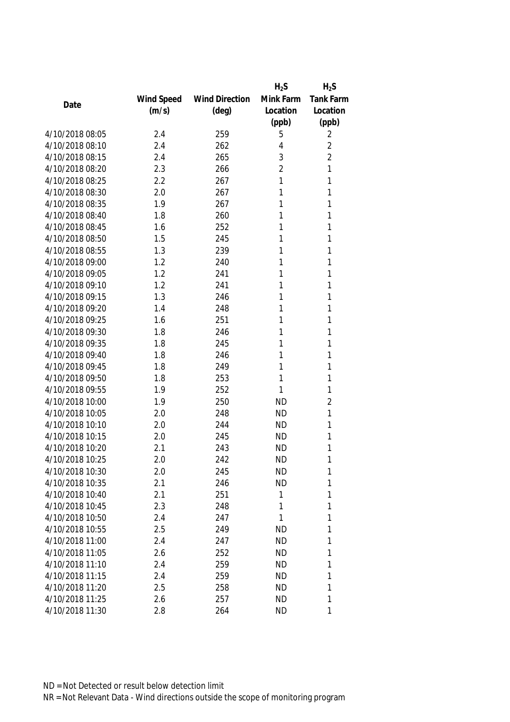|                 |            |                       | $H_2S$         | $H_2S$           |
|-----------------|------------|-----------------------|----------------|------------------|
|                 | Wind Speed | <b>Wind Direction</b> | Mink Farm      | <b>Tank Farm</b> |
| Date            | (m/s)      | $(\text{deg})$        | Location       | Location         |
|                 |            |                       | (ppb)          | (ppb)            |
| 4/10/2018 08:05 | 2.4        | 259                   | 5              | 2                |
| 4/10/2018 08:10 | 2.4        | 262                   | 4              | $\overline{2}$   |
| 4/10/2018 08:15 | 2.4        | 265                   | 3              | $\overline{2}$   |
| 4/10/2018 08:20 | 2.3        | 266                   | $\overline{2}$ | 1                |
| 4/10/2018 08:25 | 2.2        | 267                   | 1              | 1                |
| 4/10/2018 08:30 | 2.0        | 267                   | 1              | 1                |
| 4/10/2018 08:35 | 1.9        | 267                   | 1              | 1                |
| 4/10/2018 08:40 | 1.8        | 260                   | 1              | 1                |
| 4/10/2018 08:45 | 1.6        | 252                   | 1              | 1                |
| 4/10/2018 08:50 | 1.5        | 245                   | 1              | 1                |
| 4/10/2018 08:55 | 1.3        | 239                   | 1              | 1                |
| 4/10/2018 09:00 | 1.2        | 240                   | 1              | 1                |
| 4/10/2018 09:05 | 1.2        | 241                   | 1              | 1                |
| 4/10/2018 09:10 | 1.2        | 241                   | 1              | 1                |
| 4/10/2018 09:15 | 1.3        | 246                   | 1              | 1                |
| 4/10/2018 09:20 | 1.4        | 248                   | 1              | 1                |
| 4/10/2018 09:25 | 1.6        | 251                   | 1              | 1                |
| 4/10/2018 09:30 | 1.8        | 246                   | 1              | 1                |
| 4/10/2018 09:35 | 1.8        | 245                   | 1              | 1                |
| 4/10/2018 09:40 | 1.8        | 246                   | 1              | 1                |
| 4/10/2018 09:45 | 1.8        | 249                   | 1              | 1                |
| 4/10/2018 09:50 | 1.8        | 253                   | 1              | 1                |
| 4/10/2018 09:55 | 1.9        | 252                   | 1              | 1                |
| 4/10/2018 10:00 | 1.9        | 250                   | <b>ND</b>      | $\overline{2}$   |
| 4/10/2018 10:05 | 2.0        | 248                   | <b>ND</b>      | 1                |
| 4/10/2018 10:10 | 2.0        | 244                   | <b>ND</b>      | 1                |
| 4/10/2018 10:15 | 2.0        | 245                   | <b>ND</b>      | 1                |
| 4/10/2018 10:20 | 2.1        | 243                   | <b>ND</b>      | 1                |
| 4/10/2018 10:25 | 2.0        | 242                   | <b>ND</b>      | 1                |
| 4/10/2018 10:30 | 2.0        | 245                   | <b>ND</b>      | 1                |
| 4/10/2018 10:35 | 2.1        | 246                   | <b>ND</b>      | 1                |
| 4/10/2018 10:40 | 2.1        | 251                   | 1              | 1                |
| 4/10/2018 10:45 | 2.3        | 248                   | 1              | 1                |
| 4/10/2018 10:50 | 2.4        | 247                   | 1              | 1                |
| 4/10/2018 10:55 | 2.5        | 249                   | <b>ND</b>      | 1                |
| 4/10/2018 11:00 | 2.4        | 247                   | <b>ND</b>      | 1                |
| 4/10/2018 11:05 | 2.6        | 252                   | <b>ND</b>      | 1                |
| 4/10/2018 11:10 | 2.4        | 259                   | <b>ND</b>      | 1                |
| 4/10/2018 11:15 | 2.4        | 259                   | <b>ND</b>      | 1                |
| 4/10/2018 11:20 | 2.5        | 258                   | <b>ND</b>      | 1                |
| 4/10/2018 11:25 | 2.6        | 257                   | <b>ND</b>      | 1                |
| 4/10/2018 11:30 | 2.8        | 264                   | <b>ND</b>      | 1                |
|                 |            |                       |                |                  |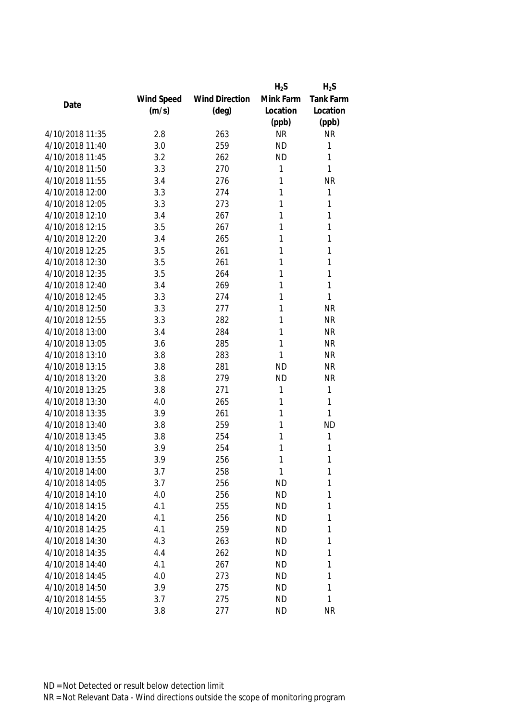|                 |            |                       | $H_2S$    | $H_2S$    |
|-----------------|------------|-----------------------|-----------|-----------|
|                 | Wind Speed | <b>Wind Direction</b> | Mink Farm | Tank Farm |
| Date            | (m/s)      | $(\text{deg})$        | Location  | Location  |
|                 |            |                       | (ppb)     | (ppb)     |
| 4/10/2018 11:35 | 2.8        | 263                   | <b>NR</b> | <b>NR</b> |
| 4/10/2018 11:40 | 3.0        | 259                   | <b>ND</b> | 1         |
| 4/10/2018 11:45 | 3.2        | 262                   | <b>ND</b> | 1         |
| 4/10/2018 11:50 | 3.3        | 270                   | 1         | 1         |
| 4/10/2018 11:55 | 3.4        | 276                   | 1         | <b>NR</b> |
| 4/10/2018 12:00 | 3.3        | 274                   | 1         | 1         |
| 4/10/2018 12:05 | 3.3        | 273                   | 1         | 1         |
| 4/10/2018 12:10 | 3.4        | 267                   | 1         | 1         |
| 4/10/2018 12:15 | 3.5        | 267                   | 1         | 1         |
| 4/10/2018 12:20 | 3.4        | 265                   | 1         | 1         |
| 4/10/2018 12:25 | 3.5        | 261                   | 1         | 1         |
| 4/10/2018 12:30 | 3.5        | 261                   | 1         | 1         |
| 4/10/2018 12:35 | 3.5        | 264                   | 1         | 1         |
| 4/10/2018 12:40 | 3.4        | 269                   | 1         | 1         |
| 4/10/2018 12:45 | 3.3        | 274                   | 1         | 1         |
| 4/10/2018 12:50 | 3.3        | 277                   | 1         | <b>NR</b> |
| 4/10/2018 12:55 | 3.3        | 282                   | 1         | <b>NR</b> |
| 4/10/2018 13:00 | 3.4        | 284                   | 1         | <b>NR</b> |
| 4/10/2018 13:05 | 3.6        | 285                   | 1         | <b>NR</b> |
| 4/10/2018 13:10 | 3.8        | 283                   | 1         | <b>NR</b> |
| 4/10/2018 13:15 | 3.8        | 281                   | <b>ND</b> | <b>NR</b> |
| 4/10/2018 13:20 | 3.8        | 279                   | <b>ND</b> | <b>NR</b> |
| 4/10/2018 13:25 | 3.8        | 271                   | 1         | 1         |
| 4/10/2018 13:30 | 4.0        | 265                   | 1         | 1         |
| 4/10/2018 13:35 | 3.9        | 261                   | 1         | 1         |
| 4/10/2018 13:40 | 3.8        | 259                   | 1         | <b>ND</b> |
| 4/10/2018 13:45 | 3.8        | 254                   | 1         | 1         |
| 4/10/2018 13:50 | 3.9        | 254                   | 1         | 1         |
| 4/10/2018 13:55 | 3.9        | 256                   | 1         | 1         |
| 4/10/2018 14:00 | 3.7        | 258                   | 1         | 1         |
| 4/10/2018 14:05 | 3.7        | 256                   | <b>ND</b> | 1         |
| 4/10/2018 14:10 | 4.0        | 256                   | <b>ND</b> | 1         |
| 4/10/2018 14:15 | 4.1        | 255                   | <b>ND</b> | 1         |
| 4/10/2018 14:20 | 4.1        | 256                   | <b>ND</b> | 1         |
| 4/10/2018 14:25 | 4.1        | 259                   | <b>ND</b> | 1         |
| 4/10/2018 14:30 | 4.3        | 263                   | <b>ND</b> | 1         |
| 4/10/2018 14:35 | 4.4        | 262                   | <b>ND</b> | 1         |
| 4/10/2018 14:40 | 4.1        | 267                   | <b>ND</b> | 1         |
| 4/10/2018 14:45 | 4.0        | 273                   | <b>ND</b> | 1         |
| 4/10/2018 14:50 | 3.9        | 275                   | <b>ND</b> | 1         |
| 4/10/2018 14:55 | 3.7        | 275                   | <b>ND</b> | 1         |
| 4/10/2018 15:00 | 3.8        | 277                   | <b>ND</b> | <b>NR</b> |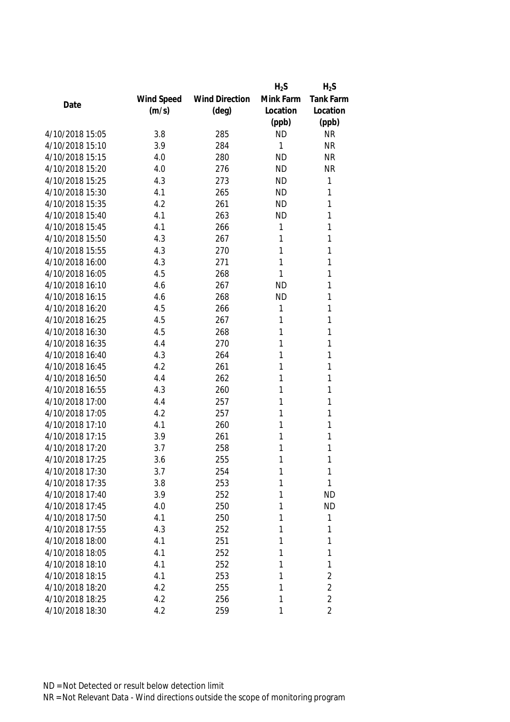|                 |            |                       | $H_2S$    | $H_2S$           |
|-----------------|------------|-----------------------|-----------|------------------|
|                 | Wind Speed | <b>Wind Direction</b> | Mink Farm | <b>Tank Farm</b> |
| Date            | (m/s)      | $(\text{deg})$        | Location  | Location         |
|                 |            |                       | (ppb)     | (ppb)            |
| 4/10/2018 15:05 | 3.8        | 285                   | <b>ND</b> | <b>NR</b>        |
| 4/10/2018 15:10 | 3.9        | 284                   | 1         | <b>NR</b>        |
| 4/10/2018 15:15 | 4.0        | 280                   | <b>ND</b> | <b>NR</b>        |
| 4/10/2018 15:20 | 4.0        | 276                   | <b>ND</b> | <b>NR</b>        |
| 4/10/2018 15:25 | 4.3        | 273                   | <b>ND</b> | 1                |
| 4/10/2018 15:30 | 4.1        | 265                   | <b>ND</b> | 1                |
| 4/10/2018 15:35 | 4.2        | 261                   | <b>ND</b> | 1                |
| 4/10/2018 15:40 | 4.1        | 263                   | <b>ND</b> | 1                |
| 4/10/2018 15:45 | 4.1        | 266                   | 1         | 1                |
| 4/10/2018 15:50 | 4.3        | 267                   | 1         | 1                |
| 4/10/2018 15:55 | 4.3        | 270                   | 1         | 1                |
| 4/10/2018 16:00 | 4.3        | 271                   | 1         | 1                |
| 4/10/2018 16:05 | 4.5        | 268                   | 1         | 1                |
| 4/10/2018 16:10 | 4.6        | 267                   | <b>ND</b> | 1                |
| 4/10/2018 16:15 | 4.6        | 268                   | <b>ND</b> | 1                |
| 4/10/2018 16:20 | 4.5        | 266                   | 1         | 1                |
| 4/10/2018 16:25 | 4.5        | 267                   | 1         | 1                |
| 4/10/2018 16:30 | 4.5        | 268                   | 1         | 1                |
| 4/10/2018 16:35 | 4.4        | 270                   | 1         | 1                |
| 4/10/2018 16:40 | 4.3        | 264                   | 1         | 1                |
| 4/10/2018 16:45 | 4.2        | 261                   | 1         | 1                |
| 4/10/2018 16:50 | 4.4        | 262                   | 1         | 1                |
| 4/10/2018 16:55 | 4.3        | 260                   | 1         | 1                |
| 4/10/2018 17:00 | 4.4        | 257                   | 1         | 1                |
| 4/10/2018 17:05 | 4.2        | 257                   | 1         | 1                |
| 4/10/2018 17:10 | 4.1        | 260                   | 1         | 1                |
| 4/10/2018 17:15 | 3.9        | 261                   | 1         | 1                |
| 4/10/2018 17:20 | 3.7        | 258                   | 1         | 1                |
| 4/10/2018 17:25 | 3.6        | 255                   | 1         | 1                |
| 4/10/2018 17:30 | 3.7        | 254                   | 1         | 1                |
| 4/10/2018 17:35 | 3.8        | 253                   | 1         | 1                |
| 4/10/2018 17:40 | 3.9        | 252                   | 1         | <b>ND</b>        |
| 4/10/2018 17:45 | 4.0        | 250                   | 1         | <b>ND</b>        |
| 4/10/2018 17:50 | 4.1        | 250                   | 1         | 1                |
| 4/10/2018 17:55 | 4.3        | 252                   | 1         | 1                |
| 4/10/2018 18:00 | 4.1        | 251                   | 1         | 1                |
| 4/10/2018 18:05 | 4.1        | 252                   | 1         | 1                |
| 4/10/2018 18:10 | 4.1        | 252                   | 1         | 1                |
| 4/10/2018 18:15 | 4.1        | 253                   | 1         | $\overline{2}$   |
| 4/10/2018 18:20 | 4.2        | 255                   | 1         | $\overline{2}$   |
| 4/10/2018 18:25 | 4.2        | 256                   | 1         | $\overline{2}$   |
| 4/10/2018 18:30 | 4.2        | 259                   | 1         | $\overline{2}$   |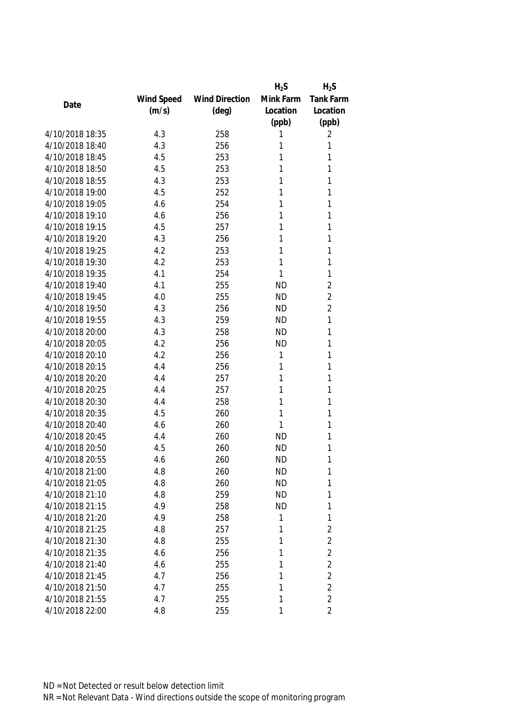|                 |            |                       | $H_2S$    | $H_2S$           |
|-----------------|------------|-----------------------|-----------|------------------|
|                 | Wind Speed | <b>Wind Direction</b> | Mink Farm | <b>Tank Farm</b> |
| Date            | (m/s)      | $(\text{deg})$        | Location  | Location         |
|                 |            |                       | (ppb)     | (ppb)            |
| 4/10/2018 18:35 | 4.3        | 258                   | Τ         | 2                |
| 4/10/2018 18:40 | 4.3        | 256                   | 1         | 1                |
| 4/10/2018 18:45 | 4.5        | 253                   | 1         | 1                |
| 4/10/2018 18:50 | 4.5        | 253                   | 1         | 1                |
| 4/10/2018 18:55 | 4.3        | 253                   | 1         | 1                |
| 4/10/2018 19:00 | 4.5        | 252                   | 1         | 1                |
| 4/10/2018 19:05 | 4.6        | 254                   | 1         | 1                |
| 4/10/2018 19:10 | 4.6        | 256                   | 1         | 1                |
| 4/10/2018 19:15 | 4.5        | 257                   | 1         | 1                |
| 4/10/2018 19:20 | 4.3        | 256                   | 1         | 1                |
| 4/10/2018 19:25 | 4.2        | 253                   | 1         | 1                |
| 4/10/2018 19:30 | 4.2        | 253                   | 1         | 1                |
| 4/10/2018 19:35 | 4.1        | 254                   | 1         | 1                |
| 4/10/2018 19:40 | 4.1        | 255                   | <b>ND</b> | $\overline{2}$   |
| 4/10/2018 19:45 | 4.0        | 255                   | <b>ND</b> | $\overline{2}$   |
| 4/10/2018 19:50 | 4.3        | 256                   | <b>ND</b> | $\overline{2}$   |
| 4/10/2018 19:55 | 4.3        | 259                   | <b>ND</b> | 1                |
| 4/10/2018 20:00 | 4.3        | 258                   | <b>ND</b> | 1                |
| 4/10/2018 20:05 | 4.2        | 256                   | <b>ND</b> | 1                |
| 4/10/2018 20:10 | 4.2        | 256                   | 1         | 1                |
| 4/10/2018 20:15 | 4.4        | 256                   | 1         | 1                |
| 4/10/2018 20:20 | 4.4        | 257                   | 1         | 1                |
| 4/10/2018 20:25 | 4.4        | 257                   | 1         | 1                |
| 4/10/2018 20:30 | 4.4        | 258                   | 1         | 1                |
| 4/10/2018 20:35 | 4.5        | 260                   | 1         | 1                |
| 4/10/2018 20:40 | 4.6        | 260                   | 1         | 1                |
| 4/10/2018 20:45 | 4.4        | 260                   | <b>ND</b> | 1                |
| 4/10/2018 20:50 | 4.5        | 260                   | <b>ND</b> | 1                |
| 4/10/2018 20:55 | 4.6        | 260                   | <b>ND</b> | 1                |
| 4/10/2018 21:00 | 4.8        | 260                   | <b>ND</b> | 1                |
| 4/10/2018 21:05 | 4.8        | 260                   | <b>ND</b> | 1                |
| 4/10/2018 21:10 | 4.8        | 259                   | <b>ND</b> | 1                |
| 4/10/2018 21:15 | 4.9        | 258                   | <b>ND</b> | 1                |
| 4/10/2018 21:20 | 4.9        | 258                   | 1         | 1                |
| 4/10/2018 21:25 | 4.8        | 257                   | 1         | $\sqrt{2}$       |
| 4/10/2018 21:30 | 4.8        | 255                   | 1         | $\sqrt{2}$       |
| 4/10/2018 21:35 | 4.6        | 256                   | 1         | $\overline{2}$   |
| 4/10/2018 21:40 | 4.6        | 255                   | 1         | $\sqrt{2}$       |
| 4/10/2018 21:45 | 4.7        | 256                   | 1         | $\overline{2}$   |
| 4/10/2018 21:50 | 4.7        | 255                   | 1         | $\overline{2}$   |
| 4/10/2018 21:55 | 4.7        | 255                   | 1         | $\overline{2}$   |
| 4/10/2018 22:00 | 4.8        | 255                   | 1         | $\overline{2}$   |
|                 |            |                       |           |                  |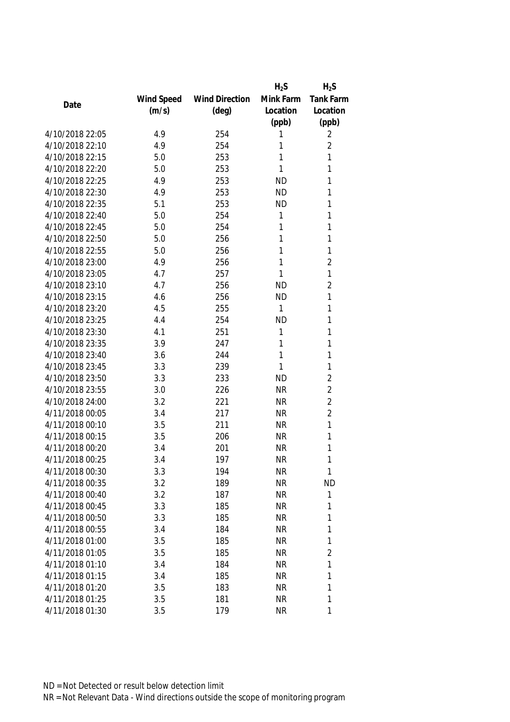|                 |            |                       | $H_2S$    | $H_2S$         |
|-----------------|------------|-----------------------|-----------|----------------|
|                 | Wind Speed | <b>Wind Direction</b> | Mink Farm | Tank Farm      |
| Date            | (m/s)      | $(\text{deg})$        | Location  | Location       |
|                 |            |                       | (ppb)     | (ppb)          |
| 4/10/2018 22:05 | 4.9        | 254                   | 1         | 2              |
| 4/10/2018 22:10 | 4.9        | 254                   | 1         | $\overline{2}$ |
| 4/10/2018 22:15 | 5.0        | 253                   | 1         | 1              |
| 4/10/2018 22:20 | 5.0        | 253                   | 1         | 1              |
| 4/10/2018 22:25 | 4.9        | 253                   | <b>ND</b> | 1              |
| 4/10/2018 22:30 | 4.9        | 253                   | <b>ND</b> | 1              |
| 4/10/2018 22:35 | 5.1        | 253                   | <b>ND</b> | 1              |
| 4/10/2018 22:40 | 5.0        | 254                   | 1         | 1              |
| 4/10/2018 22:45 | 5.0        | 254                   | 1         | 1              |
| 4/10/2018 22:50 | 5.0        | 256                   | 1         | 1              |
| 4/10/2018 22:55 | 5.0        | 256                   | 1         | 1              |
| 4/10/2018 23:00 | 4.9        | 256                   | 1         | $\overline{2}$ |
| 4/10/2018 23:05 | 4.7        | 257                   | 1         | 1              |
| 4/10/2018 23:10 | 4.7        | 256                   | <b>ND</b> | $\overline{2}$ |
| 4/10/2018 23:15 | 4.6        | 256                   | <b>ND</b> | 1              |
| 4/10/2018 23:20 | 4.5        | 255                   | 1         | 1              |
| 4/10/2018 23:25 | 4.4        | 254                   | <b>ND</b> | 1              |
| 4/10/2018 23:30 | 4.1        | 251                   | 1         | 1              |
| 4/10/2018 23:35 | 3.9        | 247                   | 1         | 1              |
| 4/10/2018 23:40 | 3.6        | 244                   | 1         | 1              |
| 4/10/2018 23:45 | 3.3        | 239                   | 1         | 1              |
| 4/10/2018 23:50 | 3.3        | 233                   | <b>ND</b> | $\overline{2}$ |
| 4/10/2018 23:55 | 3.0        | 226                   | <b>NR</b> | $\overline{2}$ |
| 4/10/2018 24:00 | 3.2        | 221                   | <b>NR</b> | $\overline{2}$ |
| 4/11/2018 00:05 | 3.4        | 217                   | <b>NR</b> | $\overline{2}$ |
| 4/11/2018 00:10 | 3.5        | 211                   | <b>NR</b> | 1              |
| 4/11/2018 00:15 | 3.5        | 206                   | <b>NR</b> | 1              |
| 4/11/2018 00:20 | 3.4        | 201                   | <b>NR</b> | 1              |
| 4/11/2018 00:25 | 3.4        | 197                   | <b>NR</b> | 1              |
| 4/11/2018 00:30 | 3.3        | 194                   | <b>NR</b> | 1              |
| 4/11/2018 00:35 | 3.2        | 189                   | <b>NR</b> | <b>ND</b>      |
| 4/11/2018 00:40 | 3.2        | 187                   | <b>NR</b> | 1              |
| 4/11/2018 00:45 | 3.3        | 185                   | <b>NR</b> | 1              |
| 4/11/2018 00:50 | 3.3        | 185                   | <b>NR</b> | 1              |
| 4/11/2018 00:55 | 3.4        | 184                   | <b>NR</b> | 1              |
| 4/11/2018 01:00 | 3.5        | 185                   | <b>NR</b> | 1              |
| 4/11/2018 01:05 | 3.5        | 185                   | <b>NR</b> | $\overline{2}$ |
| 4/11/2018 01:10 | 3.4        | 184                   | <b>NR</b> | 1              |
| 4/11/2018 01:15 | 3.4        | 185                   | <b>NR</b> | 1              |
| 4/11/2018 01:20 | 3.5        | 183                   | NR        | 1              |
| 4/11/2018 01:25 | 3.5        | 181                   | <b>NR</b> | 1              |
| 4/11/2018 01:30 | 3.5        | 179                   | <b>NR</b> | 1              |
|                 |            |                       |           |                |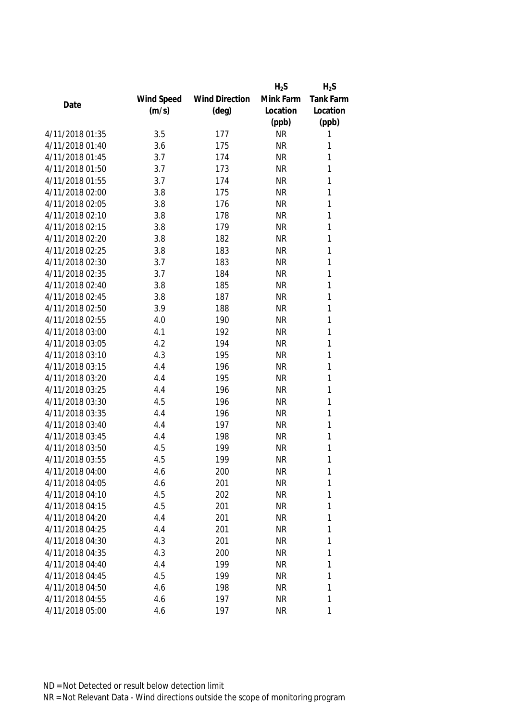|                 |            |                       | $H_2S$    | $H_2S$           |
|-----------------|------------|-----------------------|-----------|------------------|
|                 | Wind Speed | <b>Wind Direction</b> | Mink Farm | <b>Tank Farm</b> |
| Date            | (m/s)      | $(\text{deg})$        | Location  | Location         |
|                 |            |                       | (ppb)     | (ppb)            |
| 4/11/2018 01:35 | 3.5        | 177                   | <b>NR</b> | 1                |
| 4/11/2018 01:40 | 3.6        | 175                   | <b>NR</b> | 1                |
| 4/11/2018 01:45 | 3.7        | 174                   | <b>NR</b> | 1                |
| 4/11/2018 01:50 | 3.7        | 173                   | <b>NR</b> | 1                |
| 4/11/2018 01:55 | 3.7        | 174                   | <b>NR</b> | 1                |
| 4/11/2018 02:00 | 3.8        | 175                   | <b>NR</b> | 1                |
| 4/11/2018 02:05 | 3.8        | 176                   | <b>NR</b> | 1                |
| 4/11/2018 02:10 | 3.8        | 178                   | <b>NR</b> | 1                |
| 4/11/2018 02:15 | 3.8        | 179                   | <b>NR</b> | 1                |
| 4/11/2018 02:20 | 3.8        | 182                   | <b>NR</b> | 1                |
| 4/11/2018 02:25 | 3.8        | 183                   | <b>NR</b> | 1                |
| 4/11/2018 02:30 | 3.7        | 183                   | <b>NR</b> | 1                |
| 4/11/2018 02:35 | 3.7        | 184                   | <b>NR</b> | 1                |
| 4/11/2018 02:40 | 3.8        | 185                   | <b>NR</b> | 1                |
| 4/11/2018 02:45 | 3.8        | 187                   | <b>NR</b> | 1                |
| 4/11/2018 02:50 | 3.9        | 188                   | <b>NR</b> | 1                |
| 4/11/2018 02:55 | 4.0        | 190                   | <b>NR</b> | 1                |
| 4/11/2018 03:00 | 4.1        | 192                   | <b>NR</b> | 1                |
| 4/11/2018 03:05 | 4.2        | 194                   | <b>NR</b> | 1                |
| 4/11/2018 03:10 | 4.3        | 195                   | <b>NR</b> | 1                |
| 4/11/2018 03:15 | 4.4        | 196                   | <b>NR</b> | 1                |
| 4/11/2018 03:20 | 4.4        | 195                   | <b>NR</b> | 1                |
| 4/11/2018 03:25 | 4.4        | 196                   | <b>NR</b> | 1                |
| 4/11/2018 03:30 | 4.5        | 196                   | <b>NR</b> | 1                |
| 4/11/2018 03:35 | 4.4        | 196                   | <b>NR</b> | 1                |
| 4/11/2018 03:40 | 4.4        | 197                   | <b>NR</b> | 1                |
| 4/11/2018 03:45 | 4.4        | 198                   | <b>NR</b> | 1                |
| 4/11/2018 03:50 | 4.5        | 199                   | <b>NR</b> | 1                |
| 4/11/2018 03:55 | 4.5        | 199                   | <b>NR</b> | 1                |
| 4/11/2018 04:00 | 4.6        | 200                   | <b>NR</b> | 1                |
| 4/11/2018 04:05 | 4.6        | 201                   | <b>NR</b> | 1                |
| 4/11/2018 04:10 | 4.5        | 202                   | <b>NR</b> | 1                |
| 4/11/2018 04:15 | 4.5        | 201                   | <b>NR</b> | 1                |
| 4/11/2018 04:20 | 4.4        | 201                   | <b>NR</b> | 1                |
| 4/11/2018 04:25 | 4.4        | 201                   | <b>NR</b> | 1                |
| 4/11/2018 04:30 | 4.3        | 201                   | <b>NR</b> | 1                |
| 4/11/2018 04:35 | 4.3        | 200                   | <b>NR</b> | 1                |
| 4/11/2018 04:40 | 4.4        | 199                   | NR        | 1                |
| 4/11/2018 04:45 | 4.5        | 199                   | <b>NR</b> | 1                |
| 4/11/2018 04:50 | 4.6        | 198                   | NR        | 1                |
| 4/11/2018 04:55 | 4.6        | 197                   | <b>NR</b> | 1                |
| 4/11/2018 05:00 | 4.6        | 197                   | <b>NR</b> | 1                |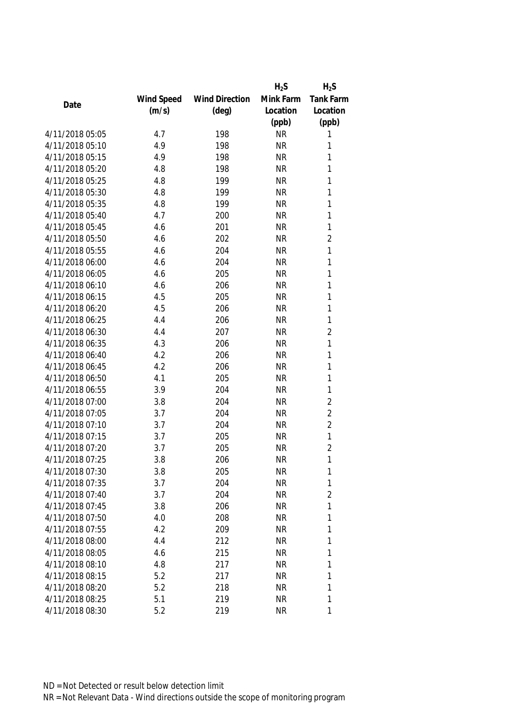|                 |            |                       | $H_2S$    | $H_2S$           |
|-----------------|------------|-----------------------|-----------|------------------|
|                 | Wind Speed | <b>Wind Direction</b> | Mink Farm | <b>Tank Farm</b> |
| Date            | (m/s)      | $(\text{deg})$        | Location  | Location         |
|                 |            |                       | (ppb)     | (ppb)            |
| 4/11/2018 05:05 | 4.7        | 198                   | <b>NR</b> | 1                |
| 4/11/2018 05:10 | 4.9        | 198                   | <b>NR</b> | 1                |
| 4/11/2018 05:15 | 4.9        | 198                   | <b>NR</b> | 1                |
| 4/11/2018 05:20 | 4.8        | 198                   | <b>NR</b> | 1                |
| 4/11/2018 05:25 | 4.8        | 199                   | <b>NR</b> | 1                |
| 4/11/2018 05:30 | 4.8        | 199                   | <b>NR</b> | 1                |
| 4/11/2018 05:35 | 4.8        | 199                   | <b>NR</b> | 1                |
| 4/11/2018 05:40 | 4.7        | 200                   | <b>NR</b> | 1                |
| 4/11/2018 05:45 | 4.6        | 201                   | <b>NR</b> | 1                |
| 4/11/2018 05:50 | 4.6        | 202                   | <b>NR</b> | $\overline{2}$   |
| 4/11/2018 05:55 | 4.6        | 204                   | <b>NR</b> | 1                |
| 4/11/2018 06:00 | 4.6        | 204                   | <b>NR</b> | 1                |
| 4/11/2018 06:05 | 4.6        | 205                   | <b>NR</b> | 1                |
| 4/11/2018 06:10 | 4.6        | 206                   | <b>NR</b> | 1                |
| 4/11/2018 06:15 | 4.5        | 205                   | <b>NR</b> | 1                |
| 4/11/2018 06:20 | 4.5        | 206                   | <b>NR</b> | 1                |
| 4/11/2018 06:25 | 4.4        | 206                   | <b>NR</b> | 1                |
| 4/11/2018 06:30 | 4.4        | 207                   | <b>NR</b> | $\sqrt{2}$       |
| 4/11/2018 06:35 | 4.3        | 206                   | <b>NR</b> | 1                |
| 4/11/2018 06:40 | 4.2        | 206                   | <b>NR</b> | 1                |
| 4/11/2018 06:45 | 4.2        | 206                   | <b>NR</b> | 1                |
| 4/11/2018 06:50 | 4.1        | 205                   | <b>NR</b> | 1                |
| 4/11/2018 06:55 | 3.9        | 204                   | <b>NR</b> | 1                |
| 4/11/2018 07:00 | 3.8        | 204                   | <b>NR</b> | $\overline{2}$   |
| 4/11/2018 07:05 | 3.7        | 204                   | <b>NR</b> | $\overline{2}$   |
| 4/11/2018 07:10 | 3.7        | 204                   | <b>NR</b> | $\overline{2}$   |
| 4/11/2018 07:15 | 3.7        | 205                   | <b>NR</b> | 1                |
| 4/11/2018 07:20 | 3.7        | 205                   | <b>NR</b> | $\overline{2}$   |
| 4/11/2018 07:25 | 3.8        | 206                   | <b>NR</b> | 1                |
| 4/11/2018 07:30 | 3.8        | 205                   | <b>NR</b> | 1                |
| 4/11/2018 07:35 | 3.7        | 204                   | <b>NR</b> | 1                |
| 4/11/2018 07:40 | 3.7        | 204                   | <b>NR</b> | $\overline{2}$   |
| 4/11/2018 07:45 | 3.8        | 206                   | <b>NR</b> | 1                |
| 4/11/2018 07:50 | 4.0        | 208                   | <b>NR</b> | 1                |
| 4/11/2018 07:55 | 4.2        | 209                   | <b>NR</b> | 1                |
| 4/11/2018 08:00 | 4.4        | 212                   | <b>NR</b> | 1                |
| 4/11/2018 08:05 | 4.6        | 215                   | <b>NR</b> | 1                |
| 4/11/2018 08:10 | 4.8        | 217                   | <b>NR</b> | 1                |
| 4/11/2018 08:15 | 5.2        | 217                   | <b>NR</b> | 1                |
| 4/11/2018 08:20 | 5.2        | 218                   | <b>NR</b> | 1                |
| 4/11/2018 08:25 | 5.1        | 219                   | <b>NR</b> | 1                |
| 4/11/2018 08:30 | 5.2        | 219                   | <b>NR</b> | 1                |
|                 |            |                       |           |                  |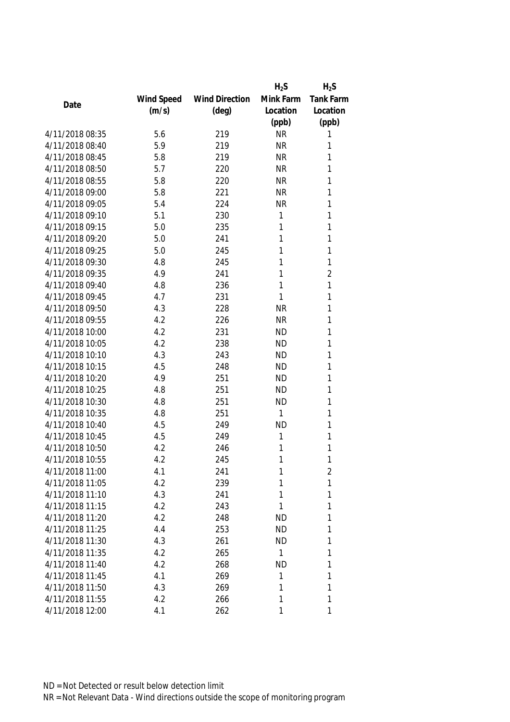|                 |            |                       | $H_2S$    | $H_2S$           |
|-----------------|------------|-----------------------|-----------|------------------|
|                 | Wind Speed | <b>Wind Direction</b> | Mink Farm | <b>Tank Farm</b> |
| Date            | (m/s)      | $(\text{deg})$        | Location  | Location         |
|                 |            |                       | (ppb)     | (ppb)            |
| 4/11/2018 08:35 | 5.6        | 219                   | <b>NR</b> | 1                |
| 4/11/2018 08:40 | 5.9        | 219                   | <b>NR</b> | 1                |
| 4/11/2018 08:45 | 5.8        | 219                   | <b>NR</b> | 1                |
| 4/11/2018 08:50 | 5.7        | 220                   | <b>NR</b> | 1                |
| 4/11/2018 08:55 | 5.8        | 220                   | <b>NR</b> | 1                |
| 4/11/2018 09:00 | 5.8        | 221                   | <b>NR</b> | 1                |
| 4/11/2018 09:05 | 5.4        | 224                   | <b>NR</b> | 1                |
| 4/11/2018 09:10 | 5.1        | 230                   | 1         | 1                |
| 4/11/2018 09:15 | 5.0        | 235                   | 1         | 1                |
| 4/11/2018 09:20 | 5.0        | 241                   | 1         | 1                |
| 4/11/2018 09:25 | 5.0        | 245                   | 1         | 1                |
| 4/11/2018 09:30 | 4.8        | 245                   | 1         | 1                |
| 4/11/2018 09:35 | 4.9        | 241                   | 1         | $\overline{2}$   |
| 4/11/2018 09:40 | 4.8        | 236                   | 1         | 1                |
| 4/11/2018 09:45 | 4.7        | 231                   | 1         | 1                |
| 4/11/2018 09:50 | 4.3        | 228                   | <b>NR</b> | 1                |
| 4/11/2018 09:55 | 4.2        | 226                   | <b>NR</b> | 1                |
| 4/11/2018 10:00 | 4.2        | 231                   | <b>ND</b> | 1                |
| 4/11/2018 10:05 | 4.2        | 238                   | <b>ND</b> | 1                |
| 4/11/2018 10:10 | 4.3        | 243                   | <b>ND</b> | 1                |
| 4/11/2018 10:15 | 4.5        | 248                   | <b>ND</b> | 1                |
| 4/11/2018 10:20 | 4.9        | 251                   | <b>ND</b> | 1                |
| 4/11/2018 10:25 | 4.8        | 251                   | <b>ND</b> | 1                |
| 4/11/2018 10:30 | 4.8        | 251                   | <b>ND</b> | 1                |
| 4/11/2018 10:35 | 4.8        | 251                   | 1         | 1                |
| 4/11/2018 10:40 | 4.5        | 249                   | <b>ND</b> | 1                |
| 4/11/2018 10:45 | 4.5        | 249                   | 1         | 1                |
| 4/11/2018 10:50 | 4.2        | 246                   | 1         | 1                |
| 4/11/2018 10:55 | 4.2        | 245                   | 1         | 1                |
| 4/11/2018 11:00 | 4.1        | 241                   | 1         | 2                |
| 4/11/2018 11:05 | 4.2        | 239                   | 1         | 1                |
| 4/11/2018 11:10 | 4.3        | 241                   | 1         | 1                |
| 4/11/2018 11:15 | 4.2        | 243                   | 1         | 1                |
| 4/11/2018 11:20 | 4.2        | 248                   | <b>ND</b> | 1                |
| 4/11/2018 11:25 | 4.4        | 253                   | <b>ND</b> | 1                |
| 4/11/2018 11:30 | 4.3        | 261                   | <b>ND</b> | 1                |
| 4/11/2018 11:35 | 4.2        | 265                   | 1         | 1                |
| 4/11/2018 11:40 | 4.2        | 268                   | <b>ND</b> | 1                |
| 4/11/2018 11:45 | 4.1        | 269                   | 1         | 1                |
| 4/11/2018 11:50 | 4.3        | 269                   | 1         | 1                |
| 4/11/2018 11:55 | 4.2        | 266                   | 1         | 1                |
| 4/11/2018 12:00 | 4.1        | 262                   | 1         | 1                |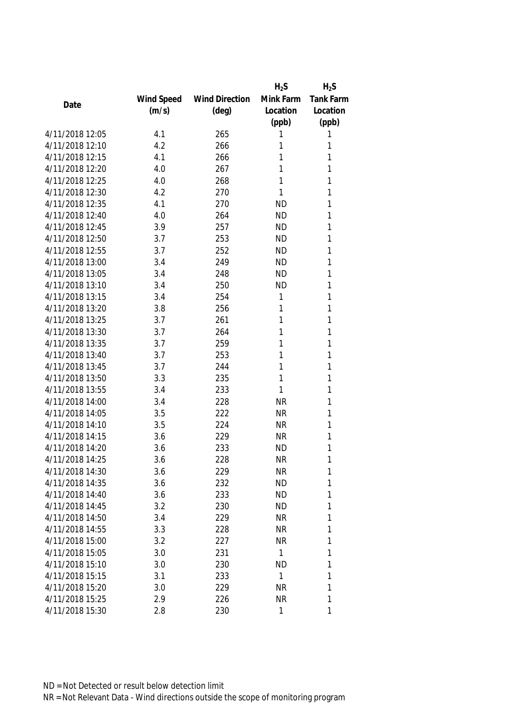|                 |            |                       | $H_2S$       | $H_2S$           |
|-----------------|------------|-----------------------|--------------|------------------|
|                 | Wind Speed | <b>Wind Direction</b> | Mink Farm    | <b>Tank Farm</b> |
| Date            | (m/s)      | $(\text{deg})$        | Location     | Location         |
|                 |            |                       | (ppb)        | (ppb)            |
| 4/11/2018 12:05 | 4.1        | 265                   | Τ            | 1                |
| 4/11/2018 12:10 | 4.2        | 266                   | 1            | 1                |
| 4/11/2018 12:15 | 4.1        | 266                   | 1            | 1                |
| 4/11/2018 12:20 | 4.0        | 267                   | 1            | 1                |
| 4/11/2018 12:25 | 4.0        | 268                   | 1            | 1                |
| 4/11/2018 12:30 | 4.2        | 270                   | 1            | 1                |
| 4/11/2018 12:35 | 4.1        | 270                   | <b>ND</b>    | 1                |
| 4/11/2018 12:40 | 4.0        | 264                   | <b>ND</b>    | 1                |
| 4/11/2018 12:45 | 3.9        | 257                   | <b>ND</b>    | 1                |
| 4/11/2018 12:50 | 3.7        | 253                   | <b>ND</b>    | 1                |
| 4/11/2018 12:55 | 3.7        | 252                   | <b>ND</b>    | 1                |
| 4/11/2018 13:00 | 3.4        | 249                   | <b>ND</b>    | 1                |
| 4/11/2018 13:05 | 3.4        | 248                   | <b>ND</b>    | 1                |
| 4/11/2018 13:10 | 3.4        | 250                   | <b>ND</b>    | 1                |
| 4/11/2018 13:15 | 3.4        | 254                   | 1            | 1                |
| 4/11/2018 13:20 | 3.8        | 256                   | 1            | 1                |
| 4/11/2018 13:25 | 3.7        | 261                   | 1            | 1                |
| 4/11/2018 13:30 | 3.7        | 264                   | 1            | 1                |
| 4/11/2018 13:35 | 3.7        | 259                   | 1            | 1                |
| 4/11/2018 13:40 | 3.7        | 253                   | 1            | 1                |
| 4/11/2018 13:45 | 3.7        | 244                   | 1            | 1                |
| 4/11/2018 13:50 | 3.3        | 235                   | 1            | 1                |
| 4/11/2018 13:55 | 3.4        | 233                   | 1            | 1                |
| 4/11/2018 14:00 | 3.4        | 228                   | <b>NR</b>    | 1                |
| 4/11/2018 14:05 | 3.5        | 222                   | <b>NR</b>    | 1                |
| 4/11/2018 14:10 | 3.5        | 224                   | <b>NR</b>    | 1                |
| 4/11/2018 14:15 | 3.6        | 229                   | <b>NR</b>    | 1                |
| 4/11/2018 14:20 | 3.6        | 233                   | <b>ND</b>    | 1                |
| 4/11/2018 14:25 | 3.6        | 228                   | <b>NR</b>    | 1                |
| 4/11/2018 14:30 | 3.6        | 229                   | <b>NR</b>    | 1                |
| 4/11/2018 14:35 | 3.6        | 232                   | <b>ND</b>    | 1                |
| 4/11/2018 14:40 | 3.6        | 233                   | <b>ND</b>    | 1                |
| 4/11/2018 14:45 | 3.2        | 230                   | <b>ND</b>    | 1                |
| 4/11/2018 14:50 | 3.4        | 229                   | <b>NR</b>    | 1                |
| 4/11/2018 14:55 | 3.3        | 228                   | <b>NR</b>    | 1                |
| 4/11/2018 15:00 | 3.2        | 227                   | <b>NR</b>    | 1                |
| 4/11/2018 15:05 | 3.0        | 231                   | 1            | 1                |
| 4/11/2018 15:10 | 3.0        | 230                   | <b>ND</b>    | 1                |
| 4/11/2018 15:15 | 3.1        | 233                   | 1            | 1                |
| 4/11/2018 15:20 | 3.0        | 229                   | <b>NR</b>    | 1                |
| 4/11/2018 15:25 | 2.9        | 226                   | <b>NR</b>    | 1                |
| 4/11/2018 15:30 | 2.8        | 230                   | $\mathbf{1}$ | 1                |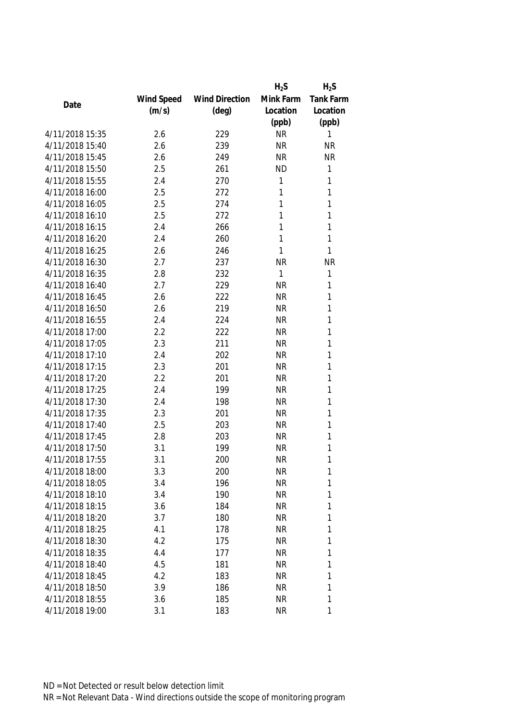|                 |            |                       | $H_2S$    | $H_2S$           |
|-----------------|------------|-----------------------|-----------|------------------|
|                 | Wind Speed | <b>Wind Direction</b> | Mink Farm | <b>Tank Farm</b> |
| Date            | (m/s)      | $(\text{deg})$        | Location  | Location         |
|                 |            |                       | (ppb)     | (ppb)            |
| 4/11/2018 15:35 | 2.6        | 229                   | <b>NR</b> | 1                |
| 4/11/2018 15:40 | 2.6        | 239                   | <b>NR</b> | <b>NR</b>        |
| 4/11/2018 15:45 | 2.6        | 249                   | <b>NR</b> | <b>NR</b>        |
| 4/11/2018 15:50 | 2.5        | 261                   | <b>ND</b> | 1                |
| 4/11/2018 15:55 | 2.4        | 270                   | 1         | 1                |
| 4/11/2018 16:00 | 2.5        | 272                   | 1         | 1                |
| 4/11/2018 16:05 | 2.5        | 274                   | 1         | 1                |
| 4/11/2018 16:10 | 2.5        | 272                   | 1         | 1                |
| 4/11/2018 16:15 | 2.4        | 266                   | 1         | 1                |
| 4/11/2018 16:20 | 2.4        | 260                   | 1         | 1                |
| 4/11/2018 16:25 | 2.6        | 246                   | 1         | 1                |
| 4/11/2018 16:30 | 2.7        | 237                   | <b>NR</b> | <b>NR</b>        |
| 4/11/2018 16:35 | 2.8        | 232                   | 1         | 1                |
| 4/11/2018 16:40 | 2.7        | 229                   | <b>NR</b> | 1                |
| 4/11/2018 16:45 | 2.6        | 222                   | <b>NR</b> | 1                |
| 4/11/2018 16:50 | 2.6        | 219                   | <b>NR</b> | 1                |
| 4/11/2018 16:55 | 2.4        | 224                   | <b>NR</b> | 1                |
| 4/11/2018 17:00 | 2.2        | 222                   | <b>NR</b> | 1                |
| 4/11/2018 17:05 | 2.3        | 211                   | <b>NR</b> | 1                |
| 4/11/2018 17:10 | 2.4        | 202                   | <b>NR</b> | 1                |
| 4/11/2018 17:15 | 2.3        | 201                   | <b>NR</b> | 1                |
| 4/11/2018 17:20 | 2.2        | 201                   | <b>NR</b> | 1                |
| 4/11/2018 17:25 | 2.4        | 199                   | <b>NR</b> | 1                |
| 4/11/2018 17:30 | 2.4        | 198                   | <b>NR</b> | 1                |
| 4/11/2018 17:35 | 2.3        | 201                   | <b>NR</b> | 1                |
| 4/11/2018 17:40 | 2.5        | 203                   | <b>NR</b> | 1                |
| 4/11/2018 17:45 | 2.8        | 203                   | <b>NR</b> | 1                |
| 4/11/2018 17:50 | 3.1        | 199                   | <b>NR</b> | 1                |
| 4/11/2018 17:55 | 3.1        | 200                   | <b>NR</b> | 1                |
| 4/11/2018 18:00 | 3.3        | 200                   | <b>NR</b> | 1                |
| 4/11/2018 18:05 | 3.4        | 196                   | <b>NR</b> | 1                |
| 4/11/2018 18:10 | 3.4        | 190                   | <b>NR</b> | 1                |
| 4/11/2018 18:15 | 3.6        | 184                   | <b>NR</b> | 1                |
| 4/11/2018 18:20 | 3.7        | 180                   | <b>NR</b> | 1                |
| 4/11/2018 18:25 | 4.1        | 178                   | <b>NR</b> | 1                |
| 4/11/2018 18:30 | 4.2        | 175                   | NR        | 1                |
| 4/11/2018 18:35 | 4.4        | 177                   | <b>NR</b> | 1                |
| 4/11/2018 18:40 | 4.5        | 181                   | <b>NR</b> | 1                |
| 4/11/2018 18:45 | 4.2        | 183                   | <b>NR</b> | 1                |
| 4/11/2018 18:50 | 3.9        | 186                   | NR        | 1                |
| 4/11/2018 18:55 | 3.6        | 185                   | <b>NR</b> | 1                |
| 4/11/2018 19:00 | 3.1        | 183                   | <b>NR</b> | 1                |
|                 |            |                       |           |                  |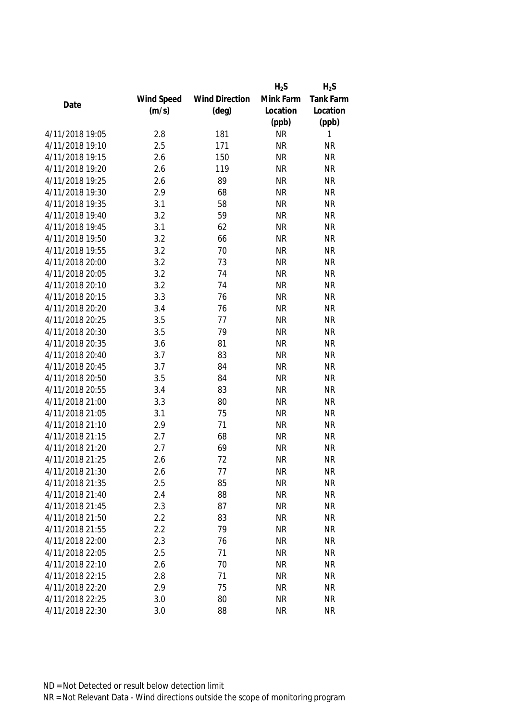|                 |            |                       | $H_2S$    | $H_2S$    |
|-----------------|------------|-----------------------|-----------|-----------|
|                 | Wind Speed | <b>Wind Direction</b> | Mink Farm | Tank Farm |
| Date            | (m/s)      | $(\text{deg})$        | Location  | Location  |
|                 |            |                       | (ppb)     | (ppb)     |
| 4/11/2018 19:05 | 2.8        | 181                   | <b>NR</b> | 1         |
| 4/11/2018 19:10 | 2.5        | 171                   | <b>NR</b> | <b>NR</b> |
| 4/11/2018 19:15 | 2.6        | 150                   | <b>NR</b> | <b>NR</b> |
| 4/11/2018 19:20 | 2.6        | 119                   | <b>NR</b> | <b>NR</b> |
| 4/11/2018 19:25 | 2.6        | 89                    | <b>NR</b> | <b>NR</b> |
| 4/11/2018 19:30 | 2.9        | 68                    | <b>NR</b> | <b>NR</b> |
| 4/11/2018 19:35 | 3.1        | 58                    | <b>NR</b> | <b>NR</b> |
| 4/11/2018 19:40 | 3.2        | 59                    | <b>NR</b> | <b>NR</b> |
| 4/11/2018 19:45 | 3.1        | 62                    | <b>NR</b> | <b>NR</b> |
| 4/11/2018 19:50 | 3.2        | 66                    | <b>NR</b> | <b>NR</b> |
| 4/11/2018 19:55 | 3.2        | 70                    | <b>NR</b> | <b>NR</b> |
| 4/11/2018 20:00 | 3.2        | 73                    | <b>NR</b> | <b>NR</b> |
| 4/11/2018 20:05 | 3.2        | 74                    | <b>NR</b> | <b>NR</b> |
| 4/11/2018 20:10 | 3.2        | 74                    | <b>NR</b> | <b>NR</b> |
| 4/11/2018 20:15 | 3.3        | 76                    | <b>NR</b> | <b>NR</b> |
| 4/11/2018 20:20 | 3.4        | 76                    | <b>NR</b> | <b>NR</b> |
| 4/11/2018 20:25 | 3.5        | 77                    | <b>NR</b> | <b>NR</b> |
| 4/11/2018 20:30 | 3.5        | 79                    | <b>NR</b> | <b>NR</b> |
| 4/11/2018 20:35 | 3.6        | 81                    | <b>NR</b> | <b>NR</b> |
| 4/11/2018 20:40 | 3.7        | 83                    | <b>NR</b> | <b>NR</b> |
| 4/11/2018 20:45 | 3.7        | 84                    | <b>NR</b> | <b>NR</b> |
| 4/11/2018 20:50 | 3.5        | 84                    | <b>NR</b> | <b>NR</b> |
| 4/11/2018 20:55 | 3.4        | 83                    | <b>NR</b> | <b>NR</b> |
| 4/11/2018 21:00 | 3.3        | 80                    | <b>NR</b> | <b>NR</b> |
| 4/11/2018 21:05 | 3.1        | 75                    | <b>NR</b> | <b>NR</b> |
| 4/11/2018 21:10 | 2.9        | 71                    | <b>NR</b> | <b>NR</b> |
| 4/11/2018 21:15 | 2.7        | 68                    | <b>NR</b> | <b>NR</b> |
| 4/11/2018 21:20 | 2.7        | 69                    | <b>NR</b> | <b>NR</b> |
| 4/11/2018 21:25 | 2.6        | 72                    | <b>NR</b> | <b>NR</b> |
| 4/11/2018 21:30 | 2.6        | 77                    | <b>NR</b> | <b>NR</b> |
| 4/11/2018 21:35 | 2.5        | 85                    | <b>NR</b> | <b>NR</b> |
| 4/11/2018 21:40 | 2.4        | 88                    | <b>NR</b> | <b>NR</b> |
| 4/11/2018 21:45 | 2.3        | 87                    | <b>NR</b> | <b>NR</b> |
| 4/11/2018 21:50 | 2.2        | 83                    | <b>NR</b> | <b>NR</b> |
| 4/11/2018 21:55 | 2.2        | 79                    | <b>NR</b> | <b>NR</b> |
| 4/11/2018 22:00 | 2.3        | 76                    | <b>NR</b> | <b>NR</b> |
| 4/11/2018 22:05 | 2.5        | 71                    | <b>NR</b> | <b>NR</b> |
| 4/11/2018 22:10 | 2.6        | 70                    | <b>NR</b> | <b>NR</b> |
| 4/11/2018 22:15 | 2.8        | 71                    | <b>NR</b> | <b>NR</b> |
| 4/11/2018 22:20 | 2.9        | 75                    | <b>NR</b> | <b>NR</b> |
| 4/11/2018 22:25 | 3.0        | 80                    | <b>NR</b> | <b>NR</b> |
| 4/11/2018 22:30 | 3.0        | 88                    | <b>NR</b> | <b>NR</b> |
|                 |            |                       |           |           |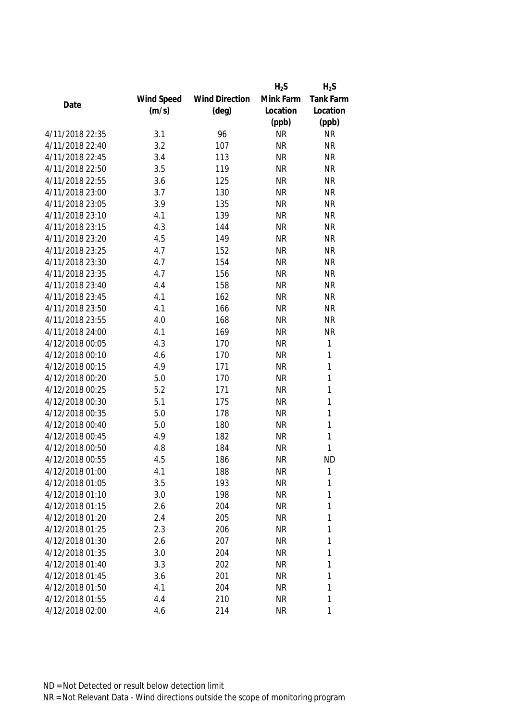|                 |            |                       | $H_2S$    | $H_2S$           |
|-----------------|------------|-----------------------|-----------|------------------|
|                 | Wind Speed | <b>Wind Direction</b> | Mink Farm | <b>Tank Farm</b> |
| Date            | (m/s)      | $(\text{deg})$        | Location  | Location         |
|                 |            |                       | (ppb)     | (ppb)            |
| 4/11/2018 22:35 | 3.1        | 96                    | <b>NR</b> | <b>NR</b>        |
| 4/11/2018 22:40 | 3.2        | 107                   | <b>NR</b> | <b>NR</b>        |
| 4/11/2018 22:45 | 3.4        | 113                   | <b>NR</b> | <b>NR</b>        |
| 4/11/2018 22:50 | 3.5        | 119                   | <b>NR</b> | <b>NR</b>        |
| 4/11/2018 22:55 | 3.6        | 125                   | <b>NR</b> | <b>NR</b>        |
| 4/11/2018 23:00 | 3.7        | 130                   | <b>NR</b> | <b>NR</b>        |
| 4/11/2018 23:05 | 3.9        | 135                   | <b>NR</b> | <b>NR</b>        |
| 4/11/2018 23:10 | 4.1        | 139                   | <b>NR</b> | <b>NR</b>        |
| 4/11/2018 23:15 | 4.3        | 144                   | <b>NR</b> | <b>NR</b>        |
| 4/11/2018 23:20 | 4.5        | 149                   | <b>NR</b> | <b>NR</b>        |
| 4/11/2018 23:25 | 4.7        | 152                   | <b>NR</b> | <b>NR</b>        |
| 4/11/2018 23:30 | 4.7        | 154                   | <b>NR</b> | <b>NR</b>        |
| 4/11/2018 23:35 | 4.7        | 156                   | <b>NR</b> | <b>NR</b>        |
| 4/11/2018 23:40 | 4.4        | 158                   | <b>NR</b> | <b>NR</b>        |
| 4/11/2018 23:45 | 4.1        | 162                   | <b>NR</b> | <b>NR</b>        |
| 4/11/2018 23:50 | 4.1        | 166                   | <b>NR</b> | <b>NR</b>        |
| 4/11/2018 23:55 | 4.0        | 168                   | <b>NR</b> | <b>NR</b>        |
| 4/11/2018 24:00 | 4.1        | 169                   | <b>NR</b> | <b>NR</b>        |
| 4/12/2018 00:05 | 4.3        | 170                   | <b>NR</b> | 1                |
| 4/12/2018 00:10 | 4.6        | 170                   | <b>NR</b> | 1                |
| 4/12/2018 00:15 | 4.9        | 171                   | <b>NR</b> | 1                |
| 4/12/2018 00:20 | 5.0        | 170                   | <b>NR</b> | 1                |
| 4/12/2018 00:25 | 5.2        | 171                   | <b>NR</b> | 1                |
| 4/12/2018 00:30 | 5.1        | 175                   | <b>NR</b> | 1                |
| 4/12/2018 00:35 | 5.0        | 178                   | <b>NR</b> | 1                |
| 4/12/2018 00:40 | 5.0        | 180                   | <b>NR</b> | 1                |
| 4/12/2018 00:45 | 4.9        | 182                   | <b>NR</b> | 1                |
| 4/12/2018 00:50 | 4.8        | 184                   | <b>NR</b> | 1                |
| 4/12/2018 00:55 | 4.5        | 186                   | <b>NR</b> | <b>ND</b>        |
| 4/12/2018 01:00 | 4.1        | 188                   | <b>NR</b> | 1                |
| 4/12/2018 01:05 | 3.5        | 193                   | <b>NR</b> | 1                |
| 4/12/2018 01:10 | 3.0        | 198                   | <b>NR</b> | 1                |
| 4/12/2018 01:15 | 2.6        | 204                   | <b>NR</b> | 1                |
| 4/12/2018 01:20 | 2.4        | 205                   | <b>NR</b> | 1                |
| 4/12/2018 01:25 | 2.3        | 206                   | <b>NR</b> | 1                |
| 4/12/2018 01:30 | 2.6        | 207                   | <b>NR</b> | 1                |
| 4/12/2018 01:35 | 3.0        | 204                   | <b>NR</b> | 1                |
| 4/12/2018 01:40 | 3.3        | 202                   | <b>NR</b> | 1                |
| 4/12/2018 01:45 | 3.6        | 201                   | <b>NR</b> | 1                |
| 4/12/2018 01:50 | 4.1        | 204                   | NR        | 1                |
| 4/12/2018 01:55 | 4.4        | 210                   | <b>NR</b> | 1                |
| 4/12/2018 02:00 | 4.6        | 214                   | <b>NR</b> | 1                |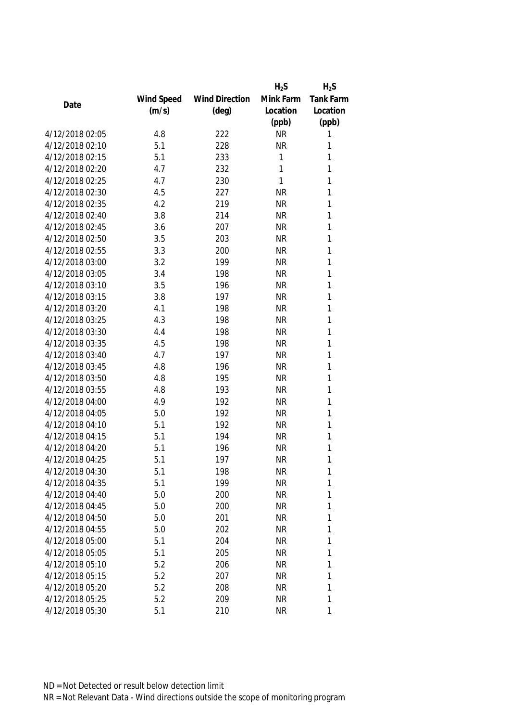|                 |            |                       | $H_2S$    | $H_2S$           |
|-----------------|------------|-----------------------|-----------|------------------|
|                 | Wind Speed | <b>Wind Direction</b> | Mink Farm | <b>Tank Farm</b> |
| Date            | (m/s)      | $(\text{deg})$        | Location  | Location         |
|                 |            |                       | (ppb)     | (ppb)            |
| 4/12/2018 02:05 | 4.8        | 222                   | <b>NR</b> | 1                |
| 4/12/2018 02:10 | 5.1        | 228                   | <b>NR</b> | 1                |
| 4/12/2018 02:15 | 5.1        | 233                   | 1         | 1                |
| 4/12/2018 02:20 | 4.7        | 232                   | 1         | 1                |
| 4/12/2018 02:25 | 4.7        | 230                   | 1         | 1                |
| 4/12/2018 02:30 | 4.5        | 227                   | <b>NR</b> | 1                |
| 4/12/2018 02:35 | 4.2        | 219                   | <b>NR</b> | 1                |
| 4/12/2018 02:40 | 3.8        | 214                   | <b>NR</b> | 1                |
| 4/12/2018 02:45 | 3.6        | 207                   | <b>NR</b> | 1                |
| 4/12/2018 02:50 | 3.5        | 203                   | <b>NR</b> | 1                |
| 4/12/2018 02:55 | 3.3        | 200                   | <b>NR</b> | 1                |
| 4/12/2018 03:00 | 3.2        | 199                   | <b>NR</b> | 1                |
| 4/12/2018 03:05 | 3.4        | 198                   | <b>NR</b> | 1                |
| 4/12/2018 03:10 | 3.5        | 196                   | <b>NR</b> | 1                |
| 4/12/2018 03:15 | 3.8        | 197                   | <b>NR</b> | 1                |
| 4/12/2018 03:20 | 4.1        | 198                   | <b>NR</b> | 1                |
| 4/12/2018 03:25 | 4.3        | 198                   | <b>NR</b> | 1                |
| 4/12/2018 03:30 | 4.4        | 198                   | <b>NR</b> | 1                |
| 4/12/2018 03:35 | 4.5        | 198                   | <b>NR</b> | 1                |
| 4/12/2018 03:40 | 4.7        | 197                   | <b>NR</b> | 1                |
| 4/12/2018 03:45 | 4.8        | 196                   | <b>NR</b> | 1                |
| 4/12/2018 03:50 | 4.8        | 195                   | <b>NR</b> | 1                |
| 4/12/2018 03:55 | 4.8        | 193                   | <b>NR</b> | 1                |
| 4/12/2018 04:00 | 4.9        | 192                   | <b>NR</b> | 1                |
| 4/12/2018 04:05 | 5.0        | 192                   | <b>NR</b> | 1                |
| 4/12/2018 04:10 | 5.1        | 192                   | <b>NR</b> | 1                |
| 4/12/2018 04:15 | 5.1        | 194                   | <b>NR</b> | 1                |
| 4/12/2018 04:20 | 5.1        | 196                   | <b>NR</b> | 1                |
| 4/12/2018 04:25 | 5.1        | 197                   | <b>NR</b> | 1                |
| 4/12/2018 04:30 | 5.1        | 198                   | <b>NR</b> | 1                |
| 4/12/2018 04:35 | 5.1        | 199                   | <b>NR</b> | 1                |
| 4/12/2018 04:40 | 5.0        | 200                   | <b>NR</b> | 1                |
| 4/12/2018 04:45 | 5.0        | 200                   | <b>NR</b> | 1                |
| 4/12/2018 04:50 | 5.0        | 201                   | <b>NR</b> | 1                |
| 4/12/2018 04:55 | 5.0        | 202                   | <b>NR</b> | 1                |
| 4/12/2018 05:00 | 5.1        | 204                   | <b>NR</b> | 1                |
| 4/12/2018 05:05 | 5.1        | 205                   | <b>NR</b> | 1                |
| 4/12/2018 05:10 | 5.2        | 206                   | <b>NR</b> | 1                |
| 4/12/2018 05:15 | 5.2        | 207                   | <b>NR</b> | 1                |
| 4/12/2018 05:20 | 5.2        | 208                   | NR        | 1                |
| 4/12/2018 05:25 | 5.2        | 209                   | <b>NR</b> | 1                |
| 4/12/2018 05:30 | 5.1        | 210                   | <b>NR</b> | 1                |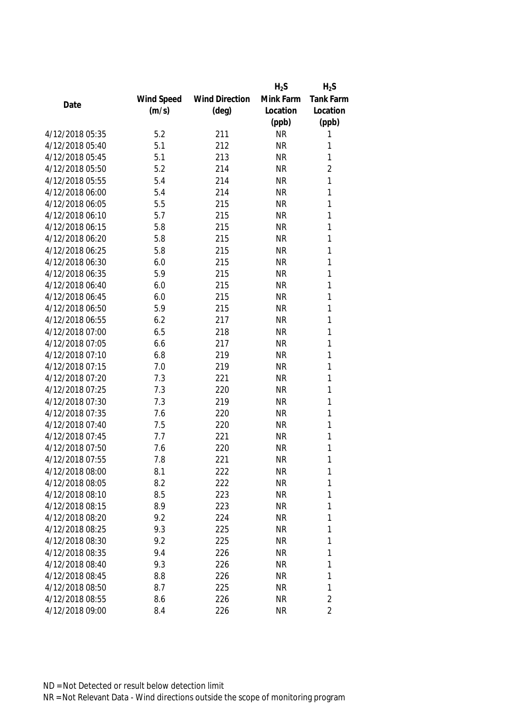|                 |            |                       | $H_2S$    | $H_2S$           |
|-----------------|------------|-----------------------|-----------|------------------|
|                 | Wind Speed | <b>Wind Direction</b> | Mink Farm | <b>Tank Farm</b> |
| Date            | (m/s)      | $(\text{deg})$        | Location  | Location         |
|                 |            |                       | (ppb)     | (ppb)            |
| 4/12/2018 05:35 | 5.2        | 211                   | <b>NR</b> | 1                |
| 4/12/2018 05:40 | 5.1        | 212                   | <b>NR</b> | 1                |
| 4/12/2018 05:45 | 5.1        | 213                   | <b>NR</b> | 1                |
| 4/12/2018 05:50 | 5.2        | 214                   | <b>NR</b> | $\overline{2}$   |
| 4/12/2018 05:55 | 5.4        | 214                   | <b>NR</b> | 1                |
| 4/12/2018 06:00 | 5.4        | 214                   | <b>NR</b> | 1                |
| 4/12/2018 06:05 | 5.5        | 215                   | <b>NR</b> | 1                |
| 4/12/2018 06:10 | 5.7        | 215                   | <b>NR</b> | 1                |
| 4/12/2018 06:15 | 5.8        | 215                   | <b>NR</b> | 1                |
| 4/12/2018 06:20 | 5.8        | 215                   | <b>NR</b> | 1                |
| 4/12/2018 06:25 | 5.8        | 215                   | <b>NR</b> | 1                |
| 4/12/2018 06:30 | 6.0        | 215                   | <b>NR</b> | 1                |
| 4/12/2018 06:35 | 5.9        | 215                   | <b>NR</b> | 1                |
| 4/12/2018 06:40 | 6.0        | 215                   | <b>NR</b> | 1                |
| 4/12/2018 06:45 | 6.0        | 215                   | <b>NR</b> | 1                |
| 4/12/2018 06:50 | 5.9        | 215                   | <b>NR</b> | 1                |
| 4/12/2018 06:55 | 6.2        | 217                   | <b>NR</b> | 1                |
| 4/12/2018 07:00 | 6.5        | 218                   | <b>NR</b> | 1                |
| 4/12/2018 07:05 | 6.6        | 217                   | <b>NR</b> | 1                |
| 4/12/2018 07:10 | 6.8        | 219                   | <b>NR</b> | 1                |
| 4/12/2018 07:15 | 7.0        | 219                   | <b>NR</b> | 1                |
| 4/12/2018 07:20 | 7.3        | 221                   | <b>NR</b> | 1                |
| 4/12/2018 07:25 | 7.3        | 220                   | <b>NR</b> | 1                |
| 4/12/2018 07:30 | 7.3        | 219                   | <b>NR</b> | 1                |
| 4/12/2018 07:35 | 7.6        | 220                   | <b>NR</b> | 1                |
| 4/12/2018 07:40 | 7.5        | 220                   | <b>NR</b> | 1                |
| 4/12/2018 07:45 | 7.7        | 221                   | <b>NR</b> | 1                |
| 4/12/2018 07:50 | 7.6        | 220                   | <b>NR</b> | 1                |
| 4/12/2018 07:55 | 7.8        | 221                   | <b>NR</b> | 1                |
| 4/12/2018 08:00 | 8.1        | 222                   | <b>NR</b> | 1                |
| 4/12/2018 08:05 | 8.2        | 222                   | <b>NR</b> | 1                |
| 4/12/2018 08:10 | 8.5        | 223                   | <b>NR</b> | 1                |
| 4/12/2018 08:15 | 8.9        | 223                   | <b>NR</b> | 1                |
| 4/12/2018 08:20 | 9.2        | 224                   | <b>NR</b> | 1                |
| 4/12/2018 08:25 | 9.3        | 225                   | <b>NR</b> | 1                |
| 4/12/2018 08:30 | 9.2        | 225                   | <b>NR</b> | 1                |
| 4/12/2018 08:35 | 9.4        | 226                   | <b>NR</b> | 1                |
| 4/12/2018 08:40 | 9.3        | 226                   | <b>NR</b> | 1                |
| 4/12/2018 08:45 | 8.8        | 226                   | <b>NR</b> | 1                |
| 4/12/2018 08:50 | 8.7        | 225                   | NR        | 1                |
| 4/12/2018 08:55 | 8.6        | 226                   | <b>NR</b> | $\overline{2}$   |
| 4/12/2018 09:00 | 8.4        | 226                   | <b>NR</b> | $\overline{2}$   |
|                 |            |                       |           |                  |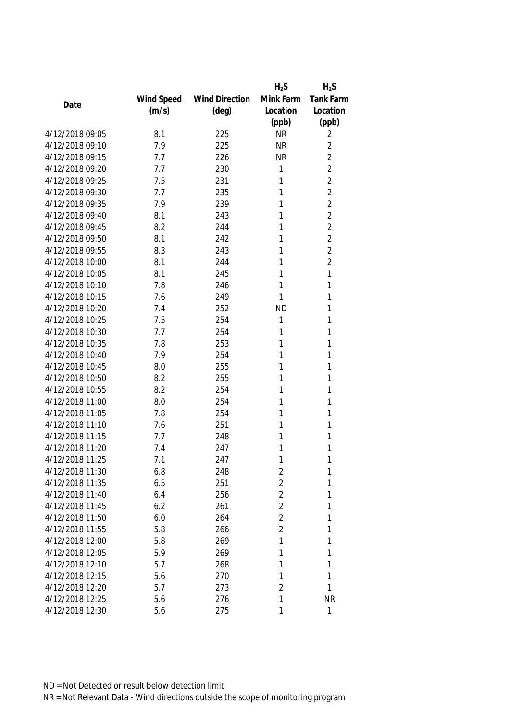|                 |            |                       | $H_2S$         | $H_2S$           |
|-----------------|------------|-----------------------|----------------|------------------|
|                 | Wind Speed | <b>Wind Direction</b> | Mink Farm      | <b>Tank Farm</b> |
| Date            | (m/s)      | $(\text{deg})$        | Location       | Location         |
|                 |            |                       | (ppb)          | (ppb)            |
| 4/12/2018 09:05 | 8.1        | 225                   | <b>NR</b>      | 2                |
| 4/12/2018 09:10 | 7.9        | 225                   | <b>NR</b>      | $\overline{2}$   |
| 4/12/2018 09:15 | 7.7        | 226                   | <b>NR</b>      | $\overline{2}$   |
| 4/12/2018 09:20 | 7.7        | 230                   | 1              | $\overline{2}$   |
| 4/12/2018 09:25 | 7.5        | 231                   | 1              | $\overline{2}$   |
| 4/12/2018 09:30 | 7.7        | 235                   | 1              | $\overline{2}$   |
| 4/12/2018 09:35 | 7.9        | 239                   | 1              | $\overline{2}$   |
| 4/12/2018 09:40 | 8.1        | 243                   | 1              | $\overline{2}$   |
| 4/12/2018 09:45 | 8.2        | 244                   | 1              | $\overline{2}$   |
| 4/12/2018 09:50 | 8.1        | 242                   | 1              | $\overline{2}$   |
| 4/12/2018 09:55 | 8.3        | 243                   | 1              | $\overline{2}$   |
| 4/12/2018 10:00 | 8.1        | 244                   | 1              | $\overline{2}$   |
| 4/12/2018 10:05 | 8.1        | 245                   | 1              | 1                |
| 4/12/2018 10:10 | 7.8        | 246                   | 1              | 1                |
| 4/12/2018 10:15 | 7.6        | 249                   | 1              | 1                |
| 4/12/2018 10:20 | 7.4        | 252                   | <b>ND</b>      | 1                |
| 4/12/2018 10:25 | 7.5        | 254                   | 1              | 1                |
| 4/12/2018 10:30 | 7.7        | 254                   | 1              | 1                |
| 4/12/2018 10:35 | 7.8        | 253                   | 1              | 1                |
| 4/12/2018 10:40 | 7.9        | 254                   | 1              | 1                |
| 4/12/2018 10:45 | 8.0        | 255                   | 1              | 1                |
| 4/12/2018 10:50 | 8.2        | 255                   | 1              | 1                |
| 4/12/2018 10:55 | 8.2        | 254                   | 1              | 1                |
| 4/12/2018 11:00 | 8.0        | 254                   | 1              | 1                |
| 4/12/2018 11:05 | 7.8        | 254                   | 1              | 1                |
| 4/12/2018 11:10 | 7.6        | 251                   | 1              | 1                |
| 4/12/2018 11:15 | 7.7        | 248                   | 1              | 1                |
| 4/12/2018 11:20 | 7.4        | 247                   | 1              | 1                |
| 4/12/2018 11:25 | 7.1        | 247                   | 1              | 1                |
| 4/12/2018 11:30 | 6.8        | 248                   | 2              | 1                |
| 4/12/2018 11:35 | 6.5        | 251                   | $\sqrt{2}$     | 1                |
| 4/12/2018 11:40 | 6.4        | 256                   | $\overline{2}$ | 1                |
| 4/12/2018 11:45 | 6.2        | 261                   | $\overline{2}$ | 1                |
| 4/12/2018 11:50 | 6.0        | 264                   | $\overline{2}$ | 1                |
| 4/12/2018 11:55 | 5.8        | 266                   | 2              | 1                |
| 4/12/2018 12:00 | 5.8        | 269                   | 1              | 1                |
| 4/12/2018 12:05 | 5.9        | 269                   | 1              | 1                |
| 4/12/2018 12:10 | 5.7        | 268                   | 1              | 1                |
| 4/12/2018 12:15 | 5.6        | 270                   | 1              | 1                |
| 4/12/2018 12:20 | 5.7        | 273                   | $\overline{2}$ | 1                |
| 4/12/2018 12:25 | 5.6        | 276                   | 1              | <b>NR</b>        |
| 4/12/2018 12:30 | 5.6        | 275                   | 1              | 1                |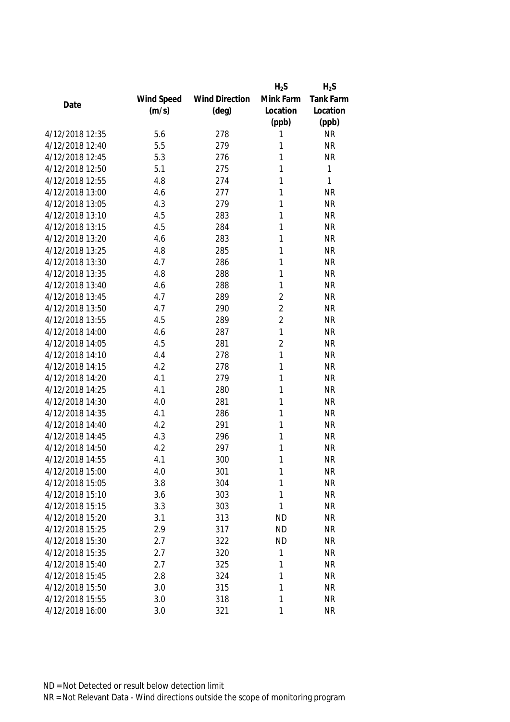|                 |            |                       | $H_2S$         | $H_2S$           |
|-----------------|------------|-----------------------|----------------|------------------|
|                 | Wind Speed | <b>Wind Direction</b> | Mink Farm      | <b>Tank Farm</b> |
| Date            | (m/s)      | $(\text{deg})$        | Location       | Location         |
|                 |            |                       | (ppb)          | (ppb)            |
| 4/12/2018 12:35 | 5.6        | 278                   | 1              | <b>NR</b>        |
| 4/12/2018 12:40 | 5.5        | 279                   | 1              | <b>NR</b>        |
| 4/12/2018 12:45 | 5.3        | 276                   | 1              | <b>NR</b>        |
| 4/12/2018 12:50 | 5.1        | 275                   | 1              | 1                |
| 4/12/2018 12:55 | 4.8        | 274                   | 1              | 1                |
| 4/12/2018 13:00 | 4.6        | 277                   | 1              | <b>NR</b>        |
| 4/12/2018 13:05 | 4.3        | 279                   | 1              | <b>NR</b>        |
| 4/12/2018 13:10 | 4.5        | 283                   | 1              | <b>NR</b>        |
| 4/12/2018 13:15 | 4.5        | 284                   | 1              | <b>NR</b>        |
| 4/12/2018 13:20 | 4.6        | 283                   | 1              | <b>NR</b>        |
| 4/12/2018 13:25 | 4.8        | 285                   | 1              | <b>NR</b>        |
| 4/12/2018 13:30 | 4.7        | 286                   | 1              | <b>NR</b>        |
| 4/12/2018 13:35 | 4.8        | 288                   | 1              | <b>NR</b>        |
| 4/12/2018 13:40 | 4.6        | 288                   | 1              | <b>NR</b>        |
| 4/12/2018 13:45 | 4.7        | 289                   | $\overline{2}$ | <b>NR</b>        |
| 4/12/2018 13:50 | 4.7        | 290                   | $\overline{2}$ | <b>NR</b>        |
| 4/12/2018 13:55 | 4.5        | 289                   | $\overline{2}$ | <b>NR</b>        |
| 4/12/2018 14:00 | 4.6        | 287                   | $\mathbf{1}$   | <b>NR</b>        |
| 4/12/2018 14:05 | 4.5        | 281                   | $\overline{2}$ | <b>NR</b>        |
| 4/12/2018 14:10 | 4.4        | 278                   | 1              | <b>NR</b>        |
| 4/12/2018 14:15 | 4.2        | 278                   | 1              | <b>NR</b>        |
| 4/12/2018 14:20 | 4.1        | 279                   | 1              | <b>NR</b>        |
| 4/12/2018 14:25 | 4.1        | 280                   | 1              | <b>NR</b>        |
| 4/12/2018 14:30 | 4.0        | 281                   | 1              | <b>NR</b>        |
| 4/12/2018 14:35 | 4.1        | 286                   | 1              | <b>NR</b>        |
| 4/12/2018 14:40 | 4.2        | 291                   | 1              | <b>NR</b>        |
| 4/12/2018 14:45 | 4.3        | 296                   | 1              | <b>NR</b>        |
| 4/12/2018 14:50 | 4.2        | 297                   | 1              | <b>NR</b>        |
| 4/12/2018 14:55 | 4.1        | 300                   | 1              | <b>NR</b>        |
| 4/12/2018 15:00 | 4.0        | 301                   | 1              | <b>NR</b>        |
| 4/12/2018 15:05 | 3.8        | 304                   | 1              | <b>NR</b>        |
| 4/12/2018 15:10 | 3.6        | 303                   | 1              | <b>NR</b>        |
| 4/12/2018 15:15 | 3.3        | 303                   | 1              | <b>NR</b>        |
| 4/12/2018 15:20 | 3.1        | 313                   | <b>ND</b>      | <b>NR</b>        |
| 4/12/2018 15:25 | 2.9        | 317                   | <b>ND</b>      | <b>NR</b>        |
| 4/12/2018 15:30 | 2.7        | 322                   | <b>ND</b>      | <b>NR</b>        |
| 4/12/2018 15:35 | 2.7        | 320                   | 1              | <b>NR</b>        |
| 4/12/2018 15:40 | 2.7        | 325                   | 1              | <b>NR</b>        |
| 4/12/2018 15:45 | 2.8        | 324                   | 1              | <b>NR</b>        |
| 4/12/2018 15:50 | 3.0        | 315                   | 1              | <b>NR</b>        |
| 4/12/2018 15:55 | 3.0        | 318                   | 1              | <b>NR</b>        |
| 4/12/2018 16:00 | 3.0        | 321                   | 1              | <b>NR</b>        |
|                 |            |                       |                |                  |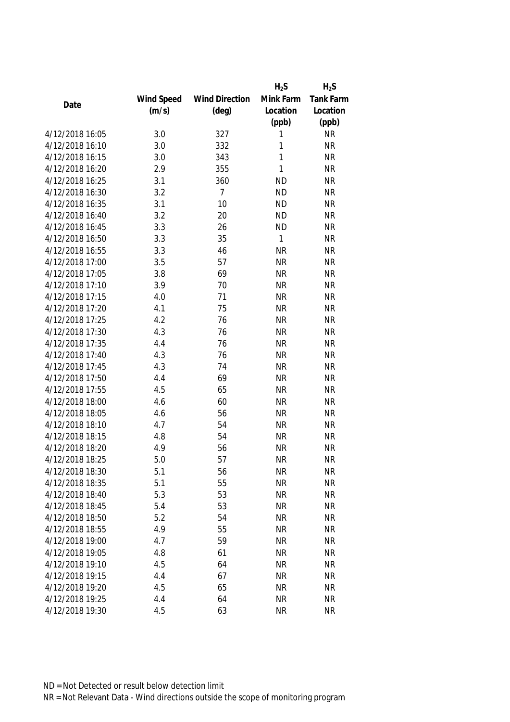|                 |            |                       | $H_2S$       | $H_2S$    |
|-----------------|------------|-----------------------|--------------|-----------|
|                 | Wind Speed | <b>Wind Direction</b> | Mink Farm    | Tank Farm |
| Date            | (m/s)      | $(\text{deg})$        | Location     | Location  |
|                 |            |                       | (ppb)        | (ppb)     |
| 4/12/2018 16:05 | 3.0        | 327                   | 1            | <b>NR</b> |
| 4/12/2018 16:10 | 3.0        | 332                   | 1            | <b>NR</b> |
| 4/12/2018 16:15 | 3.0        | 343                   | $\mathbf{1}$ | <b>NR</b> |
| 4/12/2018 16:20 | 2.9        | 355                   | 1            | <b>NR</b> |
| 4/12/2018 16:25 | 3.1        | 360                   | <b>ND</b>    | <b>NR</b> |
| 4/12/2018 16:30 | 3.2        | 7                     | <b>ND</b>    | <b>NR</b> |
| 4/12/2018 16:35 | 3.1        | 10                    | <b>ND</b>    | <b>NR</b> |
| 4/12/2018 16:40 | 3.2        | 20                    | <b>ND</b>    | <b>NR</b> |
| 4/12/2018 16:45 | 3.3        | 26                    | <b>ND</b>    | <b>NR</b> |
| 4/12/2018 16:50 | 3.3        | 35                    | 1            | <b>NR</b> |
| 4/12/2018 16:55 | 3.3        | 46                    | <b>NR</b>    | <b>NR</b> |
| 4/12/2018 17:00 | 3.5        | 57                    | <b>NR</b>    | <b>NR</b> |
| 4/12/2018 17:05 | 3.8        | 69                    | <b>NR</b>    | <b>NR</b> |
| 4/12/2018 17:10 | 3.9        | 70                    | <b>NR</b>    | <b>NR</b> |
| 4/12/2018 17:15 | 4.0        | 71                    | <b>NR</b>    | <b>NR</b> |
| 4/12/2018 17:20 | 4.1        | 75                    | <b>NR</b>    | <b>NR</b> |
| 4/12/2018 17:25 | 4.2        | 76                    | <b>NR</b>    | <b>NR</b> |
| 4/12/2018 17:30 | 4.3        | 76                    | <b>NR</b>    | <b>NR</b> |
| 4/12/2018 17:35 | 4.4        | 76                    | <b>NR</b>    | <b>NR</b> |
| 4/12/2018 17:40 | 4.3        | 76                    | <b>NR</b>    | <b>NR</b> |
| 4/12/2018 17:45 | 4.3        | 74                    | <b>NR</b>    | <b>NR</b> |
| 4/12/2018 17:50 | 4.4        | 69                    | <b>NR</b>    | <b>NR</b> |
| 4/12/2018 17:55 | 4.5        | 65                    | <b>NR</b>    | <b>NR</b> |
| 4/12/2018 18:00 | 4.6        | 60                    | <b>NR</b>    | <b>NR</b> |
| 4/12/2018 18:05 | 4.6        | 56                    | <b>NR</b>    | <b>NR</b> |
| 4/12/2018 18:10 | 4.7        | 54                    | <b>NR</b>    | <b>NR</b> |
| 4/12/2018 18:15 | 4.8        | 54                    | <b>NR</b>    | <b>NR</b> |
| 4/12/2018 18:20 | 4.9        | 56                    | <b>NR</b>    | <b>NR</b> |
| 4/12/2018 18:25 | 5.0        | 57                    | <b>NR</b>    | <b>NR</b> |
| 4/12/2018 18:30 | 5.1        | 56                    | <b>NR</b>    | ΝR        |
| 4/12/2018 18:35 | 5.1        | 55                    | <b>NR</b>    | <b>NR</b> |
| 4/12/2018 18:40 | 5.3        | 53                    | <b>NR</b>    | <b>NR</b> |
| 4/12/2018 18:45 | 5.4        | 53                    | <b>NR</b>    | <b>NR</b> |
| 4/12/2018 18:50 | 5.2        | 54                    | <b>NR</b>    | <b>NR</b> |
| 4/12/2018 18:55 | 4.9        | 55                    | <b>NR</b>    | <b>NR</b> |
| 4/12/2018 19:00 | 4.7        | 59                    | <b>NR</b>    | <b>NR</b> |
| 4/12/2018 19:05 | 4.8        | 61                    | <b>NR</b>    | <b>NR</b> |
| 4/12/2018 19:10 | 4.5        | 64                    | <b>NR</b>    | <b>NR</b> |
| 4/12/2018 19:15 | 4.4        | 67                    | <b>NR</b>    | <b>NR</b> |
| 4/12/2018 19:20 | 4.5        | 65                    | <b>NR</b>    | <b>NR</b> |
| 4/12/2018 19:25 | 4.4        | 64                    | <b>NR</b>    | <b>NR</b> |
| 4/12/2018 19:30 | 4.5        | 63                    | <b>NR</b>    | <b>NR</b> |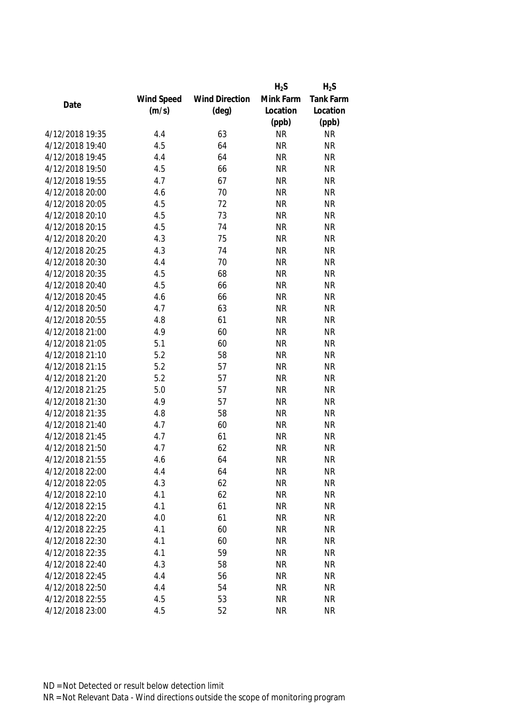|                 |            |                       | $H_2S$    | $H_2S$    |
|-----------------|------------|-----------------------|-----------|-----------|
|                 | Wind Speed | <b>Wind Direction</b> | Mink Farm | Tank Farm |
| Date            | (m/s)      | $(\text{deg})$        | Location  | Location  |
|                 |            |                       | (ppb)     | (ppb)     |
| 4/12/2018 19:35 | 4.4        | 63                    | <b>NR</b> | <b>NR</b> |
| 4/12/2018 19:40 | 4.5        | 64                    | <b>NR</b> | <b>NR</b> |
| 4/12/2018 19:45 | 4.4        | 64                    | <b>NR</b> | <b>NR</b> |
| 4/12/2018 19:50 | 4.5        | 66                    | <b>NR</b> | <b>NR</b> |
| 4/12/2018 19:55 | 4.7        | 67                    | <b>NR</b> | <b>NR</b> |
| 4/12/2018 20:00 | 4.6        | 70                    | <b>NR</b> | <b>NR</b> |
| 4/12/2018 20:05 | 4.5        | 72                    | <b>NR</b> | <b>NR</b> |
| 4/12/2018 20:10 | 4.5        | 73                    | <b>NR</b> | <b>NR</b> |
| 4/12/2018 20:15 | 4.5        | 74                    | <b>NR</b> | <b>NR</b> |
| 4/12/2018 20:20 | 4.3        | 75                    | <b>NR</b> | <b>NR</b> |
| 4/12/2018 20:25 | 4.3        | 74                    | <b>NR</b> | <b>NR</b> |
| 4/12/2018 20:30 | 4.4        | 70                    | <b>NR</b> | <b>NR</b> |
| 4/12/2018 20:35 | 4.5        | 68                    | <b>NR</b> | <b>NR</b> |
| 4/12/2018 20:40 | 4.5        | 66                    | <b>NR</b> | <b>NR</b> |
| 4/12/2018 20:45 | 4.6        | 66                    | <b>NR</b> | <b>NR</b> |
| 4/12/2018 20:50 | 4.7        | 63                    | <b>NR</b> | <b>NR</b> |
| 4/12/2018 20:55 | 4.8        | 61                    | <b>NR</b> | <b>NR</b> |
| 4/12/2018 21:00 | 4.9        | 60                    | <b>NR</b> | <b>NR</b> |
| 4/12/2018 21:05 | 5.1        | 60                    | <b>NR</b> | <b>NR</b> |
| 4/12/2018 21:10 | 5.2        | 58                    | <b>NR</b> | <b>NR</b> |
| 4/12/2018 21:15 | 5.2        | 57                    | <b>NR</b> | <b>NR</b> |
| 4/12/2018 21:20 | 5.2        | 57                    | <b>NR</b> | <b>NR</b> |
| 4/12/2018 21:25 | 5.0        | 57                    | <b>NR</b> | <b>NR</b> |
| 4/12/2018 21:30 | 4.9        | 57                    | <b>NR</b> | <b>NR</b> |
| 4/12/2018 21:35 | 4.8        | 58                    | <b>NR</b> | <b>NR</b> |
| 4/12/2018 21:40 | 4.7        | 60                    | <b>NR</b> | <b>NR</b> |
| 4/12/2018 21:45 | 4.7        | 61                    | <b>NR</b> | <b>NR</b> |
| 4/12/2018 21:50 | 4.7        | 62                    | <b>NR</b> | <b>NR</b> |
| 4/12/2018 21:55 | 4.6        | 64                    | <b>NR</b> | <b>NR</b> |
| 4/12/2018 22:00 | 4.4        | 64                    | <b>NR</b> | ΝR        |
| 4/12/2018 22:05 | 4.3        | 62                    | <b>NR</b> | <b>NR</b> |
| 4/12/2018 22:10 | 4.1        | 62                    | <b>NR</b> | <b>NR</b> |
| 4/12/2018 22:15 | 4.1        | 61                    | <b>NR</b> | <b>NR</b> |
| 4/12/2018 22:20 | 4.0        | 61                    | <b>NR</b> | <b>NR</b> |
| 4/12/2018 22:25 | 4.1        | 60                    | <b>NR</b> | <b>NR</b> |
| 4/12/2018 22:30 | 4.1        | 60                    | <b>NR</b> | <b>NR</b> |
| 4/12/2018 22:35 | 4.1        | 59                    | <b>NR</b> | <b>NR</b> |
| 4/12/2018 22:40 | 4.3        | 58                    | <b>NR</b> | <b>NR</b> |
| 4/12/2018 22:45 | 4.4        | 56                    | <b>NR</b> | <b>NR</b> |
| 4/12/2018 22:50 | 4.4        | 54                    | <b>NR</b> | <b>NR</b> |
| 4/12/2018 22:55 | 4.5        | 53                    | <b>NR</b> | <b>NR</b> |
| 4/12/2018 23:00 | 4.5        | 52                    | <b>NR</b> | <b>NR</b> |
|                 |            |                       |           |           |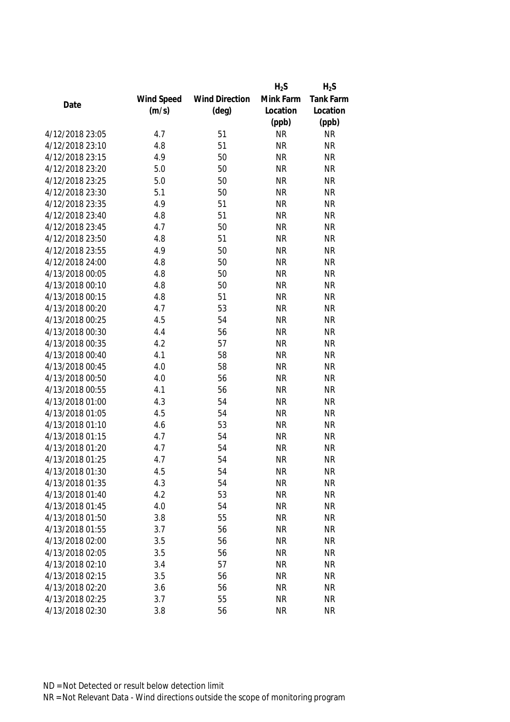|                 |            |                       | $H_2S$    | $H_2S$    |
|-----------------|------------|-----------------------|-----------|-----------|
|                 | Wind Speed | <b>Wind Direction</b> | Mink Farm | Tank Farm |
| Date            | (m/s)      | $(\text{deg})$        | Location  | Location  |
|                 |            |                       | (ppb)     | (ppb)     |
| 4/12/2018 23:05 | 4.7        | 51                    | <b>NR</b> | <b>NR</b> |
| 4/12/2018 23:10 | 4.8        | 51                    | <b>NR</b> | <b>NR</b> |
| 4/12/2018 23:15 | 4.9        | 50                    | <b>NR</b> | <b>NR</b> |
| 4/12/2018 23:20 | 5.0        | 50                    | <b>NR</b> | <b>NR</b> |
| 4/12/2018 23:25 | 5.0        | 50                    | <b>NR</b> | <b>NR</b> |
| 4/12/2018 23:30 | 5.1        | 50                    | <b>NR</b> | <b>NR</b> |
| 4/12/2018 23:35 | 4.9        | 51                    | <b>NR</b> | <b>NR</b> |
| 4/12/2018 23:40 | 4.8        | 51                    | <b>NR</b> | <b>NR</b> |
| 4/12/2018 23:45 | 4.7        | 50                    | <b>NR</b> | <b>NR</b> |
| 4/12/2018 23:50 | 4.8        | 51                    | <b>NR</b> | <b>NR</b> |
| 4/12/2018 23:55 | 4.9        | 50                    | <b>NR</b> | <b>NR</b> |
| 4/12/2018 24:00 | 4.8        | 50                    | <b>NR</b> | <b>NR</b> |
| 4/13/2018 00:05 | 4.8        | 50                    | <b>NR</b> | <b>NR</b> |
| 4/13/2018 00:10 | 4.8        | 50                    | <b>NR</b> | <b>NR</b> |
| 4/13/2018 00:15 | 4.8        | 51                    | <b>NR</b> | <b>NR</b> |
| 4/13/2018 00:20 | 4.7        | 53                    | <b>NR</b> | <b>NR</b> |
| 4/13/2018 00:25 | 4.5        | 54                    | <b>NR</b> | <b>NR</b> |
| 4/13/2018 00:30 | 4.4        | 56                    | <b>NR</b> | <b>NR</b> |
| 4/13/2018 00:35 | 4.2        | 57                    | <b>NR</b> | <b>NR</b> |
| 4/13/2018 00:40 | 4.1        | 58                    | <b>NR</b> | <b>NR</b> |
| 4/13/2018 00:45 | 4.0        | 58                    | <b>NR</b> | <b>NR</b> |
| 4/13/2018 00:50 | 4.0        | 56                    | <b>NR</b> | <b>NR</b> |
| 4/13/2018 00:55 | 4.1        | 56                    | <b>NR</b> | <b>NR</b> |
| 4/13/2018 01:00 | 4.3        | 54                    | <b>NR</b> | <b>NR</b> |
| 4/13/2018 01:05 | 4.5        | 54                    | <b>NR</b> | <b>NR</b> |
| 4/13/2018 01:10 | 4.6        | 53                    | <b>NR</b> | <b>NR</b> |
| 4/13/2018 01:15 | 4.7        | 54                    | <b>NR</b> | <b>NR</b> |
| 4/13/2018 01:20 | 4.7        | 54                    | <b>NR</b> | <b>NR</b> |
| 4/13/2018 01:25 | 4.7        | 54                    | <b>NR</b> | <b>NR</b> |
| 4/13/2018 01:30 | 4.5        | 54                    | <b>NR</b> | ΝR        |
| 4/13/2018 01:35 | 4.3        | 54                    | <b>NR</b> | <b>NR</b> |
| 4/13/2018 01:40 | 4.2        | 53                    | <b>NR</b> | <b>NR</b> |
| 4/13/2018 01:45 | 4.0        | 54                    | <b>NR</b> | <b>NR</b> |
| 4/13/2018 01:50 | 3.8        | 55                    | <b>NR</b> | <b>NR</b> |
| 4/13/2018 01:55 | 3.7        | 56                    | <b>NR</b> | <b>NR</b> |
| 4/13/2018 02:00 | 3.5        | 56                    | <b>NR</b> | <b>NR</b> |
| 4/13/2018 02:05 | 3.5        | 56                    | <b>NR</b> | <b>NR</b> |
| 4/13/2018 02:10 | 3.4        | 57                    | <b>NR</b> | <b>NR</b> |
| 4/13/2018 02:15 | 3.5        | 56                    | <b>NR</b> | <b>NR</b> |
| 4/13/2018 02:20 | 3.6        | 56                    | <b>NR</b> | <b>NR</b> |
| 4/13/2018 02:25 | 3.7        | 55                    | <b>NR</b> | <b>NR</b> |
| 4/13/2018 02:30 | 3.8        | 56                    | <b>NR</b> | <b>NR</b> |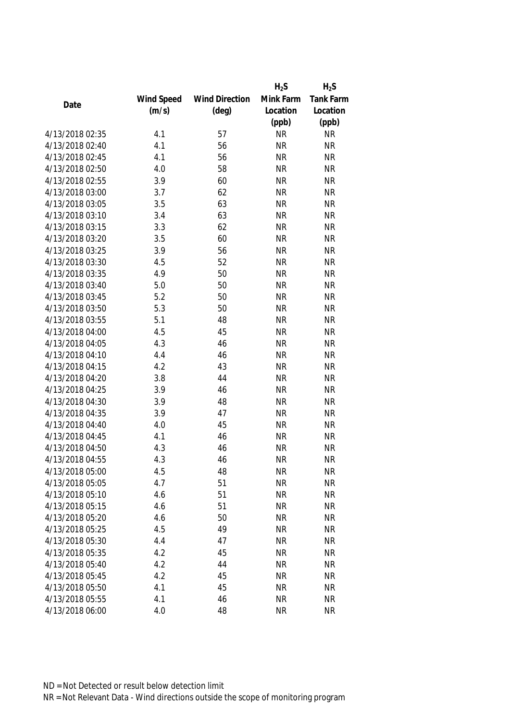|                 |            |                       | $H_2S$    | $H_2S$    |
|-----------------|------------|-----------------------|-----------|-----------|
|                 | Wind Speed | <b>Wind Direction</b> | Mink Farm | Tank Farm |
| Date            | (m/s)      | $(\text{deg})$        | Location  | Location  |
|                 |            |                       | (ppb)     | (ppb)     |
| 4/13/2018 02:35 | 4.1        | 57                    | <b>NR</b> | <b>NR</b> |
| 4/13/2018 02:40 | 4.1        | 56                    | <b>NR</b> | <b>NR</b> |
| 4/13/2018 02:45 | 4.1        | 56                    | <b>NR</b> | <b>NR</b> |
| 4/13/2018 02:50 | 4.0        | 58                    | <b>NR</b> | <b>NR</b> |
| 4/13/2018 02:55 | 3.9        | 60                    | <b>NR</b> | <b>NR</b> |
| 4/13/2018 03:00 | 3.7        | 62                    | <b>NR</b> | <b>NR</b> |
| 4/13/2018 03:05 | 3.5        | 63                    | <b>NR</b> | <b>NR</b> |
| 4/13/2018 03:10 | 3.4        | 63                    | <b>NR</b> | <b>NR</b> |
| 4/13/2018 03:15 | 3.3        | 62                    | <b>NR</b> | <b>NR</b> |
| 4/13/2018 03:20 | 3.5        | 60                    | <b>NR</b> | <b>NR</b> |
| 4/13/2018 03:25 | 3.9        | 56                    | <b>NR</b> | <b>NR</b> |
| 4/13/2018 03:30 | 4.5        | 52                    | <b>NR</b> | <b>NR</b> |
| 4/13/2018 03:35 | 4.9        | 50                    | <b>NR</b> | <b>NR</b> |
| 4/13/2018 03:40 | 5.0        | 50                    | <b>NR</b> | <b>NR</b> |
| 4/13/2018 03:45 | 5.2        | 50                    | <b>NR</b> | <b>NR</b> |
| 4/13/2018 03:50 | 5.3        | 50                    | <b>NR</b> | <b>NR</b> |
| 4/13/2018 03:55 | 5.1        | 48                    | <b>NR</b> | <b>NR</b> |
| 4/13/2018 04:00 | 4.5        | 45                    | <b>NR</b> | <b>NR</b> |
| 4/13/2018 04:05 | 4.3        | 46                    | <b>NR</b> | <b>NR</b> |
| 4/13/2018 04:10 | 4.4        | 46                    | <b>NR</b> | <b>NR</b> |
| 4/13/2018 04:15 | 4.2        | 43                    | <b>NR</b> | <b>NR</b> |
| 4/13/2018 04:20 | 3.8        | 44                    | <b>NR</b> | <b>NR</b> |
| 4/13/2018 04:25 | 3.9        | 46                    | <b>NR</b> | <b>NR</b> |
| 4/13/2018 04:30 | 3.9        | 48                    | <b>NR</b> | <b>NR</b> |
| 4/13/2018 04:35 | 3.9        | 47                    | <b>NR</b> | <b>NR</b> |
| 4/13/2018 04:40 | 4.0        | 45                    | <b>NR</b> | <b>NR</b> |
| 4/13/2018 04:45 | 4.1        | 46                    | <b>NR</b> | <b>NR</b> |
| 4/13/2018 04:50 | 4.3        | 46                    | <b>NR</b> | <b>NR</b> |
| 4/13/2018 04:55 | 4.3        | 46                    | <b>NR</b> | <b>NR</b> |
| 4/13/2018 05:00 | 4.5        | 48                    | <b>NR</b> | ΝR        |
| 4/13/2018 05:05 | 4.7        | 51                    | <b>NR</b> | <b>NR</b> |
| 4/13/2018 05:10 | 4.6        | 51                    | <b>NR</b> | <b>NR</b> |
| 4/13/2018 05:15 | 4.6        | 51                    | <b>NR</b> | <b>NR</b> |
| 4/13/2018 05:20 | 4.6        | 50                    | <b>NR</b> | <b>NR</b> |
| 4/13/2018 05:25 | 4.5        | 49                    | <b>NR</b> | <b>NR</b> |
| 4/13/2018 05:30 | 4.4        | 47                    | <b>NR</b> | <b>NR</b> |
| 4/13/2018 05:35 | 4.2        | 45                    | <b>NR</b> | <b>NR</b> |
| 4/13/2018 05:40 | 4.2        | 44                    | <b>NR</b> | <b>NR</b> |
| 4/13/2018 05:45 | 4.2        | 45                    | <b>NR</b> | <b>NR</b> |
| 4/13/2018 05:50 | 4.1        | 45                    | <b>NR</b> | <b>NR</b> |
| 4/13/2018 05:55 | 4.1        | 46                    | <b>NR</b> | <b>NR</b> |
| 4/13/2018 06:00 | 4.0        | 48                    | <b>NR</b> | <b>NR</b> |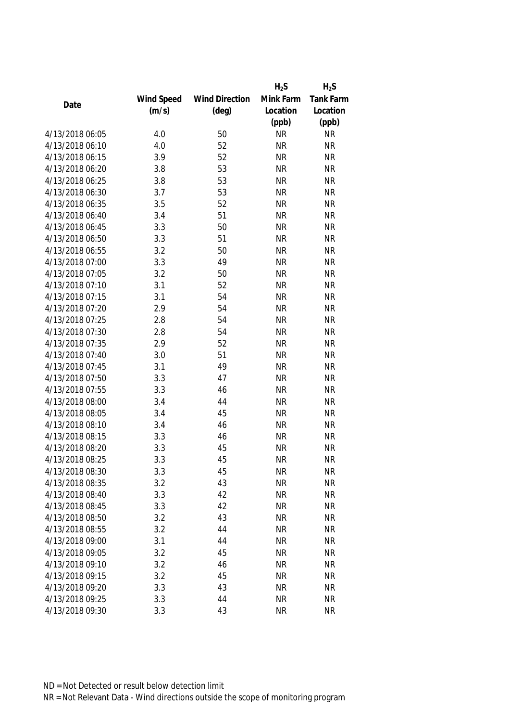|                 |            |                       | $H_2S$    | $H_2S$    |
|-----------------|------------|-----------------------|-----------|-----------|
|                 | Wind Speed | <b>Wind Direction</b> | Mink Farm | Tank Farm |
| Date            | (m/s)      | $(\text{deg})$        | Location  | Location  |
|                 |            |                       | (ppb)     | (ppb)     |
| 4/13/2018 06:05 | 4.0        | 50                    | <b>NR</b> | <b>NR</b> |
| 4/13/2018 06:10 | 4.0        | 52                    | <b>NR</b> | <b>NR</b> |
| 4/13/2018 06:15 | 3.9        | 52                    | <b>NR</b> | <b>NR</b> |
| 4/13/2018 06:20 | 3.8        | 53                    | <b>NR</b> | <b>NR</b> |
| 4/13/2018 06:25 | 3.8        | 53                    | <b>NR</b> | <b>NR</b> |
| 4/13/2018 06:30 | 3.7        | 53                    | <b>NR</b> | <b>NR</b> |
| 4/13/2018 06:35 | 3.5        | 52                    | <b>NR</b> | <b>NR</b> |
| 4/13/2018 06:40 | 3.4        | 51                    | <b>NR</b> | <b>NR</b> |
| 4/13/2018 06:45 | 3.3        | 50                    | <b>NR</b> | <b>NR</b> |
| 4/13/2018 06:50 | 3.3        | 51                    | <b>NR</b> | <b>NR</b> |
| 4/13/2018 06:55 | 3.2        | 50                    | <b>NR</b> | <b>NR</b> |
| 4/13/2018 07:00 | 3.3        | 49                    | <b>NR</b> | <b>NR</b> |
| 4/13/2018 07:05 | 3.2        | 50                    | <b>NR</b> | <b>NR</b> |
| 4/13/2018 07:10 | 3.1        | 52                    | <b>NR</b> | <b>NR</b> |
| 4/13/2018 07:15 | 3.1        | 54                    | <b>NR</b> | <b>NR</b> |
| 4/13/2018 07:20 | 2.9        | 54                    | <b>NR</b> | <b>NR</b> |
| 4/13/2018 07:25 | 2.8        | 54                    | <b>NR</b> | <b>NR</b> |
| 4/13/2018 07:30 | 2.8        | 54                    | <b>NR</b> | <b>NR</b> |
| 4/13/2018 07:35 | 2.9        | 52                    | <b>NR</b> | <b>NR</b> |
| 4/13/2018 07:40 | 3.0        | 51                    | <b>NR</b> | <b>NR</b> |
| 4/13/2018 07:45 | 3.1        | 49                    | <b>NR</b> | <b>NR</b> |
| 4/13/2018 07:50 | 3.3        | 47                    | <b>NR</b> | <b>NR</b> |
| 4/13/2018 07:55 | 3.3        | 46                    | <b>NR</b> | <b>NR</b> |
| 4/13/2018 08:00 | 3.4        | 44                    | <b>NR</b> | <b>NR</b> |
| 4/13/2018 08:05 | 3.4        | 45                    | <b>NR</b> | <b>NR</b> |
| 4/13/2018 08:10 | 3.4        | 46                    | <b>NR</b> | <b>NR</b> |
| 4/13/2018 08:15 | 3.3        | 46                    | <b>NR</b> | <b>NR</b> |
| 4/13/2018 08:20 | 3.3        | 45                    | <b>NR</b> | <b>NR</b> |
| 4/13/2018 08:25 | 3.3        | 45                    | <b>NR</b> | <b>NR</b> |
| 4/13/2018 08:30 | 3.3        | 45                    | <b>NR</b> | <b>NR</b> |
| 4/13/2018 08:35 | 3.2        | 43                    | <b>NR</b> | <b>NR</b> |
| 4/13/2018 08:40 | 3.3        | 42                    | <b>NR</b> | <b>NR</b> |
| 4/13/2018 08:45 | 3.3        | 42                    | <b>NR</b> | <b>NR</b> |
| 4/13/2018 08:50 | 3.2        | 43                    | <b>NR</b> | <b>NR</b> |
| 4/13/2018 08:55 | 3.2        | 44                    | <b>NR</b> | <b>NR</b> |
| 4/13/2018 09:00 | 3.1        | 44                    | <b>NR</b> | <b>NR</b> |
| 4/13/2018 09:05 | 3.2        | 45                    | <b>NR</b> | <b>NR</b> |
| 4/13/2018 09:10 | 3.2        | 46                    | <b>NR</b> | <b>NR</b> |
| 4/13/2018 09:15 | 3.2        | 45                    | <b>NR</b> | <b>NR</b> |
| 4/13/2018 09:20 | 3.3        | 43                    | <b>NR</b> | <b>NR</b> |
| 4/13/2018 09:25 | 3.3        | 44                    | <b>NR</b> | <b>NR</b> |
| 4/13/2018 09:30 | 3.3        | 43                    | <b>NR</b> | <b>NR</b> |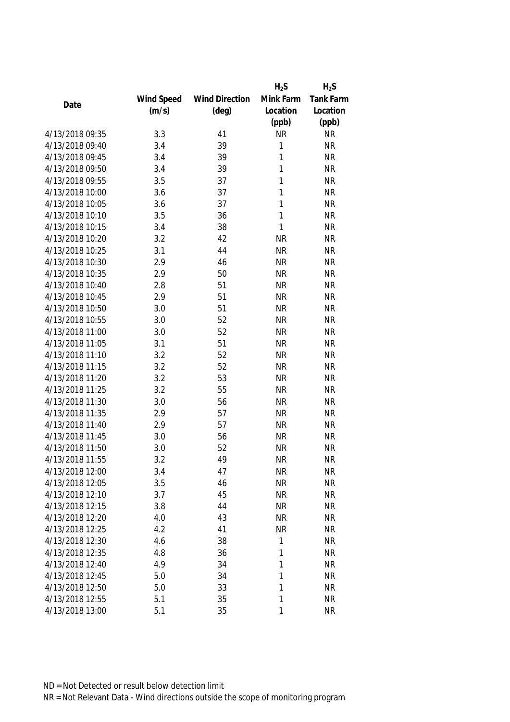|                 |            |                       | $H_2S$       | $H_2S$    |
|-----------------|------------|-----------------------|--------------|-----------|
|                 | Wind Speed | <b>Wind Direction</b> | Mink Farm    | Tank Farm |
| Date            | (m/s)      | $(\text{deg})$        | Location     | Location  |
|                 |            |                       | (ppb)        | (ppb)     |
| 4/13/2018 09:35 | 3.3        | 41                    | <b>NR</b>    | <b>NR</b> |
| 4/13/2018 09:40 | 3.4        | 39                    | $\mathbf{1}$ | <b>NR</b> |
| 4/13/2018 09:45 | 3.4        | 39                    | $\mathbf{1}$ | <b>NR</b> |
| 4/13/2018 09:50 | 3.4        | 39                    | 1            | <b>NR</b> |
| 4/13/2018 09:55 | 3.5        | 37                    | 1            | <b>NR</b> |
| 4/13/2018 10:00 | 3.6        | 37                    | 1            | <b>NR</b> |
| 4/13/2018 10:05 | 3.6        | 37                    | $\mathbf{1}$ | <b>NR</b> |
| 4/13/2018 10:10 | 3.5        | 36                    | 1            | <b>NR</b> |
| 4/13/2018 10:15 | 3.4        | 38                    | 1            | <b>NR</b> |
| 4/13/2018 10:20 | 3.2        | 42                    | <b>NR</b>    | <b>NR</b> |
| 4/13/2018 10:25 | 3.1        | 44                    | <b>NR</b>    | <b>NR</b> |
| 4/13/2018 10:30 | 2.9        | 46                    | <b>NR</b>    | <b>NR</b> |
| 4/13/2018 10:35 | 2.9        | 50                    | <b>NR</b>    | <b>NR</b> |
| 4/13/2018 10:40 | 2.8        | 51                    | <b>NR</b>    | <b>NR</b> |
| 4/13/2018 10:45 | 2.9        | 51                    | <b>NR</b>    | <b>NR</b> |
| 4/13/2018 10:50 | 3.0        | 51                    | <b>NR</b>    | <b>NR</b> |
| 4/13/2018 10:55 | 3.0        | 52                    | <b>NR</b>    | <b>NR</b> |
| 4/13/2018 11:00 | 3.0        | 52                    | <b>NR</b>    | <b>NR</b> |
| 4/13/2018 11:05 | 3.1        | 51                    | <b>NR</b>    | <b>NR</b> |
| 4/13/2018 11:10 | 3.2        | 52                    | <b>NR</b>    | <b>NR</b> |
| 4/13/2018 11:15 | 3.2        | 52                    | <b>NR</b>    | <b>NR</b> |
| 4/13/2018 11:20 | 3.2        | 53                    | <b>NR</b>    | <b>NR</b> |
| 4/13/2018 11:25 | 3.2        | 55                    | <b>NR</b>    | <b>NR</b> |
| 4/13/2018 11:30 | 3.0        | 56                    | <b>NR</b>    | <b>NR</b> |
| 4/13/2018 11:35 | 2.9        | 57                    | <b>NR</b>    | <b>NR</b> |
| 4/13/2018 11:40 | 2.9        | 57                    | <b>NR</b>    | <b>NR</b> |
| 4/13/2018 11:45 | 3.0        | 56                    | <b>NR</b>    | <b>NR</b> |
| 4/13/2018 11:50 | 3.0        | 52                    | <b>NR</b>    | <b>NR</b> |
| 4/13/2018 11:55 | 3.2        | 49                    | <b>NR</b>    | <b>NR</b> |
| 4/13/2018 12:00 | 3.4        | 47                    | <b>NR</b>    | ΝR        |
| 4/13/2018 12:05 | 3.5        | 46                    | <b>NR</b>    | <b>NR</b> |
| 4/13/2018 12:10 | 3.7        | 45                    | <b>NR</b>    | <b>NR</b> |
| 4/13/2018 12:15 | 3.8        | 44                    | <b>NR</b>    | <b>NR</b> |
| 4/13/2018 12:20 | 4.0        | 43                    | <b>NR</b>    | <b>NR</b> |
| 4/13/2018 12:25 | 4.2        | 41                    | <b>NR</b>    | <b>NR</b> |
| 4/13/2018 12:30 | 4.6        | 38                    | 1            | <b>NR</b> |
| 4/13/2018 12:35 | 4.8        | 36                    | 1            | <b>NR</b> |
| 4/13/2018 12:40 | 4.9        | 34                    | 1            | <b>NR</b> |
| 4/13/2018 12:45 | 5.0        | 34                    | 1            | <b>NR</b> |
| 4/13/2018 12:50 | 5.0        | 33                    | 1            | <b>NR</b> |
| 4/13/2018 12:55 | 5.1        | 35                    | 1            | <b>NR</b> |
| 4/13/2018 13:00 | 5.1        | 35                    | 1            | <b>NR</b> |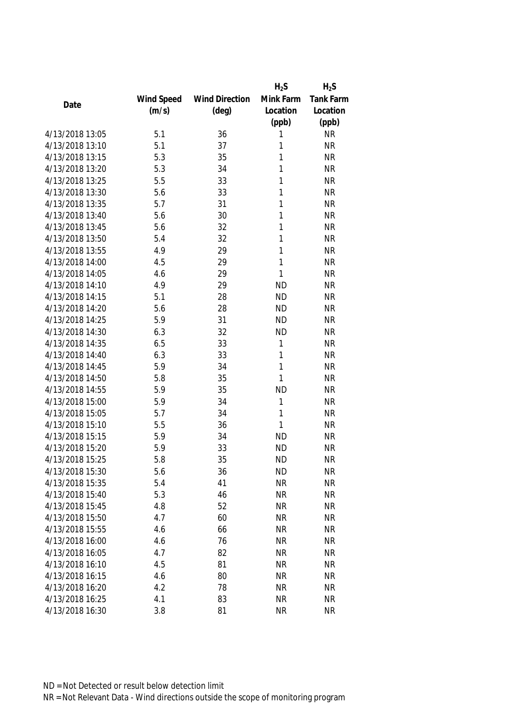|                 |            |                       | $H_2S$    | $H_2S$    |
|-----------------|------------|-----------------------|-----------|-----------|
|                 | Wind Speed | <b>Wind Direction</b> | Mink Farm | Tank Farm |
| Date            | (m/s)      | $(\text{deg})$        | Location  | Location  |
|                 |            |                       | (ppb)     | (ppb)     |
| 4/13/2018 13:05 | 5.1        | 36                    | 1         | <b>NR</b> |
| 4/13/2018 13:10 | 5.1        | 37                    | 1         | <b>NR</b> |
| 4/13/2018 13:15 | 5.3        | 35                    | 1         | <b>NR</b> |
| 4/13/2018 13:20 | 5.3        | 34                    | 1         | <b>NR</b> |
| 4/13/2018 13:25 | 5.5        | 33                    | 1         | <b>NR</b> |
| 4/13/2018 13:30 | 5.6        | 33                    | 1         | <b>NR</b> |
| 4/13/2018 13:35 | 5.7        | 31                    | 1         | <b>NR</b> |
| 4/13/2018 13:40 | 5.6        | 30                    | 1         | <b>NR</b> |
| 4/13/2018 13:45 | 5.6        | 32                    | 1         | <b>NR</b> |
| 4/13/2018 13:50 | 5.4        | 32                    | 1         | <b>NR</b> |
| 4/13/2018 13:55 | 4.9        | 29                    | 1         | <b>NR</b> |
| 4/13/2018 14:00 | 4.5        | 29                    | 1         | <b>NR</b> |
| 4/13/2018 14:05 | 4.6        | 29                    | 1         | <b>NR</b> |
| 4/13/2018 14:10 | 4.9        | 29                    | <b>ND</b> | <b>NR</b> |
| 4/13/2018 14:15 | 5.1        | 28                    | <b>ND</b> | <b>NR</b> |
| 4/13/2018 14:20 | 5.6        | 28                    | <b>ND</b> | <b>NR</b> |
| 4/13/2018 14:25 | 5.9        | 31                    | <b>ND</b> | <b>NR</b> |
| 4/13/2018 14:30 | 6.3        | 32                    | <b>ND</b> | <b>NR</b> |
| 4/13/2018 14:35 | 6.5        | 33                    | 1         | <b>NR</b> |
| 4/13/2018 14:40 | 6.3        | 33                    | 1         | <b>NR</b> |
| 4/13/2018 14:45 | 5.9        | 34                    | 1         | <b>NR</b> |
| 4/13/2018 14:50 | 5.8        | 35                    | 1         | <b>NR</b> |
| 4/13/2018 14:55 | 5.9        | 35                    | <b>ND</b> | <b>NR</b> |
| 4/13/2018 15:00 | 5.9        | 34                    | 1         | <b>NR</b> |
| 4/13/2018 15:05 | 5.7        | 34                    | 1         | <b>NR</b> |
| 4/13/2018 15:10 | 5.5        | 36                    | 1         | <b>NR</b> |
| 4/13/2018 15:15 | 5.9        | 34                    | <b>ND</b> | <b>NR</b> |
| 4/13/2018 15:20 | 5.9        | 33                    | <b>ND</b> | <b>NR</b> |
| 4/13/2018 15:25 | 5.8        | 35                    | <b>ND</b> | <b>NR</b> |
| 4/13/2018 15:30 | 5.6        | 36                    | <b>ND</b> | <b>NR</b> |
| 4/13/2018 15:35 | 5.4        | 41                    | <b>NR</b> | <b>NR</b> |
| 4/13/2018 15:40 | 5.3        | 46                    | <b>NR</b> | <b>NR</b> |
| 4/13/2018 15:45 | 4.8        | 52                    | <b>NR</b> | <b>NR</b> |
| 4/13/2018 15:50 | 4.7        | 60                    | <b>NR</b> | <b>NR</b> |
| 4/13/2018 15:55 | 4.6        | 66                    | <b>NR</b> | <b>NR</b> |
| 4/13/2018 16:00 | 4.6        | 76                    | <b>NR</b> | <b>NR</b> |
| 4/13/2018 16:05 | 4.7        | 82                    | <b>NR</b> | <b>NR</b> |
| 4/13/2018 16:10 | 4.5        | 81                    | <b>NR</b> | <b>NR</b> |
| 4/13/2018 16:15 | 4.6        | 80                    | NR        | <b>NR</b> |
| 4/13/2018 16:20 | 4.2        | 78                    | <b>NR</b> | <b>NR</b> |
| 4/13/2018 16:25 | 4.1        | 83                    | <b>NR</b> | <b>NR</b> |
| 4/13/2018 16:30 | 3.8        | 81                    | <b>NR</b> | <b>NR</b> |
|                 |            |                       |           |           |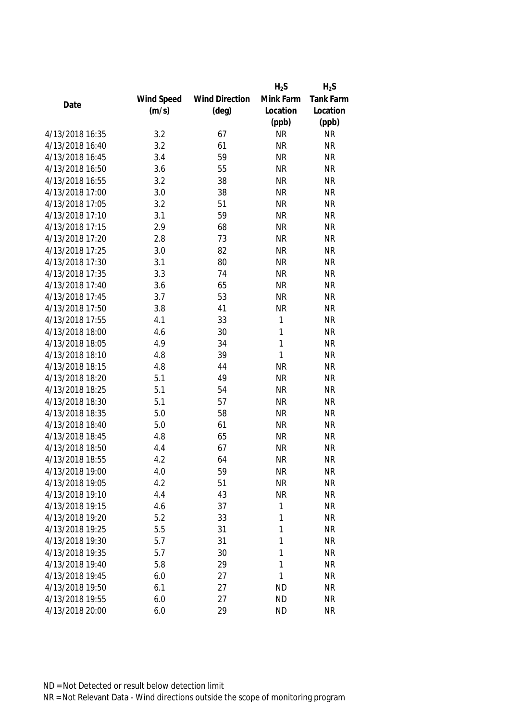|                 |            |                       | $H_2S$       | $H_2S$    |
|-----------------|------------|-----------------------|--------------|-----------|
|                 | Wind Speed | <b>Wind Direction</b> | Mink Farm    | Tank Farm |
| Date            | (m/s)      | $(\text{deg})$        | Location     | Location  |
|                 |            |                       | (ppb)        | (ppb)     |
| 4/13/2018 16:35 | 3.2        | 67                    | <b>NR</b>    | <b>NR</b> |
| 4/13/2018 16:40 | 3.2        | 61                    | <b>NR</b>    | <b>NR</b> |
| 4/13/2018 16:45 | 3.4        | 59                    | <b>NR</b>    | <b>NR</b> |
| 4/13/2018 16:50 | 3.6        | 55                    | <b>NR</b>    | <b>NR</b> |
| 4/13/2018 16:55 | 3.2        | 38                    | <b>NR</b>    | <b>NR</b> |
| 4/13/2018 17:00 | 3.0        | 38                    | <b>NR</b>    | <b>NR</b> |
| 4/13/2018 17:05 | 3.2        | 51                    | <b>NR</b>    | <b>NR</b> |
| 4/13/2018 17:10 | 3.1        | 59                    | <b>NR</b>    | <b>NR</b> |
| 4/13/2018 17:15 | 2.9        | 68                    | <b>NR</b>    | <b>NR</b> |
| 4/13/2018 17:20 | 2.8        | 73                    | <b>NR</b>    | <b>NR</b> |
| 4/13/2018 17:25 | 3.0        | 82                    | <b>NR</b>    | <b>NR</b> |
| 4/13/2018 17:30 | 3.1        | 80                    | <b>NR</b>    | <b>NR</b> |
| 4/13/2018 17:35 | 3.3        | 74                    | <b>NR</b>    | <b>NR</b> |
| 4/13/2018 17:40 | 3.6        | 65                    | <b>NR</b>    | <b>NR</b> |
| 4/13/2018 17:45 | 3.7        | 53                    | <b>NR</b>    | <b>NR</b> |
| 4/13/2018 17:50 | 3.8        | 41                    | <b>NR</b>    | <b>NR</b> |
| 4/13/2018 17:55 | 4.1        | 33                    | $\mathbf 1$  | <b>NR</b> |
| 4/13/2018 18:00 | 4.6        | 30                    | $\mathbf{1}$ | <b>NR</b> |
| 4/13/2018 18:05 | 4.9        | 34                    | 1            | <b>NR</b> |
| 4/13/2018 18:10 | 4.8        | 39                    | 1            | <b>NR</b> |
| 4/13/2018 18:15 | 4.8        | 44                    | <b>NR</b>    | <b>NR</b> |
| 4/13/2018 18:20 | 5.1        | 49                    | <b>NR</b>    | <b>NR</b> |
| 4/13/2018 18:25 | 5.1        | 54                    | <b>NR</b>    | <b>NR</b> |
| 4/13/2018 18:30 | 5.1        | 57                    | <b>NR</b>    | <b>NR</b> |
| 4/13/2018 18:35 | 5.0        | 58                    | <b>NR</b>    | <b>NR</b> |
| 4/13/2018 18:40 | 5.0        | 61                    | <b>NR</b>    | <b>NR</b> |
| 4/13/2018 18:45 | 4.8        | 65                    | <b>NR</b>    | <b>NR</b> |
| 4/13/2018 18:50 | 4.4        | 67                    | <b>NR</b>    | <b>NR</b> |
| 4/13/2018 18:55 | 4.2        | 64                    | <b>NR</b>    | <b>NR</b> |
| 4/13/2018 19:00 | 4.0        | 59                    | <b>NR</b>    | <b>NR</b> |
| 4/13/2018 19:05 | 4.2        | 51                    | <b>NR</b>    | <b>NR</b> |
| 4/13/2018 19:10 | 4.4        | 43                    | <b>NR</b>    | <b>NR</b> |
| 4/13/2018 19:15 | 4.6        | 37                    | 1            | <b>NR</b> |
| 4/13/2018 19:20 | 5.2        | 33                    | 1            | <b>NR</b> |
| 4/13/2018 19:25 | 5.5        | 31                    | 1            | <b>NR</b> |
| 4/13/2018 19:30 | 5.7        | 31                    | 1            | <b>NR</b> |
| 4/13/2018 19:35 | 5.7        | 30                    | 1            | <b>NR</b> |
| 4/13/2018 19:40 | 5.8        | 29                    | 1            | <b>NR</b> |
| 4/13/2018 19:45 | 6.0        | 27                    | 1            | <b>NR</b> |
| 4/13/2018 19:50 | 6.1        | 27                    | <b>ND</b>    | <b>NR</b> |
| 4/13/2018 19:55 | 6.0        | 27                    | <b>ND</b>    | <b>NR</b> |
| 4/13/2018 20:00 | 6.0        | 29                    | <b>ND</b>    | <b>NR</b> |
|                 |            |                       |              |           |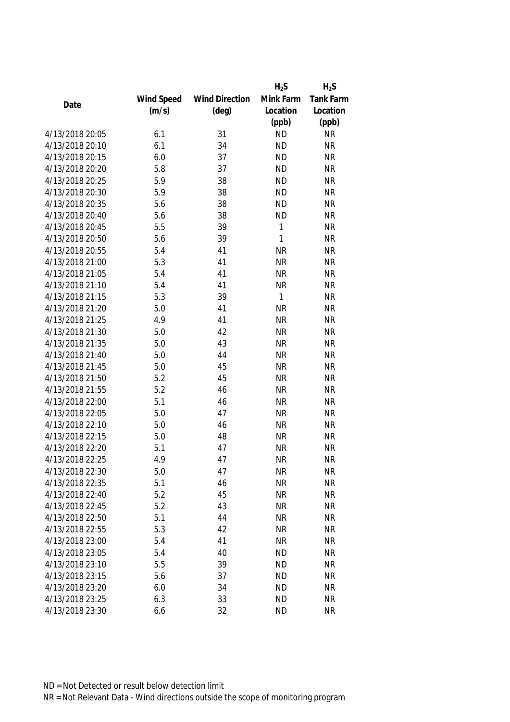|                 |            |                       | $H_2S$       | $H_2S$    |
|-----------------|------------|-----------------------|--------------|-----------|
|                 | Wind Speed | <b>Wind Direction</b> | Mink Farm    | Tank Farm |
| Date            | (m/s)      | $(\text{deg})$        | Location     | Location  |
|                 |            |                       | (ppb)        | (ppb)     |
| 4/13/2018 20:05 | 6.1        | 31                    | <b>ND</b>    | <b>NR</b> |
| 4/13/2018 20:10 | 6.1        | 34                    | <b>ND</b>    | <b>NR</b> |
| 4/13/2018 20:15 | 6.0        | 37                    | <b>ND</b>    | <b>NR</b> |
| 4/13/2018 20:20 | 5.8        | 37                    | <b>ND</b>    | <b>NR</b> |
| 4/13/2018 20:25 | 5.9        | 38                    | <b>ND</b>    | <b>NR</b> |
| 4/13/2018 20:30 | 5.9        | 38                    | <b>ND</b>    | <b>NR</b> |
| 4/13/2018 20:35 | 5.6        | 38                    | <b>ND</b>    | <b>NR</b> |
| 4/13/2018 20:40 | 5.6        | 38                    | <b>ND</b>    | <b>NR</b> |
| 4/13/2018 20:45 | 5.5        | 39                    | 1            | <b>NR</b> |
| 4/13/2018 20:50 | 5.6        | 39                    | 1            | <b>NR</b> |
| 4/13/2018 20:55 | 5.4        | 41                    | <b>NR</b>    | <b>NR</b> |
| 4/13/2018 21:00 | 5.3        | 41                    | <b>NR</b>    | <b>NR</b> |
| 4/13/2018 21:05 | 5.4        | 41                    | <b>NR</b>    | <b>NR</b> |
| 4/13/2018 21:10 | 5.4        | 41                    | <b>NR</b>    | <b>NR</b> |
| 4/13/2018 21:15 | 5.3        | 39                    | $\mathbf{1}$ | <b>NR</b> |
| 4/13/2018 21:20 | 5.0        | 41                    | <b>NR</b>    | <b>NR</b> |
| 4/13/2018 21:25 | 4.9        | 41                    | <b>NR</b>    | <b>NR</b> |
| 4/13/2018 21:30 | 5.0        | 42                    | <b>NR</b>    | <b>NR</b> |
| 4/13/2018 21:35 | 5.0        | 43                    | <b>NR</b>    | <b>NR</b> |
| 4/13/2018 21:40 | 5.0        | 44                    | <b>NR</b>    | <b>NR</b> |
| 4/13/2018 21:45 | 5.0        | 45                    | <b>NR</b>    | <b>NR</b> |
| 4/13/2018 21:50 | 5.2        | 45                    | <b>NR</b>    | <b>NR</b> |
| 4/13/2018 21:55 | 5.2        | 46                    | <b>NR</b>    | <b>NR</b> |
| 4/13/2018 22:00 | 5.1        | 46                    | <b>NR</b>    | <b>NR</b> |
| 4/13/2018 22:05 | 5.0        | 47                    | <b>NR</b>    | <b>NR</b> |
| 4/13/2018 22:10 | 5.0        | 46                    | <b>NR</b>    | <b>NR</b> |
| 4/13/2018 22:15 | 5.0        | 48                    | <b>NR</b>    | <b>NR</b> |
| 4/13/2018 22:20 | 5.1        | 47                    | <b>NR</b>    | <b>NR</b> |
| 4/13/2018 22:25 | 4.9        | 47                    | <b>NR</b>    | <b>NR</b> |
| 4/13/2018 22:30 | 5.0        | 47                    | <b>NR</b>    | ΝR        |
| 4/13/2018 22:35 | 5.1        | 46                    | <b>NR</b>    | <b>NR</b> |
| 4/13/2018 22:40 | 5.2        | 45                    | <b>NR</b>    | <b>NR</b> |
| 4/13/2018 22:45 | 5.2        | 43                    | <b>NR</b>    | <b>NR</b> |
| 4/13/2018 22:50 | 5.1        | 44                    | <b>NR</b>    | <b>NR</b> |
| 4/13/2018 22:55 | 5.3        | 42                    | <b>NR</b>    | <b>NR</b> |
| 4/13/2018 23:00 | 5.4        | 41                    | <b>NR</b>    | <b>NR</b> |
| 4/13/2018 23:05 | 5.4        | 40                    | <b>ND</b>    | <b>NR</b> |
| 4/13/2018 23:10 | 5.5        | 39                    | <b>ND</b>    | <b>NR</b> |
| 4/13/2018 23:15 | 5.6        | 37                    | <b>ND</b>    | <b>NR</b> |
| 4/13/2018 23:20 | 6.0        | 34                    | <b>ND</b>    | <b>NR</b> |
| 4/13/2018 23:25 | 6.3        | 33                    | <b>ND</b>    | <b>NR</b> |
| 4/13/2018 23:30 | 6.6        | 32                    | <b>ND</b>    | <b>NR</b> |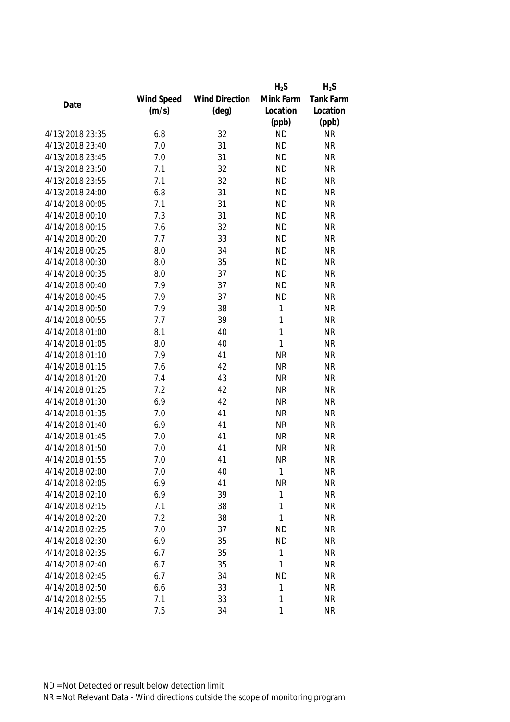|                 |            |                       | $H_2S$       | $H_2S$    |
|-----------------|------------|-----------------------|--------------|-----------|
|                 | Wind Speed | <b>Wind Direction</b> | Mink Farm    | Tank Farm |
| Date            | (m/s)      | $(\text{deg})$        | Location     | Location  |
|                 |            |                       | (ppb)        | (ppb)     |
| 4/13/2018 23:35 | 6.8        | 32                    | <b>ND</b>    | <b>NR</b> |
| 4/13/2018 23:40 | 7.0        | 31                    | <b>ND</b>    | <b>NR</b> |
| 4/13/2018 23:45 | 7.0        | 31                    | <b>ND</b>    | <b>NR</b> |
| 4/13/2018 23:50 | 7.1        | 32                    | <b>ND</b>    | <b>NR</b> |
| 4/13/2018 23:55 | 7.1        | 32                    | <b>ND</b>    | <b>NR</b> |
| 4/13/2018 24:00 | 6.8        | 31                    | <b>ND</b>    | <b>NR</b> |
| 4/14/2018 00:05 | 7.1        | 31                    | <b>ND</b>    | <b>NR</b> |
| 4/14/2018 00:10 | 7.3        | 31                    | <b>ND</b>    | <b>NR</b> |
| 4/14/2018 00:15 | 7.6        | 32                    | <b>ND</b>    | <b>NR</b> |
| 4/14/2018 00:20 | 7.7        | 33                    | <b>ND</b>    | <b>NR</b> |
| 4/14/2018 00:25 | 8.0        | 34                    | <b>ND</b>    | <b>NR</b> |
| 4/14/2018 00:30 | 8.0        | 35                    | <b>ND</b>    | <b>NR</b> |
| 4/14/2018 00:35 | 8.0        | 37                    | <b>ND</b>    | <b>NR</b> |
| 4/14/2018 00:40 | 7.9        | 37                    | <b>ND</b>    | <b>NR</b> |
| 4/14/2018 00:45 | 7.9        | 37                    | <b>ND</b>    | <b>NR</b> |
| 4/14/2018 00:50 | 7.9        | 38                    | $\mathbf{1}$ | <b>NR</b> |
| 4/14/2018 00:55 | 7.7        | 39                    | 1            | <b>NR</b> |
| 4/14/2018 01:00 | 8.1        | 40                    | 1            | <b>NR</b> |
| 4/14/2018 01:05 | 8.0        | 40                    | 1            | <b>NR</b> |
| 4/14/2018 01:10 | 7.9        | 41                    | <b>NR</b>    | <b>NR</b> |
| 4/14/2018 01:15 | 7.6        | 42                    | <b>NR</b>    | <b>NR</b> |
| 4/14/2018 01:20 | 7.4        | 43                    | <b>NR</b>    | <b>NR</b> |
| 4/14/2018 01:25 | 7.2        | 42                    | <b>NR</b>    | <b>NR</b> |
| 4/14/2018 01:30 | 6.9        | 42                    | <b>NR</b>    | <b>NR</b> |
| 4/14/2018 01:35 | 7.0        | 41                    | <b>NR</b>    | <b>NR</b> |
| 4/14/2018 01:40 | 6.9        | 41                    | <b>NR</b>    | <b>NR</b> |
| 4/14/2018 01:45 | 7.0        | 41                    | <b>NR</b>    | <b>NR</b> |
| 4/14/2018 01:50 | 7.0        | 41                    | <b>NR</b>    | <b>NR</b> |
| 4/14/2018 01:55 | 7.0        | 41                    | <b>NR</b>    | <b>NR</b> |
| 4/14/2018 02:00 | 7.0        | 40                    | 1            | <b>NR</b> |
| 4/14/2018 02:05 | 6.9        | 41                    | <b>NR</b>    | <b>NR</b> |
| 4/14/2018 02:10 | 6.9        | 39                    | 1            | <b>NR</b> |
| 4/14/2018 02:15 | 7.1        | 38                    | 1            | <b>NR</b> |
| 4/14/2018 02:20 | 7.2        | 38                    | 1            | <b>NR</b> |
| 4/14/2018 02:25 | 7.0        | 37                    | <b>ND</b>    | <b>NR</b> |
| 4/14/2018 02:30 | 6.9        | 35                    | <b>ND</b>    | <b>NR</b> |
| 4/14/2018 02:35 | 6.7        | 35                    | 1            | <b>NR</b> |
| 4/14/2018 02:40 | 6.7        | 35                    | 1            | <b>NR</b> |
| 4/14/2018 02:45 | 6.7        | 34                    | <b>ND</b>    | <b>NR</b> |
| 4/14/2018 02:50 | 6.6        | 33                    | 1            | <b>NR</b> |
| 4/14/2018 02:55 | 7.1        | 33                    | 1            | <b>NR</b> |
| 4/14/2018 03:00 | 7.5        | 34                    | 1            | <b>NR</b> |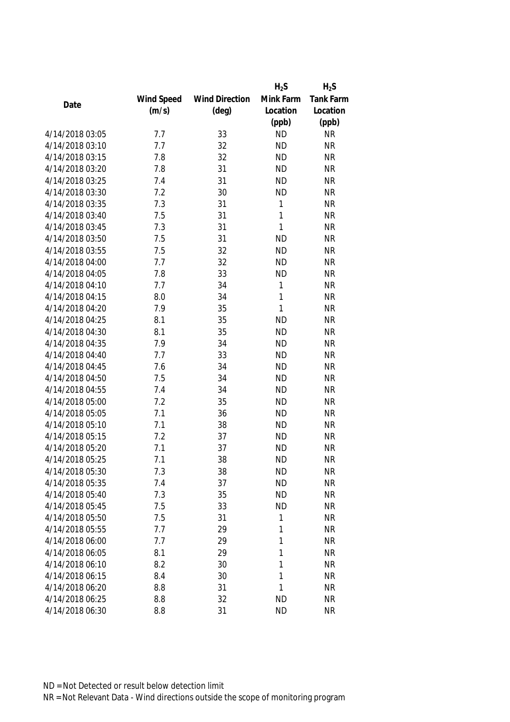|                 |            |                       | $H_2S$       | $H_2S$           |
|-----------------|------------|-----------------------|--------------|------------------|
|                 | Wind Speed | <b>Wind Direction</b> | Mink Farm    | <b>Tank Farm</b> |
| Date            | (m/s)      | $(\text{deg})$        | Location     | Location         |
|                 |            |                       | (ppb)        | (ppb)            |
| 4/14/2018 03:05 | 7.7        | 33                    | <b>ND</b>    | <b>NR</b>        |
| 4/14/2018 03:10 | 7.7        | 32                    | <b>ND</b>    | <b>NR</b>        |
| 4/14/2018 03:15 | 7.8        | 32                    | <b>ND</b>    | <b>NR</b>        |
| 4/14/2018 03:20 | 7.8        | 31                    | <b>ND</b>    | <b>NR</b>        |
| 4/14/2018 03:25 | 7.4        | 31                    | <b>ND</b>    | <b>NR</b>        |
| 4/14/2018 03:30 | 7.2        | 30                    | <b>ND</b>    | <b>NR</b>        |
| 4/14/2018 03:35 | 7.3        | 31                    | $\mathbf{1}$ | <b>NR</b>        |
| 4/14/2018 03:40 | 7.5        | 31                    | 1            | <b>NR</b>        |
| 4/14/2018 03:45 | 7.3        | 31                    | 1            | <b>NR</b>        |
| 4/14/2018 03:50 | 7.5        | 31                    | <b>ND</b>    | <b>NR</b>        |
| 4/14/2018 03:55 | 7.5        | 32                    | <b>ND</b>    | <b>NR</b>        |
| 4/14/2018 04:00 | 7.7        | 32                    | <b>ND</b>    | <b>NR</b>        |
| 4/14/2018 04:05 | 7.8        | 33                    | <b>ND</b>    | <b>NR</b>        |
| 4/14/2018 04:10 | 7.7        | 34                    | $\mathbf{1}$ | <b>NR</b>        |
| 4/14/2018 04:15 | 8.0        | 34                    | 1            | <b>NR</b>        |
| 4/14/2018 04:20 | 7.9        | 35                    | 1            | <b>NR</b>        |
| 4/14/2018 04:25 | 8.1        | 35                    | <b>ND</b>    | <b>NR</b>        |
| 4/14/2018 04:30 | 8.1        | 35                    | <b>ND</b>    | <b>NR</b>        |
| 4/14/2018 04:35 | 7.9        | 34                    | <b>ND</b>    | <b>NR</b>        |
| 4/14/2018 04:40 | 7.7        | 33                    | <b>ND</b>    | <b>NR</b>        |
| 4/14/2018 04:45 | 7.6        | 34                    | <b>ND</b>    | <b>NR</b>        |
| 4/14/2018 04:50 | 7.5        | 34                    | <b>ND</b>    | <b>NR</b>        |
| 4/14/2018 04:55 | 7.4        | 34                    | <b>ND</b>    | <b>NR</b>        |
| 4/14/2018 05:00 | 7.2        | 35                    | <b>ND</b>    | <b>NR</b>        |
| 4/14/2018 05:05 | 7.1        | 36                    | <b>ND</b>    | <b>NR</b>        |
| 4/14/2018 05:10 | 7.1        | 38                    | <b>ND</b>    | <b>NR</b>        |
| 4/14/2018 05:15 | 7.2        | 37                    | <b>ND</b>    | <b>NR</b>        |
| 4/14/2018 05:20 | 7.1        | 37                    | <b>ND</b>    | <b>NR</b>        |
| 4/14/2018 05:25 | 7.1        | 38                    | <b>ND</b>    | <b>NR</b>        |
| 4/14/2018 05:30 | 7.3        | 38                    | <b>ND</b>    | ΝR               |
| 4/14/2018 05:35 | 7.4        | 37                    | <b>ND</b>    | <b>NR</b>        |
| 4/14/2018 05:40 | 7.3        | 35                    | <b>ND</b>    | <b>NR</b>        |
| 4/14/2018 05:45 | 7.5        | 33                    | <b>ND</b>    | <b>NR</b>        |
| 4/14/2018 05:50 | 7.5        | 31                    | 1            | <b>NR</b>        |
| 4/14/2018 05:55 | 7.7        | 29                    | 1            | <b>NR</b>        |
| 4/14/2018 06:00 | 7.7        | 29                    | 1            | <b>NR</b>        |
| 4/14/2018 06:05 | 8.1        | 29                    | 1            | <b>NR</b>        |
| 4/14/2018 06:10 | 8.2        | 30                    | 1            | <b>NR</b>        |
| 4/14/2018 06:15 | 8.4        | 30                    | 1            | <b>NR</b>        |
| 4/14/2018 06:20 | 8.8        | 31                    | 1            | <b>NR</b>        |
| 4/14/2018 06:25 | 8.8        | 32                    | <b>ND</b>    | <b>NR</b>        |
| 4/14/2018 06:30 | 8.8        | 31                    | <b>ND</b>    | <b>NR</b>        |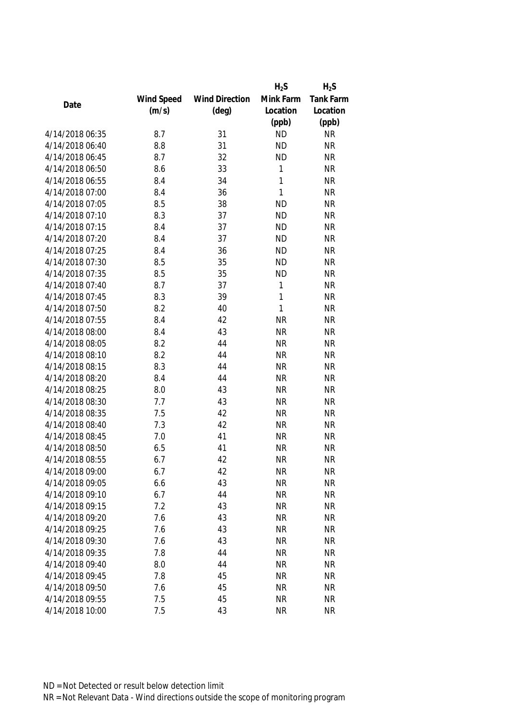|                 |            |                       | $H_2S$       | $H_2S$    |
|-----------------|------------|-----------------------|--------------|-----------|
|                 | Wind Speed | <b>Wind Direction</b> | Mink Farm    | Tank Farm |
| Date            | (m/s)      | $(\text{deg})$        | Location     | Location  |
|                 |            |                       | (ppb)        | (ppb)     |
| 4/14/2018 06:35 | 8.7        | 31                    | <b>ND</b>    | <b>NR</b> |
| 4/14/2018 06:40 | 8.8        | 31                    | <b>ND</b>    | <b>NR</b> |
| 4/14/2018 06:45 | 8.7        | 32                    | <b>ND</b>    | <b>NR</b> |
| 4/14/2018 06:50 | 8.6        | 33                    | $\mathbf{1}$ | <b>NR</b> |
| 4/14/2018 06:55 | 8.4        | 34                    | 1            | <b>NR</b> |
| 4/14/2018 07:00 | 8.4        | 36                    | 1            | <b>NR</b> |
| 4/14/2018 07:05 | 8.5        | 38                    | <b>ND</b>    | <b>NR</b> |
| 4/14/2018 07:10 | 8.3        | 37                    | <b>ND</b>    | <b>NR</b> |
| 4/14/2018 07:15 | 8.4        | 37                    | <b>ND</b>    | <b>NR</b> |
| 4/14/2018 07:20 | 8.4        | 37                    | <b>ND</b>    | <b>NR</b> |
| 4/14/2018 07:25 | 8.4        | 36                    | <b>ND</b>    | <b>NR</b> |
| 4/14/2018 07:30 | 8.5        | 35                    | <b>ND</b>    | <b>NR</b> |
| 4/14/2018 07:35 | 8.5        | 35                    | <b>ND</b>    | <b>NR</b> |
| 4/14/2018 07:40 | 8.7        | 37                    | $\mathbf 1$  | <b>NR</b> |
| 4/14/2018 07:45 | 8.3        | 39                    | $\mathbf{1}$ | <b>NR</b> |
| 4/14/2018 07:50 | 8.2        | 40                    | 1            | <b>NR</b> |
| 4/14/2018 07:55 | 8.4        | 42                    | <b>NR</b>    | <b>NR</b> |
| 4/14/2018 08:00 | 8.4        | 43                    | <b>NR</b>    | <b>NR</b> |
| 4/14/2018 08:05 | 8.2        | 44                    | <b>NR</b>    | <b>NR</b> |
| 4/14/2018 08:10 | 8.2        | 44                    | <b>NR</b>    | <b>NR</b> |
| 4/14/2018 08:15 | 8.3        | 44                    | <b>NR</b>    | <b>NR</b> |
| 4/14/2018 08:20 | 8.4        | 44                    | <b>NR</b>    | <b>NR</b> |
| 4/14/2018 08:25 | 8.0        | 43                    | <b>NR</b>    | <b>NR</b> |
| 4/14/2018 08:30 | 7.7        | 43                    | <b>NR</b>    | <b>NR</b> |
| 4/14/2018 08:35 | 7.5        | 42                    | <b>NR</b>    | <b>NR</b> |
| 4/14/2018 08:40 | 7.3        | 42                    | <b>NR</b>    | <b>NR</b> |
| 4/14/2018 08:45 | 7.0        | 41                    | <b>NR</b>    | <b>NR</b> |
| 4/14/2018 08:50 | 6.5        | 41                    | <b>NR</b>    | <b>NR</b> |
| 4/14/2018 08:55 | 6.7        | 42                    | <b>NR</b>    | <b>NR</b> |
| 4/14/2018 09:00 | 6.7        | 42                    | <b>NR</b>    | <b>NR</b> |
| 4/14/2018 09:05 | 6.6        | 43                    | <b>NR</b>    | <b>NR</b> |
| 4/14/2018 09:10 | 6.7        | 44                    | <b>NR</b>    | <b>NR</b> |
| 4/14/2018 09:15 | 7.2        | 43                    | <b>NR</b>    | <b>NR</b> |
| 4/14/2018 09:20 | 7.6        | 43                    | <b>NR</b>    | <b>NR</b> |
| 4/14/2018 09:25 | 7.6        | 43                    | <b>NR</b>    | <b>NR</b> |
| 4/14/2018 09:30 | 7.6        | 43                    | <b>NR</b>    | <b>NR</b> |
| 4/14/2018 09:35 | 7.8        | 44                    | <b>NR</b>    | <b>NR</b> |
| 4/14/2018 09:40 | 8.0        | 44                    | <b>NR</b>    | <b>NR</b> |
| 4/14/2018 09:45 | 7.8        | 45                    | <b>NR</b>    | <b>NR</b> |
| 4/14/2018 09:50 | 7.6        | 45                    | <b>NR</b>    | <b>NR</b> |
| 4/14/2018 09:55 | 7.5        | 45                    | <b>NR</b>    | <b>NR</b> |
| 4/14/2018 10:00 | 7.5        | 43                    | <b>NR</b>    | <b>NR</b> |
|                 |            |                       |              |           |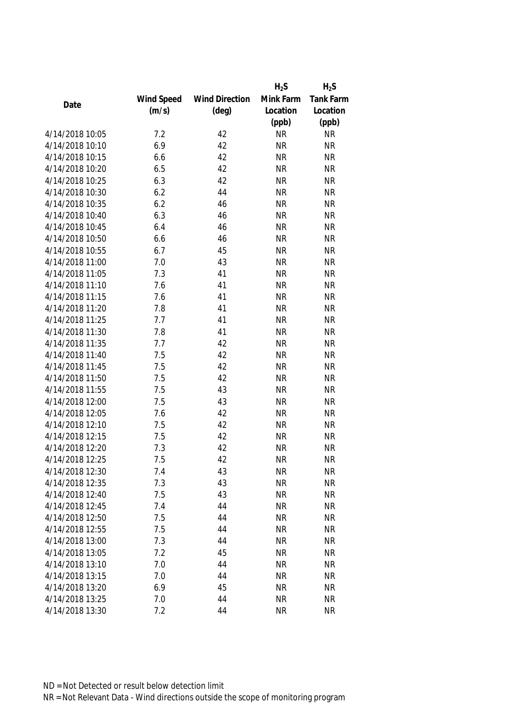|                 |            |                       | $H_2S$    | $H_2S$    |
|-----------------|------------|-----------------------|-----------|-----------|
|                 | Wind Speed | <b>Wind Direction</b> | Mink Farm | Tank Farm |
| Date            | (m/s)      | $(\text{deg})$        | Location  | Location  |
|                 |            |                       | (ppb)     | (ppb)     |
| 4/14/2018 10:05 | 7.2        | 42                    | <b>NR</b> | <b>NR</b> |
| 4/14/2018 10:10 | 6.9        | 42                    | <b>NR</b> | <b>NR</b> |
| 4/14/2018 10:15 | 6.6        | 42                    | <b>NR</b> | <b>NR</b> |
| 4/14/2018 10:20 | 6.5        | 42                    | <b>NR</b> | <b>NR</b> |
| 4/14/2018 10:25 | 6.3        | 42                    | <b>NR</b> | <b>NR</b> |
| 4/14/2018 10:30 | 6.2        | 44                    | <b>NR</b> | <b>NR</b> |
| 4/14/2018 10:35 | 6.2        | 46                    | <b>NR</b> | <b>NR</b> |
| 4/14/2018 10:40 | 6.3        | 46                    | <b>NR</b> | <b>NR</b> |
| 4/14/2018 10:45 | 6.4        | 46                    | <b>NR</b> | <b>NR</b> |
| 4/14/2018 10:50 | 6.6        | 46                    | <b>NR</b> | <b>NR</b> |
| 4/14/2018 10:55 | 6.7        | 45                    | <b>NR</b> | <b>NR</b> |
| 4/14/2018 11:00 | 7.0        | 43                    | <b>NR</b> | <b>NR</b> |
| 4/14/2018 11:05 | 7.3        | 41                    | <b>NR</b> | <b>NR</b> |
| 4/14/2018 11:10 | 7.6        | 41                    | <b>NR</b> | <b>NR</b> |
| 4/14/2018 11:15 | 7.6        | 41                    | <b>NR</b> | <b>NR</b> |
| 4/14/2018 11:20 | 7.8        | 41                    | <b>NR</b> | <b>NR</b> |
| 4/14/2018 11:25 | 7.7        | 41                    | <b>NR</b> | <b>NR</b> |
| 4/14/2018 11:30 | 7.8        | 41                    | <b>NR</b> | <b>NR</b> |
| 4/14/2018 11:35 | 7.7        | 42                    | <b>NR</b> | <b>NR</b> |
| 4/14/2018 11:40 | 7.5        | 42                    | <b>NR</b> | <b>NR</b> |
| 4/14/2018 11:45 | 7.5        | 42                    | <b>NR</b> | <b>NR</b> |
| 4/14/2018 11:50 | 7.5        | 42                    | <b>NR</b> | <b>NR</b> |
| 4/14/2018 11:55 | 7.5        | 43                    | <b>NR</b> | <b>NR</b> |
| 4/14/2018 12:00 | 7.5        | 43                    | <b>NR</b> | <b>NR</b> |
| 4/14/2018 12:05 | 7.6        | 42                    | <b>NR</b> | <b>NR</b> |
| 4/14/2018 12:10 | 7.5        | 42                    | <b>NR</b> | <b>NR</b> |
| 4/14/2018 12:15 | 7.5        | 42                    | <b>NR</b> | <b>NR</b> |
| 4/14/2018 12:20 | 7.3        | 42                    | <b>NR</b> | <b>NR</b> |
| 4/14/2018 12:25 | 7.5        | 42                    | <b>NR</b> | <b>NR</b> |
| 4/14/2018 12:30 | 7.4        | 43                    | <b>NR</b> | <b>NR</b> |
| 4/14/2018 12:35 | 7.3        | 43                    | <b>NR</b> | <b>NR</b> |
| 4/14/2018 12:40 | 7.5        | 43                    | <b>NR</b> | <b>NR</b> |
| 4/14/2018 12:45 | 7.4        | 44                    | <b>NR</b> | <b>NR</b> |
| 4/14/2018 12:50 | 7.5        | 44                    | <b>NR</b> | <b>NR</b> |
| 4/14/2018 12:55 | 7.5        | 44                    | <b>NR</b> | <b>NR</b> |
| 4/14/2018 13:00 | 7.3        | 44                    | <b>NR</b> | <b>NR</b> |
| 4/14/2018 13:05 | 7.2        | 45                    | <b>NR</b> | <b>NR</b> |
| 4/14/2018 13:10 | 7.0        | 44                    | <b>NR</b> | <b>NR</b> |
| 4/14/2018 13:15 | 7.0        | 44                    | <b>NR</b> | <b>NR</b> |
| 4/14/2018 13:20 | 6.9        | 45                    | <b>NR</b> | <b>NR</b> |
| 4/14/2018 13:25 | 7.0        | 44                    | <b>NR</b> | <b>NR</b> |
| 4/14/2018 13:30 | 7.2        | 44                    | <b>NR</b> | <b>NR</b> |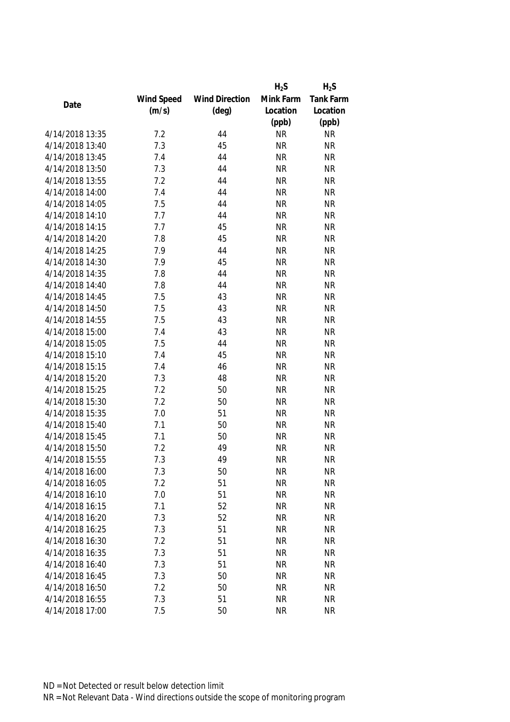|                 |            |                       | $H_2S$    | $H_2S$    |
|-----------------|------------|-----------------------|-----------|-----------|
|                 | Wind Speed | <b>Wind Direction</b> | Mink Farm | Tank Farm |
| Date            | (m/s)      | $(\text{deg})$        | Location  | Location  |
|                 |            |                       | (ppb)     | (ppb)     |
| 4/14/2018 13:35 | 7.2        | 44                    | <b>NR</b> | <b>NR</b> |
| 4/14/2018 13:40 | 7.3        | 45                    | <b>NR</b> | <b>NR</b> |
| 4/14/2018 13:45 | 7.4        | 44                    | <b>NR</b> | <b>NR</b> |
| 4/14/2018 13:50 | 7.3        | 44                    | <b>NR</b> | <b>NR</b> |
| 4/14/2018 13:55 | 7.2        | 44                    | <b>NR</b> | <b>NR</b> |
| 4/14/2018 14:00 | 7.4        | 44                    | <b>NR</b> | <b>NR</b> |
| 4/14/2018 14:05 | 7.5        | 44                    | <b>NR</b> | <b>NR</b> |
| 4/14/2018 14:10 | 7.7        | 44                    | <b>NR</b> | <b>NR</b> |
| 4/14/2018 14:15 | 7.7        | 45                    | <b>NR</b> | <b>NR</b> |
| 4/14/2018 14:20 | 7.8        | 45                    | <b>NR</b> | <b>NR</b> |
| 4/14/2018 14:25 | 7.9        | 44                    | <b>NR</b> | <b>NR</b> |
| 4/14/2018 14:30 | 7.9        | 45                    | <b>NR</b> | <b>NR</b> |
| 4/14/2018 14:35 | 7.8        | 44                    | <b>NR</b> | <b>NR</b> |
| 4/14/2018 14:40 | 7.8        | 44                    | <b>NR</b> | <b>NR</b> |
| 4/14/2018 14:45 | 7.5        | 43                    | <b>NR</b> | <b>NR</b> |
| 4/14/2018 14:50 | 7.5        | 43                    | <b>NR</b> | <b>NR</b> |
| 4/14/2018 14:55 | 7.5        | 43                    | <b>NR</b> | <b>NR</b> |
| 4/14/2018 15:00 | 7.4        | 43                    | <b>NR</b> | <b>NR</b> |
| 4/14/2018 15:05 | 7.5        | 44                    | <b>NR</b> | <b>NR</b> |
| 4/14/2018 15:10 | 7.4        | 45                    | <b>NR</b> | <b>NR</b> |
| 4/14/2018 15:15 | 7.4        | 46                    | <b>NR</b> | <b>NR</b> |
| 4/14/2018 15:20 | 7.3        | 48                    | <b>NR</b> | <b>NR</b> |
| 4/14/2018 15:25 | 7.2        | 50                    | <b>NR</b> | <b>NR</b> |
| 4/14/2018 15:30 | 7.2        | 50                    | <b>NR</b> | <b>NR</b> |
| 4/14/2018 15:35 | 7.0        | 51                    | <b>NR</b> | <b>NR</b> |
| 4/14/2018 15:40 | 7.1        | 50                    | <b>NR</b> | <b>NR</b> |
| 4/14/2018 15:45 | 7.1        | 50                    | <b>NR</b> | <b>NR</b> |
| 4/14/2018 15:50 | 7.2        | 49                    | <b>NR</b> | <b>NR</b> |
| 4/14/2018 15:55 | 7.3        | 49                    | <b>NR</b> | <b>NR</b> |
| 4/14/2018 16:00 | 7.3        | 50                    | <b>NR</b> | <b>NR</b> |
| 4/14/2018 16:05 | 7.2        | 51                    | <b>NR</b> | <b>NR</b> |
| 4/14/2018 16:10 | 7.0        | 51                    | <b>NR</b> | <b>NR</b> |
| 4/14/2018 16:15 | 7.1        | 52                    | <b>NR</b> | <b>NR</b> |
| 4/14/2018 16:20 | 7.3        | 52                    | <b>NR</b> | <b>NR</b> |
| 4/14/2018 16:25 | 7.3        | 51                    | <b>NR</b> | <b>NR</b> |
| 4/14/2018 16:30 | 7.2        | 51                    | <b>NR</b> | <b>NR</b> |
| 4/14/2018 16:35 | 7.3        | 51                    | <b>NR</b> | <b>NR</b> |
| 4/14/2018 16:40 | 7.3        | 51                    | <b>NR</b> | <b>NR</b> |
| 4/14/2018 16:45 | 7.3        | 50                    | <b>NR</b> | <b>NR</b> |
| 4/14/2018 16:50 | 7.2        | 50                    | <b>NR</b> | <b>NR</b> |
| 4/14/2018 16:55 | 7.3        | 51                    | <b>NR</b> | <b>NR</b> |
| 4/14/2018 17:00 | 7.5        | 50                    | <b>NR</b> | <b>NR</b> |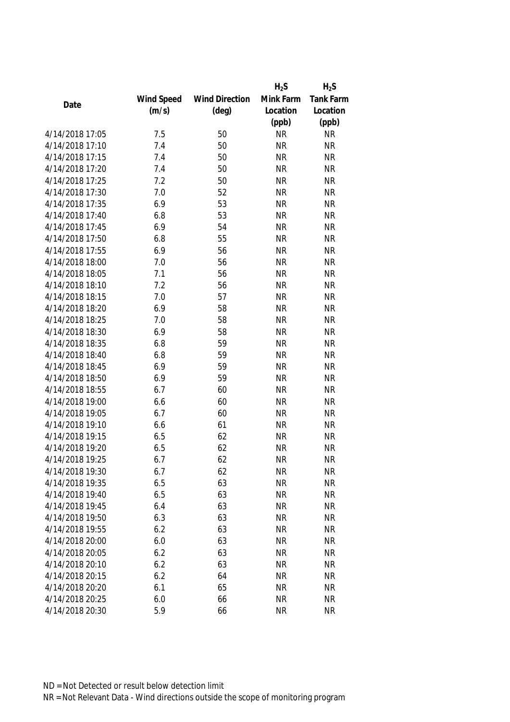|                 |            |                       | $H_2S$    | $H_2S$    |
|-----------------|------------|-----------------------|-----------|-----------|
|                 | Wind Speed | <b>Wind Direction</b> | Mink Farm | Tank Farm |
| Date            | (m/s)      | $(\text{deg})$        | Location  | Location  |
|                 |            |                       | (ppb)     | (ppb)     |
| 4/14/2018 17:05 | 7.5        | 50                    | <b>NR</b> | <b>NR</b> |
| 4/14/2018 17:10 | 7.4        | 50                    | <b>NR</b> | <b>NR</b> |
| 4/14/2018 17:15 | 7.4        | 50                    | <b>NR</b> | <b>NR</b> |
| 4/14/2018 17:20 | 7.4        | 50                    | <b>NR</b> | <b>NR</b> |
| 4/14/2018 17:25 | 7.2        | 50                    | <b>NR</b> | <b>NR</b> |
| 4/14/2018 17:30 | 7.0        | 52                    | <b>NR</b> | <b>NR</b> |
| 4/14/2018 17:35 | 6.9        | 53                    | <b>NR</b> | <b>NR</b> |
| 4/14/2018 17:40 | 6.8        | 53                    | <b>NR</b> | <b>NR</b> |
| 4/14/2018 17:45 | 6.9        | 54                    | <b>NR</b> | <b>NR</b> |
| 4/14/2018 17:50 | 6.8        | 55                    | <b>NR</b> | <b>NR</b> |
| 4/14/2018 17:55 | 6.9        | 56                    | <b>NR</b> | <b>NR</b> |
| 4/14/2018 18:00 | 7.0        | 56                    | <b>NR</b> | <b>NR</b> |
| 4/14/2018 18:05 | 7.1        | 56                    | <b>NR</b> | <b>NR</b> |
| 4/14/2018 18:10 | 7.2        | 56                    | <b>NR</b> | <b>NR</b> |
| 4/14/2018 18:15 | 7.0        | 57                    | <b>NR</b> | <b>NR</b> |
| 4/14/2018 18:20 | 6.9        | 58                    | <b>NR</b> | <b>NR</b> |
| 4/14/2018 18:25 | 7.0        | 58                    | <b>NR</b> | <b>NR</b> |
| 4/14/2018 18:30 | 6.9        | 58                    | <b>NR</b> | <b>NR</b> |
| 4/14/2018 18:35 | 6.8        | 59                    | <b>NR</b> | <b>NR</b> |
| 4/14/2018 18:40 | 6.8        | 59                    | <b>NR</b> | <b>NR</b> |
| 4/14/2018 18:45 | 6.9        | 59                    | <b>NR</b> | <b>NR</b> |
| 4/14/2018 18:50 | 6.9        | 59                    | <b>NR</b> | <b>NR</b> |
| 4/14/2018 18:55 | 6.7        | 60                    | <b>NR</b> | <b>NR</b> |
| 4/14/2018 19:00 | 6.6        | 60                    | <b>NR</b> | <b>NR</b> |
| 4/14/2018 19:05 | 6.7        | 60                    | <b>NR</b> | <b>NR</b> |
| 4/14/2018 19:10 | 6.6        | 61                    | <b>NR</b> | <b>NR</b> |
| 4/14/2018 19:15 | 6.5        | 62                    | <b>NR</b> | <b>NR</b> |
| 4/14/2018 19:20 | 6.5        | 62                    | <b>NR</b> | <b>NR</b> |
| 4/14/2018 19:25 | 6.7        | 62                    | <b>NR</b> | <b>NR</b> |
| 4/14/2018 19:30 | 6.7        | 62                    | <b>NR</b> | <b>NR</b> |
| 4/14/2018 19:35 | 6.5        | 63                    | <b>NR</b> | <b>NR</b> |
| 4/14/2018 19:40 | 6.5        | 63                    | <b>NR</b> | <b>NR</b> |
| 4/14/2018 19:45 | 6.4        | 63                    | <b>NR</b> | <b>NR</b> |
| 4/14/2018 19:50 | 6.3        | 63                    | <b>NR</b> | <b>NR</b> |
| 4/14/2018 19:55 | 6.2        | 63                    | <b>NR</b> | <b>NR</b> |
| 4/14/2018 20:00 | 6.0        | 63                    | <b>NR</b> | <b>NR</b> |
| 4/14/2018 20:05 | 6.2        | 63                    | <b>NR</b> | <b>NR</b> |
| 4/14/2018 20:10 | 6.2        | 63                    | <b>NR</b> | <b>NR</b> |
| 4/14/2018 20:15 | 6.2        | 64                    | <b>NR</b> | <b>NR</b> |
| 4/14/2018 20:20 | 6.1        | 65                    | <b>NR</b> | <b>NR</b> |
| 4/14/2018 20:25 | 6.0        | 66                    | <b>NR</b> | <b>NR</b> |
| 4/14/2018 20:30 | 5.9        | 66                    | <b>NR</b> | <b>NR</b> |